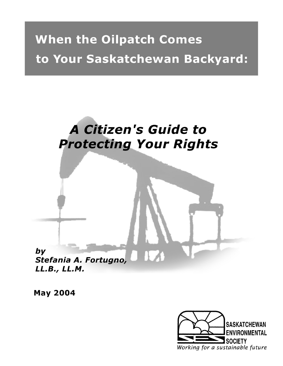# **When the Oilpatch Comes** to Your Saskatchewan Backyard:

## **A Citizen's Guide to Protecting Your Rights**



LL.B., LL.M.

**May 2004** 

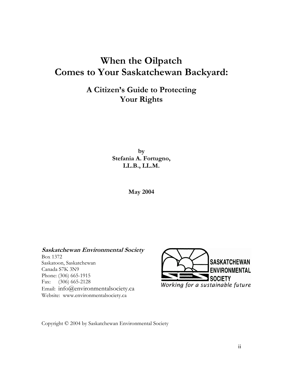### **When the Oilpatch Comes to Your Saskatchewan Backyard:**

### **A Citizen's Guide to Protecting Your Rights**

**by Stefania A. Fortugno, LL.B., LL.M.** 

**May 2004** 

**Saskatchewan Environmental Society**  Box 1372 Saskatoon, Saskatchewan Canada S7K 3N9 Phone: (306) 665-1915 Fax: (306) 665-2128 Email: info@environmentalsociety.ca Website: www.environmentalsociety.ca



Copyright © 2004 by Saskatchewan Environmental Society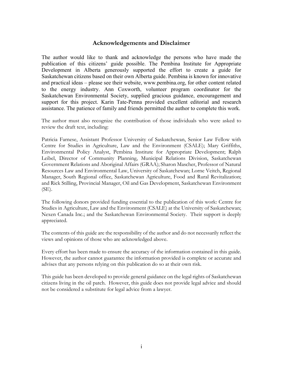#### **Acknowledgements and Disclaimer**

The author would like to thank and acknowledge the persons who have made the publication of this citizens' guide possible. The Pembina Institute for Appropriate Development in Alberta generously supported the effort to create a guide for Saskatchewan citizens based on their own Alberta guide. Pembina is known for innovative and practical ideas – please see their website, www.pembina.org, for other content related to the energy industry. Ann Coxworth, volunteer program coordinator for the Saskatchewan Environmental Society, supplied gracious guidance, encouragement and support for this project. Karin Tate-Penna provided excellent editorial and research assistance. The patience of family and friends permitted the author to complete this work.

The author must also recognize the contribution of those individuals who were asked to review the draft text, including:

Patricia Farnese, Assistant Professor University of Saskatchewan, Senior Law Fellow with Centre for Studies in Agriculture, Law and the Environment (CSALE); Mary Griffiths, Environmental Policy Analyst, Pembina Institute for Appropriate Development; Ralph Leibel, Director of Community Planning, Municipal Relations Division, Saskatchewan Government Relations and Aboriginal Affairs (GRAA); Sharon Mascher, Professor of Natural Resources Law and Environmental Law, University of Saskatchewan; Lorne Veitch, Regional Manager, South Regional office, Saskatchewan Agriculture, Food and Rural Revitalization; and Rick Stilling, Provincial Manager, Oil and Gas Development, Saskatchewan Environment (SE).

The following donors provided funding essential to the publication of this work: Centre for Studies in Agriculture, Law and the Environment (CSALE) at the University of Saskatchewan; Nexen Canada Inc.; and the Saskatchewan Environmental Society. Their support is deeply appreciated.

The contents of this guide are the responsibility of the author and do not necessarily reflect the views and opinions of those who are acknowledged above.

Every effort has been made to ensure the accuracy of the information contained in this guide. However, the author cannot guarantee the information provided is complete or accurate and advises that any persons relying on this publication do so at their own risk.

This guide has been developed to provide general guidance on the legal rights of Saskatchewan citizens living in the oil patch. However, this guide does not provide legal advice and should not be considered a substitute for legal advice from a lawyer.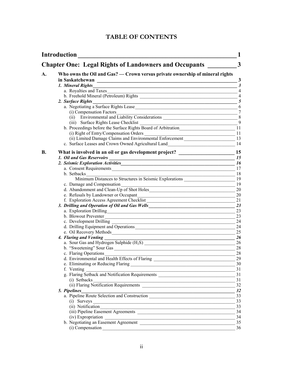#### **TABLE OF CONTENTS**

| <b>Introduction</b>                                                          |                                                                                                            | 1                    |  |
|------------------------------------------------------------------------------|------------------------------------------------------------------------------------------------------------|----------------------|--|
| $\mathbf{3}$<br><b>Chapter One: Legal Rights of Landowners and Occupants</b> |                                                                                                            |                      |  |
| A.                                                                           | Who owns the Oil and Gas? — Crown versus private ownership of mineral rights                               |                      |  |
|                                                                              |                                                                                                            | $\mathbf{3}$         |  |
|                                                                              | 1. Mineral Rights<br><u> 2000 - Jan James James Barnett (f. 1982)</u>                                      | $\boldsymbol{\beta}$ |  |
|                                                                              | a. Royalties and Taxes                                                                                     | $\overline{4}$       |  |
|                                                                              |                                                                                                            |                      |  |
|                                                                              | 2. Surface Rights                                                                                          |                      |  |
|                                                                              | Surface Rights 5<br>a. Negotiating a Surface Rights Lease 6                                                |                      |  |
|                                                                              | (i) Compensation Factors                                                                                   |                      |  |
|                                                                              | $\frac{1}{2}$                                                                                              |                      |  |
|                                                                              |                                                                                                            |                      |  |
|                                                                              | (iii) Surface Rights Lease Checklist 9<br>b. Proceedings before the Surface Rights Board of Arbitration 11 |                      |  |
|                                                                              |                                                                                                            |                      |  |
|                                                                              | (i) Right of Entry/Compensation Orders 11<br>(ii) Limited Damage Claims and Environmental Enforcement 13   |                      |  |
|                                                                              |                                                                                                            |                      |  |
|                                                                              | c. Surface Leases and Crown Owned Agricultural Land<br>14                                                  |                      |  |
| <b>B.</b>                                                                    |                                                                                                            |                      |  |
|                                                                              |                                                                                                            |                      |  |
|                                                                              |                                                                                                            |                      |  |
|                                                                              | a. Consent Requirements                                                                                    | 17                   |  |
|                                                                              |                                                                                                            |                      |  |
|                                                                              | b. Setbacks<br>Minimum Distances to Structures in Seismic Explorations<br>19                               |                      |  |
|                                                                              | c. Damage and Compensation                                                                                 | 19                   |  |
|                                                                              | c. Damage and Compensation<br>d. Abandonment and Clean-Up of Shot Holes                                    | 20                   |  |
|                                                                              |                                                                                                            | 20                   |  |
|                                                                              | e. Refusals by Landowner or Occupant<br>f. Exploration Access Agreement Checklist                          | 21                   |  |
|                                                                              | 3. Drilling and Operation of Oil and Gas Wells__________________________________                           | 23                   |  |
|                                                                              |                                                                                                            | 23                   |  |
|                                                                              |                                                                                                            | 23                   |  |
|                                                                              | b. Blowout Preventer                                                                                       | 24                   |  |
|                                                                              | d. Drilling Equipment and Operations                                                                       | 24                   |  |
|                                                                              |                                                                                                            | 25                   |  |
|                                                                              | 4. Flaring and Venting                                                                                     | <b>26</b>            |  |
|                                                                              | a. Sour Gas and Hydrogen Sulphide $(H_2S)$                                                                 | 26                   |  |
|                                                                              |                                                                                                            |                      |  |
|                                                                              | b. "Sweetening" Sour Gas                                                                                   | 28                   |  |
|                                                                              | c. Flaring Operations $\frac{28}{29}$<br>d. Environmental and Health Effects of Flaring $\frac{28}{29}$    |                      |  |
|                                                                              |                                                                                                            |                      |  |
|                                                                              |                                                                                                            | 30                   |  |
|                                                                              | f. Venting<br><u> 1989 - Johann Barnett, fransk politiker (d. 1989)</u>                                    | 31                   |  |
|                                                                              | g. Flaring Setback and Notification Requirements                                                           | 31                   |  |
|                                                                              | (i) Setbacks<br>(i) Setbacks<br>(ii) Flaring Notification Requirements                                     | 31                   |  |
|                                                                              |                                                                                                            | 32                   |  |
|                                                                              | $\frac{1}{2}$<br>5. Pipelines                                                                              |                      |  |
|                                                                              | a. Pipeline Route Selection and Construction                                                               | 33                   |  |
|                                                                              | $(i)$ Surveys $\overline{\qquad \qquad }$                                                                  | 33                   |  |
|                                                                              |                                                                                                            | 33                   |  |
|                                                                              |                                                                                                            | 34                   |  |
|                                                                              | (iv) Expropriation                                                                                         | 34                   |  |
|                                                                              |                                                                                                            | 35                   |  |
|                                                                              |                                                                                                            | 36                   |  |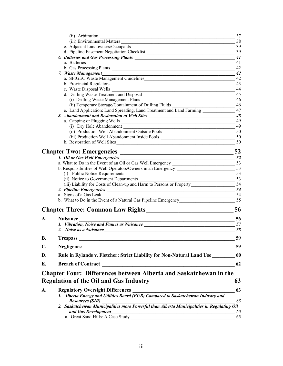|    | (ii) Arbitration<br>the control of the control of the control of the control of the control of the control of the                                                                                                             | 37       |
|----|-------------------------------------------------------------------------------------------------------------------------------------------------------------------------------------------------------------------------------|----------|
|    | (iii) Environmental Matters                                                                                                                                                                                                   | 38       |
|    | c. Adjacent Landowners/Occupants                                                                                                                                                                                              | 39       |
|    | d. Pipeline Easement Negotiation Checklist                                                                                                                                                                                    | 39       |
|    | 6. Batteries and Gas Processing Plants 2008 2014 11 2016 12:00 2016 12:00 2016 12:00 2016 12:00 2016 12:00 201                                                                                                                |          |
|    | a. Batteries<br><u> 1989 - Johann John Stone, markin fan it ferstjer fan it ferstjer fan it ferstjer fan it ferstjer fan it fers</u>                                                                                          | 41       |
|    | b. Gas Processing Plants                                                                                                                                                                                                      | 42       |
|    |                                                                                                                                                                                                                               |          |
|    | a. SPIGEC Waste Management Guidelines 42                                                                                                                                                                                      |          |
|    |                                                                                                                                                                                                                               | 43       |
|    |                                                                                                                                                                                                                               | 44       |
|    |                                                                                                                                                                                                                               | 45       |
|    | (i) Drilling Waste Management Plans<br><u> 1989 - Johann John Stone, mars an deus Amerikaansk kommunister (</u><br>(ii) Temporary Storage/Containment of Drilling Fluids ___________________________ 46                       | 46       |
|    | e. Land Application: Land Spreading, Land Treatment and Land Farming ___________                                                                                                                                              | 47       |
|    | 8. Abandonment and Restoration of Well Sites ___________________________________                                                                                                                                              | 48       |
|    |                                                                                                                                                                                                                               | 49       |
|    | a. Capping or Plugging Wells<br>(i) Dry Hole Abandonment                                                                                                                                                                      | 49       |
|    |                                                                                                                                                                                                                               |          |
|    | (iii) Production Well Abandonment Inside Pools _________________________________                                                                                                                                              | 50       |
|    | b. Restoration of Well Sites                                                                                                                                                                                                  |          |
|    |                                                                                                                                                                                                                               |          |
|    | <b>Chapter Two: Emergencies</b>                                                                                                                                                                                               | 52       |
|    | 1. Oil or Gas Well Emergencies<br>$\frac{1}{2}$ 52                                                                                                                                                                            |          |
|    |                                                                                                                                                                                                                               |          |
|    |                                                                                                                                                                                                                               |          |
|    | (i) Public Notice Requirements                                                                                                                                                                                                | 53       |
|    | (ii) Notice to Government Departments<br><u> 1989 - Johann John Stone, market fan it ferstjer fan it ferstjer fan it ferstjer fan it ferstjer fan it fers</u>                                                                 | 53       |
|    | (iii) Liability for Costs of Clean-up and Harm to Persons or Property________________________54                                                                                                                               |          |
|    | a. Signs of a Gas Leak                                                                                                                                                                                                        | -54      |
|    | <u> 1989 - Paris Alexandri, prima matematika amerikana (h. 1989).</u>                                                                                                                                                         |          |
|    |                                                                                                                                                                                                                               |          |
|    |                                                                                                                                                                                                                               | 56       |
| A. | <b>Nuisance</b>                                                                                                                                                                                                               | 56       |
|    |                                                                                                                                                                                                                               |          |
|    | 2. Noise as a Nuisance 58 and 58 and 58 and 58 and 58 and 58 and 58 and 58 and 58 and 58 and 58 and 58 and 58 and 58 and 58 and 58 and 59 and 59 and 59 and 59 and 59 and 59 and 59 and 59 and 59 and 59 and 59 and 59 and 59 |          |
| B. | <b>Trespass</b>                                                                                                                                                                                                               | 59       |
| C. | <b>Negligence</b>                                                                                                                                                                                                             | 59       |
| D. | Rule in Rylands v. Fletcher: Strict Liability for Non-Natural Land Use                                                                                                                                                        | 60       |
|    |                                                                                                                                                                                                                               |          |
| E. |                                                                                                                                                                                                                               | 62       |
|    | <b>Chapter Four: Differences between Alberta and Saskatchewan in the</b>                                                                                                                                                      |          |
|    | <b>Regulation of the Oil and Gas Industry</b>                                                                                                                                                                                 | 63       |
| A. | <b>Regulatory Oversight Differences</b><br>1. Alberta Energy and Utilities Board (EUB) Compared to Saskatchewan Industry and                                                                                                  | 63       |
|    |                                                                                                                                                                                                                               |          |
|    | <b>Resources (SIR)</b>                                                                                                                                                                                                        | 63       |
|    | 2. Saskatchewan Municipalities more Powerful than Alberta Municipalities in Regulating Oil                                                                                                                                    |          |
|    | and Gas Development<br>a. Great Sand Hills: A Case Study                                                                                                                                                                      | 65<br>65 |
|    |                                                                                                                                                                                                                               |          |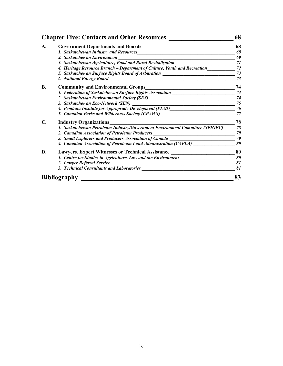| <b>Chapter Five: Contacts and Other Resources</b> |                                                                                                                                                            | 68 |  |
|---------------------------------------------------|------------------------------------------------------------------------------------------------------------------------------------------------------------|----|--|
| A.                                                |                                                                                                                                                            | 68 |  |
|                                                   | 1. Saskatchewan Industry and Resources                                                                                                                     | 68 |  |
|                                                   | 2. Saskatchewan Environment                                                                                                                                | 69 |  |
|                                                   | 3. Saskatchewan Agriculture, Food and Rural Revitalization                                                                                                 | 71 |  |
|                                                   | 4. Heritage Resource Branch – Department of Culture, Youth and Recreation                                                                                  | 72 |  |
|                                                   | 5. Saskatchewan Surface Rights Board of Arbitration                                                                                                        | 73 |  |
|                                                   | <b>6. National Energy Board</b><br><u> 1989 - Jan Samuel Barbara, prima a popular popular popular popular popular popular popular popular popular p</u>    | 73 |  |
| <b>B.</b>                                         | <b>Community and Environmental Groups</b>                                                                                                                  | 74 |  |
|                                                   | 1. Federation of Saskatchewan Surface Rights Association                                                                                                   | 74 |  |
|                                                   |                                                                                                                                                            | 74 |  |
|                                                   | 3. Saskatchewan Eco-Network (SEN)<br><u> 1989 - Johann Stein, marwolaethau a bhannaich an t-Albann an t-Albann an t-Albann an t-Albann an t-Albann an </u> | 75 |  |
|                                                   | 4. Pembina Institute for Appropriate Development (PIAD)_________________________                                                                           | 76 |  |
|                                                   | 5. Canadian Parks and Wilderness Society (CPAWS)                                                                                                           | 77 |  |
| С.                                                | <b>Industry Organizations</b>                                                                                                                              | 78 |  |
|                                                   | 1. Saskatchewan Petroleum Industry/Government Environment Committee (SPIGEC)                                                                               | 78 |  |
|                                                   | 2. Canadian Association of Petroleum Producers                                                                                                             | 79 |  |
|                                                   | 3. Small Explorers and Producers Association of Canada                                                                                                     | 79 |  |
|                                                   | 4. Canadian Association of Petroleum Land Administration (CAPLA)                                                                                           | 80 |  |
| D.                                                | <b>Lawyers, Expert Witnesses or Technical Assistance</b>                                                                                                   | 80 |  |
|                                                   | 1. Centre for Studies in Agriculture, Law and the Environment                                                                                              | 80 |  |
|                                                   | 2. Lawyer Referral Service<br><u> 1980 - Johann Barbara, martxa alemaniar argumento estas políticas en la contrada de la contrada de la contra</u>         | 81 |  |
|                                                   | 3. Technical Consultants and Laboratories                                                                                                                  | 81 |  |
|                                                   | <b>Bibliography</b>                                                                                                                                        |    |  |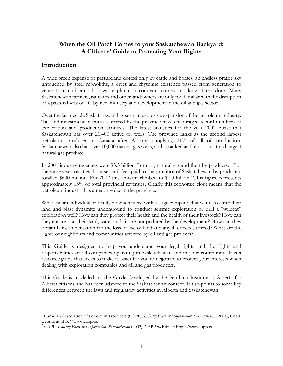#### **When the Oil Patch Comes to your Saskatchewan Backyard: A Citizens' Guide to Protecting Your Rights**

#### **Introduction**

 $\overline{a}$ 

A wide green expanse of pastureland dotted only by cattle and horses, an endless prairie sky untouched by steel monoliths, a quiet and rhythmic existence passed from generation to generation, until an oil or gas exploration company comes knocking at the door. Many Saskatchewan farmers, ranchers and other landowners are only too familiar with the disruption of a pastoral way of life by new industry and development in the oil and gas sector.

Over the last decade Saskatchewan has seen an explosive expansion of the petroleum industry. Tax and investment incentives offered by the province have encouraged record numbers of exploration and production ventures. The latest statistics for the year 2002 boast that Saskatchewan has over 21,400 active oil wells. The province ranks as the second largest petroleum producer in Canada after Alberta, supplying 21% of all oil production. Saskatchewan also has over 10,000 natural gas wells, and is ranked as the nation's third largest natural gas producer.

In 2001 industry revenues were \$5.5 billion from oil, natural gas and their by-products.<sup>1</sup> For the same year royalties, bonuses and fees paid to the province of Saskatchewan by producers totalled \$600 million. For 2002 this amount climbed to \$1.0 billion.<sup>2</sup> This figure represents approximately 18% of total provincial revenues. Clearly this economic clout means that the petroleum industry has a major voice in the province.

What can an individual or family do when faced with a large company that wants to enter their land and blast dynamite underground to conduct seismic exploration or drill a "wildcat" exploration well? How can they protect their health and the health of their livestock? How can they ensure that their land, water and air are not polluted by the development? How can they obtain fair compensation for the loss of use of land and any ill effects suffered? What are the rights of neighbours and communities affected by oil and gas projects?

This Guide is designed to help you understand your legal rights and the rights and responsibilities of oil companies operating in Saskatchewan and in your community. It is a resource guide that seeks to make it easier for you to negotiate to protect your interests when dealing with exploration companies and oil and gas producers.

This Guide is modelled on the Guide developed by the Pembina Institute in Alberta for Alberta citizens and has been adapted to the Saskatchewan context. It also points to some key differences between the laws and regulatory activities in Alberta and Saskatchewan.

<sup>1</sup> Canadian Association of Petroleum Producers (CAPP), *Industry Facts and Information: Saskatchewan* (2001), CAPP website at <u>http://www.capp.ca</u>.<br><sup>2</sup> CAPP, *Industry Facts and Information: Saskatchewan* (2003), CAPP website at http://www.capp.ca.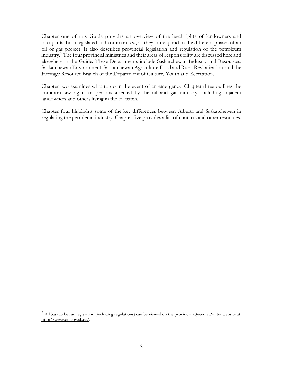Chapter one of this Guide provides an overview of the legal rights of landowners and occupants, both legislated and common law, as they correspond to the different phases of an oil or gas project. It also describes provincial legislation and regulation of the petroleum industry.3 The four provincial ministries and their areas of responsibility are discussed here and elsewhere in the Guide. These Departments include Saskatchewan Industry and Resources, Saskatchewan Environment, Saskatchewan Agriculture Food and Rural Revitalization, and the Heritage Resource Branch of the Department of Culture, Youth and Recreation.

Chapter two examines what to do in the event of an emergency. Chapter three outlines the common law rights of persons affected by the oil and gas industry, including adjacent landowners and others living in the oil patch.

Chapter four highlights some of the key differences between Alberta and Saskatchewan in regulating the petroleum industry. Chapter five provides a list of contacts and other resources.

 $\overline{a}$ 

<sup>&</sup>lt;sup>3</sup> All Saskatchewan legislation (including regulations) can be viewed on the provincial Queen's Printer website at: http://www.qp.gov.sk.ca/.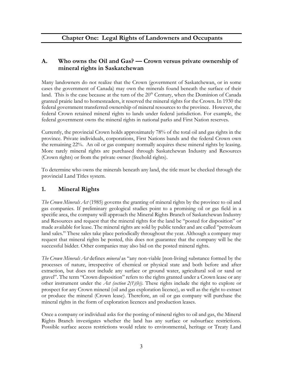#### **A. Who owns the Oil and Gas? — Crown versus private ownership of mineral rights in Saskatchewan**

Many landowners do not realize that the Crown (government of Saskatchewan, or in some cases the government of Canada) may own the minerals found beneath the surface of their land. This is the case because at the turn of the  $20<sup>th</sup>$  Century, when the Dominion of Canada granted prairie land to homesteaders, it reserved the mineral rights for the Crown. In 1930 the federal government transferred ownership of mineral resources to the province. However, the federal Crown retained mineral rights to lands under federal jurisdiction. For example, the federal government owns the mineral rights in national parks and First Nation reserves.

Currently, the provincial Crown holds approximately 78% of the total oil and gas rights in the province. Private individuals, corporations, First Nations bands and the federal Crown own the remaining 22%. An oil or gas company normally acquires these mineral rights by leasing. More rarely mineral rights are purchased through Saskatchewan Industry and Resources (Crown rights) or from the private owner (freehold rights).

To determine who owns the minerals beneath any land, the title must be checked through the provincial Land Titles system.

#### **1. Mineral Rights**

*The Crown Minerals Act* (1985) governs the granting of mineral rights by the province to oil and gas companies. If preliminary geological studies point to a promising oil or gas field in a specific area, the company will approach the Mineral Rights Branch of Saskatchewan Industry and Resources and request that the mineral rights for the land be "posted for disposition" or made available for lease. The mineral rights are sold by public tender and are called "petroleum land sales." These sales take place periodically throughout the year. Although a company may request that mineral rights be posted, this does not guarantee that the company will be the successful bidder. Other companies may also bid on the posted mineral rights.

*The Crown Minerals Act* defines *mineral* as "any non-viable [non-living] substance formed by the processes of nature, irrespective of chemical or physical state and both before and after extraction, but does not include any surface or ground water, agricultural soil or sand or gravel". The term "Crown disposition" refers to the rights granted under a Crown lease or any other instrument under the *Act (section 2(1)(b))*. These rights include the right to explore or prospect for any Crown mineral (oil and gas exploration licence), as well as the right to extract or produce the mineral (Crown lease). Therefore, an oil or gas company will purchase the mineral rights in the form of exploration licences and production leases.

Once a company or individual asks for the posting of mineral rights to oil and gas, the Mineral Rights Branch investigates whether the land has any surface or subsurface restrictions. Possible surface access restrictions would relate to environmental, heritage or Treaty Land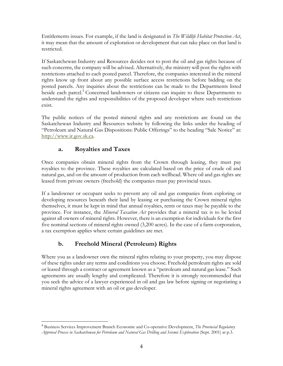Entitlements issues. For example, if the land is designated in *The Wildlife Habitat Protection Act*, it may mean that the amount of exploration or development that can take place on that land is restricted.

If Saskatchewan Industry and Resources decides not to post the oil and gas rights because of such concerns, the company will be advised. Alternatively, the ministry will post the rights with restrictions attached to each posted parcel. Therefore, the companies interested in the mineral rights know up front about any possible surface access restrictions before bidding on the posted parcels. Any inquiries about the restrictions can be made to the Departments listed beside each parcel.<sup>4</sup> Concerned landowners or citizens can inquire to these Departments to understand the rights and responsibilities of the proposed developer where such restrictions exist.

The public notices of the posted mineral rights and any restrictions are found on the Saskatchewan Industry and Resources website by following the links under the heading of "Petroleum and Natural Gas Dispositions: Public Offerings" to the heading "Sale Notice" at: http://www.ir.gov.sk.ca.

#### **a. Royalties and Taxes**

Once companies obtain mineral rights from the Crown through leasing, they must pay royalties to the province. These royalties are calculated based on the price of crude oil and natural gas, and on the amount of production from each wellhead. Where oil and gas rights are leased from private owners (freehold) the companies must pay provincial taxes.

If a landowner or occupant seeks to prevent any oil and gas companies from exploring or developing resources beneath their land by leasing or purchasing the Crown mineral rights themselves, it must be kept in mind that annual royalties, rents or taxes may be payable to the province. For instance, the *Mineral Taxation Act* provides that a mineral tax is to be levied against all owners of mineral rights. However, there is an exemption for individuals for the first five nominal sections of mineral rights owned (3,200 acres). In the case of a farm corporation, a tax exemption applies where certain guidelines are met.

#### **b. Freehold Mineral (Petroleum) Rights**

Where you as a landowner own the mineral rights relating to your property, you may dispose of these rights under any terms and conditions you choose. Freehold petroleum rights are sold or leased through a contract or agreement known as a "petroleum and natural gas lease." Such agreements are usually lengthy and complicated. Therefore it is strongly recommended that you seek the advice of a lawyer experienced in oil and gas law before signing or negotiating a mineral rights agreement with an oil or gas developer.

 $\overline{a}$ <sup>4</sup> Business Services Improvement Branch Economic and Co-operative Development, *The Provincial Regulatory Approval Process in Saskatchewan for Petroleum and Natural Gas Drilling and Seismic Exploration* (Sept. 2001) at p.3.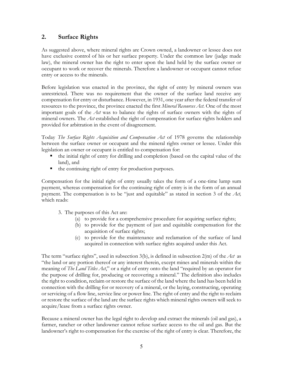#### **2. Surface Rights**

As suggested above, where mineral rights are Crown owned, a landowner or lessee does not have exclusive control of his or her surface property. Under the common law (judge made law), the mineral owner has the right to enter upon the land held by the surface owner or occupant to work or recover the minerals. Therefore a landowner or occupant cannot refuse entry or access to the minerals.

Before legislation was enacted in the province, the right of entry by mineral owners was unrestricted. There was no requirement that the owner of the surface land receive any compensation for entry or disturbance. However, in 1931, one year after the federal transfer of resources to the province, the province enacted the first *Mineral Resources Act*. One of the most important goals of the *Act* was to balance the rights of surface owners with the rights of mineral owners. The *Act* established the right of compensation for surface rights holders and provided for arbitration in the event of disagreement.

Today *The Surface Rights Acquisition and Compensation Act* of 1978 governs the relationship between the surface owner or occupant and the mineral rights owner or lessee. Under this legislation an owner or occupant is entitled to compensation for:

- the initial right of entry for drilling and completion (based on the capital value of the land), and
- the continuing right of entry for production purposes.

Compensation for the initial right of entry usually takes the form of a one-time lump sum payment, whereas compensation for the continuing right of entry is in the form of an annual payment. The compensation is to be "just and equitable" as stated in section 3 of the *Act,*  which reads:

- 3. The purposes of this Act are:
	- (a) to provide for a comprehensive procedure for acquiring surface rights;
	- (b) to provide for the payment of just and equitable compensation for the acquisition of surface rights;
	- (c) to provide for the maintenance and reclamation of the surface of land acquired in connection with surface rights acquired under this Act.

The term "surface rights", used in subsection 3(b), is defined in subsection 2(m) of the *Act* as "the land or any portion thereof or any interest therein, except mines and minerals within the meaning of *The Land Titles Act*," or a right of entry onto the land "required by an operator for the purpose of drilling for, producing or recovering a mineral." The definition also includes the right to condition, reclaim or restore the surface of the land where the land has been held in connection with the drilling for or recovery of a mineral, or the laying, constructing, operating or servicing of a flow line, service line or power line. The right of entry and the right to reclaim or restore the surface of the land are the surface rights which mineral rights owners will seek to acquire/lease from a surface rights owner.

Because a mineral owner has the legal right to develop and extract the minerals (oil and gas), a farmer, rancher or other landowner cannot refuse surface access to the oil and gas. But the landowner's right to compensation for the exercise of the right of entry is clear. Therefore, the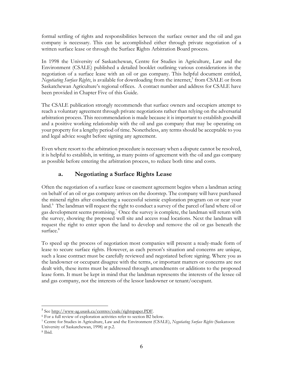formal settling of rights and responsibilities between the surface owner and the oil and gas company is necessary. This can be accomplished either through private negotiation of a written surface lease or through the Surface Rights Arbitration Board process.

In 1998 the University of Saskatchewan, Centre for Studies in Agriculture, Law and the Environment (CSALE) published a detailed booklet outlining various considerations in the negotiation of a surface lease with an oil or gas company. This helpful document entitled, Negotiating Surface Rights, is available for downloading from the internet,<sup>5</sup> from CSALE or from Saskatchewan Agriculture's regional offices. A contact number and address for CSALE have been provided in Chapter Five of this Guide.

The CSALE publication strongly recommends that surface owners and occupiers attempt to reach a voluntary agreement through private negotiations rather than relying on the adversarial arbitration process. This recommendation is made because it is important to establish goodwill and a positive working relationship with the oil and gas company that may be operating on your property for a lengthy period of time. Nonetheless, any terms should be acceptable to you and legal advice sought before signing any agreement.

Even where resort to the arbitration procedure is necessary when a dispute cannot be resolved, it is helpful to establish, in writing, as many points of agreement with the oil and gas company as possible before entering the arbitration process, to reduce both time and costs.

#### **a. Negotiating a Surface Rights Lease**

Often the negotiation of a surface lease or easement agreement begins when a landman acting on behalf of an oil or gas company arrives on the doorstep. The company will have purchased the mineral rights after conducting a successful seismic exploration program on or near your land.<sup>6</sup> The landman will request the right to conduct a survey of the parcel of land where oil or gas development seems promising.<sup>7</sup> Once the survey is complete, the landman will return with the survey, showing the proposed well site and access road locations. Next the landman will request the right to enter upon the land to develop and remove the oil or gas beneath the surface.<sup>8</sup>

To speed up the process of negotiation most companies will present a ready-made form of lease to secure surface rights. However, as each person's situation and concerns are unique, such a lease contract must be carefully reviewed and negotiated before signing. Where you as the landowner or occupant disagree with the terms, or important matters or concerns are not dealt with, these items must be addressed through amendments or additions to the proposed lease form. It must be kept in mind that the landman represents the interests of the lessee oil and gas company, not the interests of the lessor landowner or tenant/occupant.

<u>.</u>

<sup>&</sup>lt;sup>5</sup> See http://www-ag.usask.ca/centres/csale/rightspaper.PDF.<br><sup>6</sup> For a full review of exploration activities refer to section B2 below.

<sup>&</sup>lt;sup>7</sup> Centre for Studies in Agriculture, Law and the Environment (CSALE), *Negotiating Surface Rights* (Saskatoon: University of Saskatchewan, 1998) at p.2.

<sup>8</sup> Ibid.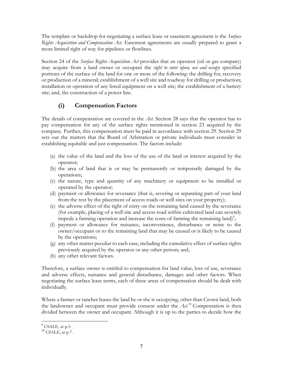The template or backdrop for negotiating a surface lease or easement agreement is the *Surface Rights Acquisition and Compensation Act*. Easement agreements are usually prepared to grant a more limited right of way for pipelines or flowlines.

Section 24 of the *Surface Rights Acquisition Act* provides that an operator (oil or gas company) may acquire from a land owner or occupant the *right to enter upon, use and occupy* specified portions of the surface of the land for one or more of the following: the drilling for, recovery or production of a mineral; establishment of a well site and roadway for drilling or production; installation or operation of any listed equipment on a well site; the establishment of a battery site; and, the construction of a power line.

#### **(i) Compensation Factors**

The details of compensation are covered in the *Act*. Section 28 says that the operator has to pay compensation for any of the surface rights mentioned in section 23 acquired by the company. Further, this compensation must be paid in accordance with section 29. Section 29 sets out the matters that the Board of Arbitration or private individuals must consider in establishing equitable and just compensation. The factors include:

- (a) the value of the land and the loss of the use of the land or interest acquired by the operator;
- (b) the area of land that is or may be permanently or temporarily damaged by the operations;
- (c) the nature, type and quantity of any machinery or equipment to be installed or operated by the operator;
- (d) payment or allowance for severance (that is, severing or separating part of your land from the rest by the placement of access roads or well sites on your property);
- (e) the adverse effect of the right of entry on the remaining land caused by the severance (for example, placing of a well site and access road within cultivated land can severely impede a farming operation and increase the costs of farming the remaining land)<sup>9</sup>;
- (f) payment or allowance for nuisance, inconvenience, disturbance or noise to the owner/occupant or to the remaining land that may be caused or is likely to be caused by the operations;
- (g) any other matter peculiar to each case, including the cumulative effect of surface rights previously acquired by the operator or any other person; and,
- (h) any other relevant factors.

Therefore, a surface owner is entitled to compensation for land value, loss of use, severance and adverse effects, nuisance and general disturbance, damages and other factors. When negotiating the surface lease terms, each of these areas of compensation should be dealt with individually.

Where a farmer or rancher leases the land he or she is occupying, other than Crown land, both the landowner and occupant must provide consent under the  $\text{Art.}^{10}$  Compensation is then divided between the owner and occupant. Although it is up to the parties to decide how the

 $\overline{a}$  $9^9$  CSALE, at p.5.

 $10$  CSALE, at p.7.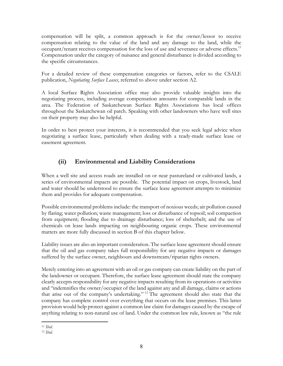compensation will be split, a common approach is for the owner/lessor to receive compensation relating to the value of the land and any damage to the land, while the occupant/tenant receives compensation for the loss of use and severance or adverse effects.<sup>11</sup> Compensation under the category of nuisance and general disturbance is divided according to the specific circumstances.

For a detailed review of these compensation categories or factors, refer to the CSALE publication, *Negotiating Surface Leases*, referred to above under section A2.

A local Surface Rights Association office may also provide valuable insights into the negotiating process, including average compensation amounts for comparable lands in the area. The Federation of Saskatchewan Surface Rights Associations has local offices throughout the Saskatchewan oil patch. Speaking with other landowners who have well sites on their property may also be helpful.

In order to best protect your interests, it is recommended that you seek legal advice when negotiating a surface lease, particularly when dealing with a ready-made surface lease or easement agreement.

#### **(ii) Environmental and Liability Considerations**

When a well site and access roads are installed on or near pastureland or cultivated lands, a series of environmental impacts are possible. The potential impact on crops, livestock, land and water should be understood to ensure the surface lease agreement attempts to minimize them and provides for adequate compensation.

Possible environmental problems include: the transport of noxious weeds; air pollution caused by flaring; water pollution; waste management; loss or disturbance of topsoil; soil compaction from equipment; flooding due to drainage disturbance; loss of shelterbelt; and the use of chemicals on lease lands impacting on neighbouring organic crops. These environmental matters are more fully discussed in section B of this chapter below.

Liability issues are also an important consideration. The surface lease agreement should ensure that the oil and gas company takes full responsibility for any negative impacts or damages suffered by the surface owner, neighbours and downstream/riparian rights owners.

Merely entering into an agreement with an oil or gas company can create liability on the part of the landowner or occupant. Therefore, the surface lease agreement should state the company clearly accepts responsibility for any negative impacts resulting from its operations or activities and "indemnifies the owner/occupier of the land against any and all damage, claims or actions that arise out of the company's undertaking." 12 The agreement should also state that the company has complete control over everything that occurs on the lease premises. This latter provision would help protect against a common law claim for damages caused by the escape of anything relating to non-natural use of land. Under the common law rule, known as "the rule

 $\overline{a}$ <sup>11</sup> *Ibid.*

<sup>12</sup> *Ibid.*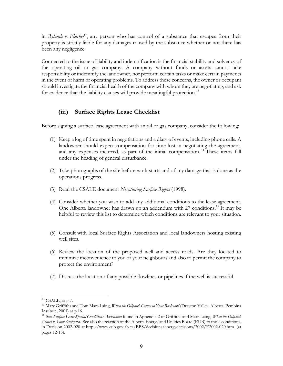in *Rylands v. Fletcher*", any person who has control of a substance that escapes from their property is strictly liable for any damages caused by the substance whether or not there has been any negligence.

Connected to the issue of liability and indemnification is the financial stability and solvency of the operating oil or gas company. A company without funds or assets cannot take responsibility or indemnify the landowner, nor perform certain tasks or make certain payments in the event of harm or operating problems. To address these concerns, the owner or occupant should investigate the financial health of the company with whom they are negotiating, and ask for evidence that the liability clauses will provide meaningful protection.<sup>13</sup>

#### **(iii) Surface Rights Lease Checklist**

Before signing a surface lease agreement with an oil or gas company, consider the following:

- (1) Keep a log of time spent in negotiations and a diary of events, including phone calls. A landowner should expect compensation for time lost in negotiating the agreement, and any expenses incurred, as part of the initial compensation.<sup>14</sup> These items fall under the heading of general disturbance.
- (2) Take photographs of the site before work starts and of any damage that is done as the operations progress.
- (3) Read the CSALE document *Negotiating Surface Rights* (1998).
- (4) Consider whether you wish to add any additional conditions to the lease agreement. One Alberta landowner has drawn up an addendum with 27 conditions.<sup>15</sup> It may be helpful to review this list to determine which conditions are relevant to your situation.
- (5) Consult with local Surface Rights Association and local landowners hosting existing well sites.
- (6) Review the location of the proposed well and access roads. Are they located to minimize inconvenience to you or your neighbours and also to permit the company to protect the environment?
- (7) Discuss the location of any possible flowlines or pipelines if the well is successful.

 $\overline{a}$ 

<sup>&</sup>lt;sup>13</sup> CSALE, at p.7.

<sup>14</sup> Mary Griffiths and Tom Marr-Laing, *When the Oilpatch Comes to Your Backyard* (Drayton Valley, Alberta: Pembina Institute, 2001) at p.16.

<sup>15</sup> See *Surface Lease Special Conditions Addendum* found in Appendix 2 of Griffiths and Marr-Laing, *When the Oilpatch Comes to Your Backyard*. See also the reaction of the Alberta Energy and Utilities Board (EUB) to these conditions, in Decision 2002-020 at http://www.eub.gov.ab.ca/BBS/decisions/energydecisions/2002/E2002-020.htm (at pages 12-15).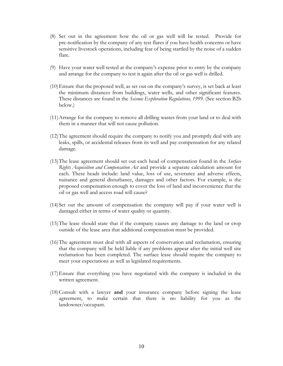- (8) Set out in the agreement how the oil or gas well will be tested. Provide for pre-notification by the company of any test flares if you have health concerns or have sensitive livestock operations, including fear of being startled by the noise of a sudden flare.
- (9) Have your water well tested at the company's expense prior to entry by the company and arrange for the company to test it again after the oil or gas well is drilled.
- (10)Ensure that the proposed well, as set out on the company's survey, is set back at least the minimum distances from buildings, water wells, and other significant features. These distances are found in the *Seismic Exploration Regulations, 1999.* (See section B2b below.)
- (11)Arrange for the company to remove all drilling wastes from your land or to deal with them in a manner that will not cause pollution.
- (12)The agreement should require the company to notify you and promptly deal with any leaks, spills, or accidental releases from its well and pay compensation for any related damage.
- (13)The lease agreement should set out each head of compensation found in the *Surface Rights Acquisition and Compensation Act* and provide a separate calculation amount for each. These heads include: land value, loss of use, severance and adverse effects, nuisance and general disturbance, damages and other factors. For example, is the proposed compensation enough to cover the loss of land and inconvenience that the oil or gas well and access road will cause?
- (14)Set out the amount of compensation the company will pay if your water well is damaged either in terms of water quality or quantity.
- (15)The lease should state that if the company causes any damage to the land or crop outside of the lease area that additional compensation must be provided.
- (16)The agreement must deal with all aspects of conservation and reclamation, ensuring that the company will be held liable if any problems appear after the initial well site reclamation has been completed. The surface lease should require the company to meet your expectations as well as legislated requirements.
- (17)Ensure that everything you have negotiated with the company is included in the written agreement.
- (18)Consult with a lawyer **and** your insurance company before signing the lease agreement, to make certain that there is no liability for you as the landowner/occupant.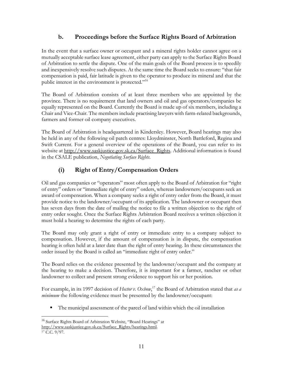#### **b. Proceedings before the Surface Rights Board of Arbitration**

In the event that a surface owner or occupant and a mineral rights holder cannot agree on a mutually acceptable surface lease agreement, either party can apply to the Surface Rights Board of Arbitration to settle the dispute. One of the main goals of the Board process is to speedily and inexpensively resolve such disputes. At the same time the Board seeks to ensure: "that fair compensation is paid, fair latitude is given to the operator to produce its mineral and that the public interest in the environment is protected."<sup>16</sup>

The Board of Arbitration consists of at least three members who are appointed by the province. There is no requirement that land owners and oil and gas operators/companies be equally represented on the Board. Currently the Board is made up of six members, including a Chair and Vice-Chair. The members include practising lawyers with farm-related backgrounds, farmers and former oil company executives.

The Board of Arbitration is headquartered in Kindersley. However, Board hearings may also be held in any of the following oil patch centres: Lloydminster, North Battleford, Regina and Swift Current. For a general overview of the operations of the Board, you can refer to its website at http://www.saskjustice.gov.sk.ca/Surface\_Rights. Additional information is found in the CSALE publication, *Negotiating Surface Rights*.

#### **(i) Right of Entry/Compensation Orders**

Oil and gas companies or "operators" most often apply to the Board of Arbitration for "right of entry" orders or "immediate right of entry" orders, whereas landowners/occupants seek an award of compensation. When a company seeks a right of entry order from the Board, it must provide notice to the landowner/occupant of its application. The landowner or occupant then has seven days from the date of mailing the notice to file a written objection to the right of entry order sought. Once the Surface Rights Arbitration Board receives a written objection it must hold a hearing to determine the rights of each party.

The Board may only grant a right of entry or immediate entry to a company subject to compensation. However, if the amount of compensation is in dispute, the compensation hearing is often held at a later date than the right of entry hearing. In these circumstances the order issued by the Board is called an "immediate right of entry order."

The Board relies on the evidence presented by the landowner/occupant and the company at the hearing to make a decision. Therefore, it is important for a farmer, rancher or other landowner to collect and present strong evidence to support his or her position.

For example, in its 1997 decision of *Hector v. Oxbow*, 17 the Board of Arbitration stated that *as a minimum* the following evidence must be presented by the landowner/occupant:

The municipal assessment of the parcel of land within which the oil installation

<sup>&</sup>lt;u>.</u> <sup>16</sup> Surface Rights Board of Arbitration Website, "Board Hearings" at

http://www.saskjustice.gov.sk.ca/Surface\_Rights/hearings.html.

<sup>17</sup> C.C. 9/97.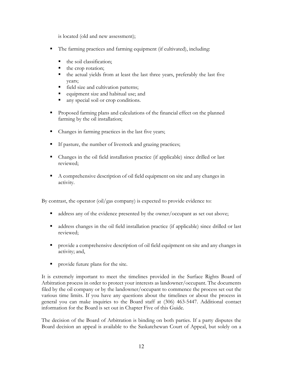is located (old and new assessment);

- The farming practices and farming equipment (if cultivated), including:
	- the soil classification;
	- the crop rotation;
	- the actual yields from at least the last three years, preferably the last five years;
	- **field size and cultivation patterns;**
	- equipment size and habitual use; and
	- $\blacksquare$  any special soil or crop conditions.
- **Proposed farming plans and calculations of the financial effect on the planned** farming by the oil installation;
- Changes in farming practices in the last five years;
- If pasture, the number of livestock and grazing practices;
- Changes in the oil field installation practice (if applicable) since drilled or last reviewed;
- A comprehensive description of oil field equipment on site and any changes in activity.

By contrast, the operator (oil/gas company) is expected to provide evidence to:

- ddress any of the evidence presented by the owner/occupant as set out above;
- address changes in the oil field installation practice (if applicable) since drilled or last reviewed;
- **Perovide a comprehensive description of oil field equipment on site and any changes in** activity; and,
- provide future plans for the site.

It is extremely important to meet the timelines provided in the Surface Rights Board of Arbitration process in order to protect your interests as landowner/occupant. The documents filed by the oil company or by the landowner/occupant to commence the process set out the various time limits. If you have any questions about the timelines or about the process in general you can make inquiries to the Board staff at (306) 463-5447. Additional contact information for the Board is set out in Chapter Five of this Guide.

The decision of the Board of Arbitration is binding on both parties. If a party disputes the Board decision an appeal is available to the Saskatchewan Court of Appeal, but solely on a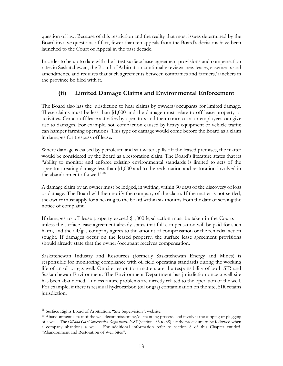question of law. Because of this restriction and the reality that most issues determined by the Board involve questions of fact, fewer than ten appeals from the Board's decisions have been launched to the Court of Appeal in the past decade.

In order to be up to date with the latest surface lease agreement provisions and compensation rates in Saskatchewan, the Board of Arbitration continually reviews new leases, easements and amendments, and requires that such agreements between companies and farmers/ranchers in the province be filed with it.

#### **(ii) Limited Damage Claims and Environmental Enforcement**

The Board also has the jurisdiction to hear claims by owners/occupants for limited damage. These claims must be less than \$1,000 and the damage must relate to off lease property or activities. Certain off lease activities by operators and their contractors or employees can give rise to damages. For example, soil compaction caused by heavy equipment or vehicle traffic can hamper farming operations. This type of damage would come before the Board as a claim in damages for trespass off lease.

Where damage is caused by petroleum and salt water spills off the leased premises, the matter would be considered by the Board as a restoration claim. The Board's literature states that its "ability to monitor and enforce existing environmental standards is limited to acts of the operator creating damage less than \$1,000 and to the reclamation and restoration involved in the abandonment of a well."<sup>18</sup>

A damage claim by an owner must be lodged, in writing, within 30 days of the discovery of loss or damage. The Board will then notify the company of the claim. If the matter is not settled, the owner must apply for a hearing to the board within six months from the date of serving the notice of complaint.

If damages to off lease property exceed \$1,000 legal action must be taken in the Courts unless the surface lease agreement already states that full compensation will be paid for such harm, and the oil/gas company agrees to the amount of compensation or the remedial action sought. If damages occur on the leased property, the surface lease agreement provisions should already state that the owner/occupant receives compensation.

Saskatchewan Industry and Resources (formerly Saskatchewan Energy and Mines) is responsible for monitoring compliance with oil field operating standards during the working life of an oil or gas well. On-site restoration matters are the responsibility of both SIR and Saskatchewan Environment. The Environment Department has jurisdiction once a well site has been abandoned,<sup>19</sup> unless future problems are directly related to the operation of the well. For example, if there is residual hydrocarbon (oil or gas) contamination on the site, SIR retains jurisdiction.

<u>.</u>

<sup>&</sup>lt;sup>18</sup> Surface Rights Board of Arbitration, "Site Supervision", website.

<sup>19</sup> Abandonment is part of the well decommissioning/dismantling process, and involves the capping or plugging of a well. The *Oil and Gas Conservation Regulations, 1985* (sections 35 to 38) list the procedure to be followed when a company abandons a well. For additional information refer to section 8 of this Chapter entitled, "Abandonment and Restoration of Well Sites".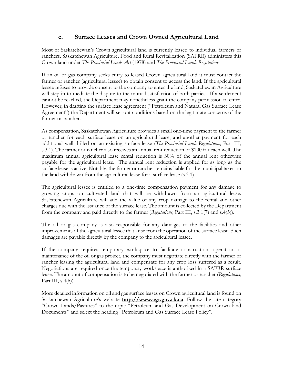#### **c. Surface Leases and Crown Owned Agricultural Land**

Most of Saskatchewan's Crown agricultural land is currently leased to individual farmers or ranchers. Saskatchewan Agriculture, Food and Rural Revitalization (SAFRR) administers this Crown land under *The Provincial Lands Act* (1978) and *The Provincial Lands Regulations*.

If an oil or gas company seeks entry to leased Crown agricultural land it must contact the farmer or rancher (agricultural lessee) to obtain consent to access the land. If the agricultural lessee refuses to provide consent to the company to enter the land, Saskatchewan Agriculture will step in to mediate the dispute to the mutual satisfaction of both parties. If a settlement cannot be reached, the Department may nonetheless grant the company permission to enter. However, in drafting the surface lease agreement ("Petroleum and Natural Gas Surface Lease Agreement") the Department will set out conditions based on the legitimate concerns of the farmer or rancher.

As compensation, Saskatchewan Agriculture provides a small one-time payment to the farmer or rancher for each surface lease on an agricultural lease, and another payment for each additional well drilled on an existing surface lease (*The Provincial Lands Regulations*, Part III, s.3.1). The farmer or rancher also receives an annual rent reduction of \$100 for each well. The maximum annual agricultural lease rental reduction is 30% of the annual rent otherwise payable for the agricultural lease. The annual rent reduction is applied for as long as the surface lease is active. Notably, the farmer or rancher remains liable for the municipal taxes on the land withdrawn from the agricultural lease for a surface lease (s.3.1).

The agricultural lessee is entitled to a one-time compensation payment for any damage to growing crops on cultivated land that will be withdrawn from an agricultural lease. Saskatchewan Agriculture will add the value of any crop damage to the rental and other charges due with the issuance of the surface lease. The amount is collected by the Department from the company and paid directly to the farmer (*Regulations*, Part III, s.3.1(7) and s.4(5)).

The oil or gas company is also responsible for any damages to the facilities and other improvements of the agricultural lessee that arise from the operation of the surface lease. Such damages are payable directly by the company to the agricultural lessee.

If the company requires temporary workspace to facilitate construction, operation or maintenance of the oil or gas project, the company must negotiate directly with the farmer or rancher leasing the agricultural land and compensate for any crop loss suffered as a result. Negotiations are required once the temporary workspace is authorized in a SAFRR surface lease. The amount of compensation is to be negotiated with the farmer or rancher (*Regulations*, Part III,  $s.4(6)$ ).

More detailed information on oil and gas surface leases on Crown agricultural land is found on Saskatchewan Agriculture's website **http://www.agr.gov.sk.ca**. Follow the site category "Crown Lands/Pastures" to the topic "Petroleum and Gas Development on Crown land Documents" and select the heading "Petroleum and Gas Surface Lease Policy".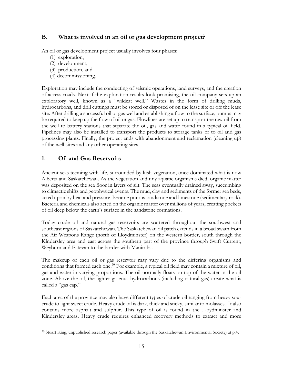#### **B. What is involved in an oil or gas development project?**

An oil or gas development project usually involves four phases:

- (1) exploration,
- (2) development,
- (3) production, and
- (4) decommissioning.

Exploration may include the conducting of seismic operations, land surveys, and the creation of access roads. Next if the exploration results look promising, the oil company sets up an exploratory well, known as a "wildcat well." Wastes in the form of drilling muds, hydrocarbons, and drill cuttings must be stored or disposed of on the lease site or off the lease site. After drilling a successful oil or gas well and establishing a flow to the surface, pumps may be required to keep up the flow of oil or gas. Flowlines are set up to transport the raw oil from the well to battery stations that separate the oil, gas and water found in a typical oil field. Pipelines may also be installed to transport the products to storage tanks or to oil and gas processing plants. Finally, the project ends with abandonment and reclamation (cleaning up) of the well sites and any other operating sites.

#### **1. Oil and Gas Reservoirs**

Ancient seas teeming with life, surrounded by lush vegetation, once dominated what is now Alberta and Saskatchewan. As the vegetation and tiny aquatic organisms died, organic matter was deposited on the sea floor in layers of silt. The seas eventually drained away, succumbing to climactic shifts and geophysical events. The mud, clay and sediments of the former sea beds, acted upon by heat and pressure, became porous sandstone and limestone (sedimentary rock). Bacteria and chemicals also acted on the organic matter over millions of years, creating pockets of oil deep below the earth's surface in the sandstone formations.

Today crude oil and natural gas reservoirs are scattered throughout the southwest and southeast regions of Saskatchewan. The Saskatchewan oil patch extends in a broad swath from the Air Weapons Range (north of Lloydminster) on the western border, south through the Kindersley area and east across the southern part of the province through Swift Current, Weyburn and Estevan to the border with Manitoba.

The makeup of each oil or gas reservoir may vary due to the differing organisms and conditions that formed each one.<sup>20</sup> For example, a typical oil field may contain a mixture of oil, gas and water in varying proportions. The oil normally floats on top of the water in the oil zone. Above the oil, the lighter gaseous hydrocarbons (including natural gas) create what is called a "gas cap."

Each area of the province may also have different types of crude oil ranging from heavy sour crude to light sweet crude. Heavy crude oil is dark, thick and sticky, similar to molasses. It also contains more asphalt and sulphur. This type of oil is found in the Lloydminster and Kindersley areas. Heavy crude requires enhanced recovery methods to extract and more

 $\overline{a}$ 20 Stuart King, unpublished research paper (available through the Saskatchewan Environmental Society) at p.4.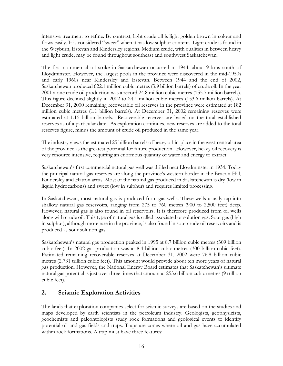intensive treatment to refine. By contrast, light crude oil is light golden brown in colour and flows easily. It is considered "sweet" when it has low sulphur content. Light crude is found in the Weyburn, Estevan and Kindersley regions. Medium crude, with qualities in between heavy and light crude, may be found throughout southeast and southwest Saskatchewan.

The first commercial oil strike in Saskatchewan occurred in 1944, about 9 kms south of Lloydminster. However, the largest pools in the province were discovered in the mid-1950s and early 1960s near Kindersley and Estevan. Between 1944 and the end of 2002, Saskatchewan produced 622.1 million cubic metres (3.9 billion barrels) of crude oil. In the year 2001 alone crude oil production was a record 24.8 million cubic metres (155.7 million barrels). This figure declined slightly in 2002 to 24.4 million cubic metres (153.6 million barrels). At December 31, 2000 remaining recoverable oil reserves in the province were estimated at 182 million cubic metres (1.1 billion barrels). At December 31, 2002 remaining reserves were estimated at 1.15 billion barrels. Recoverable reserves are based on the total established reserves as of a particular date. As exploration continues, new reserves are added to the total reserves figure, minus the amount of crude oil produced in the same year.

The industry views the estimated 25 billion barrels of heavy oil-in-place in the west-central area of the province as the greatest potential for future production. However, heavy oil recovery is very resource intensive, requiring an enormous quantity of water and energy to extract.

Saskatchewan's first commercial natural gas well was drilled near Lloydminster in 1934. Today the principal natural gas reserves are along the province's western border in the Beacon Hill, Kindersley and Hatton areas. Most of the natural gas produced in Saskatchewan is dry (low in liquid hydrocarbons) and sweet (low in sulphur) and requires limited processing.

In Saskatchewan, most natural gas is produced from gas wells. These wells usually tap into shallow natural gas reservoirs, ranging from 275 to 760 metres (900 to 2,500 feet) deep. However, natural gas is also found in oil reservoirs. It is therefore produced from oil wells along with crude oil. This type of natural gas is called associated or solution gas. Sour gas (high in sulphur), although more rare in the province, is also found in sour crude oil reservoirs and is produced as sour solution gas.

Saskatchewan's natural gas production peaked in 1995 at 8.7 billion cubic metres (309 billion cubic feet). In 2002 gas production was at 8.4 billion cubic metres (300 billion cubic feet). Estimated remaining recoverable reserves at December 31, 2002 were 76.8 billion cubic metres (2.731 trillion cubic feet). This amount would provide about ten more years of natural gas production. However, the National Energy Board estimates that Saskatchewan's ultimate natural gas potential is just over three times that amount at 253.6 billion cubic metres (9 trillion cubic feet).

#### **2. Seismic Exploration Activities**

The lands that exploration companies select for seismic surveys are based on the studies and maps developed by earth scientists in the petroleum industry. Geologists, geophysicists, geochemists and paleontologists study rock formations and geological events to identify potential oil and gas fields and traps. Traps are zones where oil and gas have accumulated within rock formations. A trap must have three features: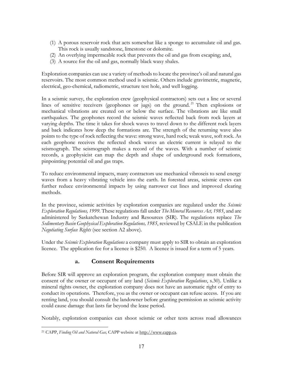- (1) A porous reservoir rock that acts somewhat like a sponge to accumulate oil and gas. This rock is usually sandstone, limestone or dolomite.
- (2) An overlying impermeable rock that prevents the oil and gas from escaping; and,
- (3) A source for the oil and gas, normally black waxy shales.

Exploration companies can use a variety of methods to locate the province's oil and natural gas reservoirs. The most common method used is seismic. Others include gravimetric, magnetic, electrical, geo-chemical, radiometric, structure test hole, and well logging.

In a seismic survey, the exploration crew (geophysical contractors) sets out a line or several lines of sensitive receivers (geophones or jugs) on the ground. 21 Then explosions or mechanical vibrations are created on or below the surface. The vibrations are like small earthquakes. The geophones record the seismic waves reflected back from rock layers at varying depths. The time it takes for shock waves to travel down to the different rock layers and back indicates how deep the formations are. The strength of the returning wave also points to the type of rock reflecting the wave: strong wave, hard rock; weak wave, soft rock. As each geophone receives the reflected shock waves an electric current is relayed to the seismograph. The seismograph makes a record of the waves. With a number of seismic records, a geophysicist can map the depth and shape of underground rock formations, pinpointing potential oil and gas traps.

To reduce environmental impacts, many contractors use mechanical vibroseis to send energy waves from a heavy vibrating vehicle into the earth. In forested areas, seismic crews can further reduce environmental impacts by using narrower cut lines and improved clearing methods.

In the province, seismic activities by exploration companies are regulated under the *Seismic Exploration Regulations, 1999*. These regulations fall under *The Mineral Resources Act, 1985*, and are administered by Saskatchewan Industry and Resources (SIR). The regulations replace *The Sedimentary Basin Geophysical Exploration Regulations, 1985*, reviewed by CSALE in the publication *Negotiating Surface Rights* (see section A2 above).

Under the *Seismic Exploration Regulations* a company must apply to SIR to obtain an exploration licence. The application fee for a licence is \$250. A licence is issued for a term of 5 years.

#### **a. Consent Requirements**

Before SIR will approve an exploration program, the exploration company must obtain the consent of the owner or occupant of any land (*Seismic Exploration Regulations*, s.30). Unlike a mineral rights owner, the exploration company does not have an automatic right of entry to conduct its operations. Therefore, you as the owner or occupant can refuse access. If you are renting land, you should consult the landowner before granting permission as seismic activity could cause damage that lasts far beyond the lease period.

Notably, exploration companies can shoot seismic or other tests across road allowances

 $\overline{a}$ 21 CAPP, *Finding Oil and Natural Gas,* CAPP website at http://www.capp.ca.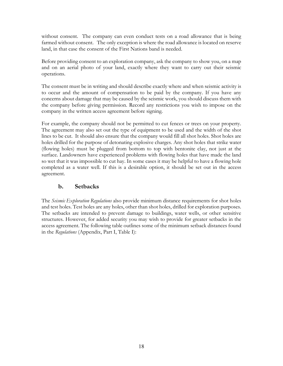without consent. The company can even conduct tests on a road allowance that is being farmed without consent. The only exception is where the road allowance is located on reserve land, in that case the consent of the First Nations band is needed.

Before providing consent to an exploration company, ask the company to show you, on a map and on an aerial photo of your land, exactly where they want to carry out their seismic operations.

The consent must be in writing and should describe exactly where and when seismic activity is to occur and the amount of compensation to be paid by the company. If you have any concerns about damage that may be caused by the seismic work, you should discuss them with the company before giving permission. Record any restrictions you wish to impose on the company in the written access agreement before signing.

For example, the company should not be permitted to cut fences or trees on your property. The agreement may also set out the type of equipment to be used and the width of the shot lines to be cut. It should also ensure that the company would fill all shot holes. Shot holes are holes drilled for the purpose of detonating explosive charges. Any shot holes that strike water (flowing holes) must be plugged from bottom to top with bentonite clay, not just at the surface. Landowners have experienced problems with flowing holes that have made the land so wet that it was impossible to cut hay. In some cases it may be helpful to have a flowing hole completed as a water well. If this is a desirable option, it should be set out in the access agreement.

#### **b. Setbacks**

The *Seismic Exploration Regulations* also provide minimum distance requirements for shot holes and test holes. Test holes are any holes, other than shot holes, drilled for exploration purposes. The setbacks are intended to prevent damage to buildings, water wells, or other sensitive structures. However, for added security you may wish to provide for greater setbacks in the access agreement. The following table outlines some of the minimum setback distances found in the *Regulations* (Appendix, Part I, Table I):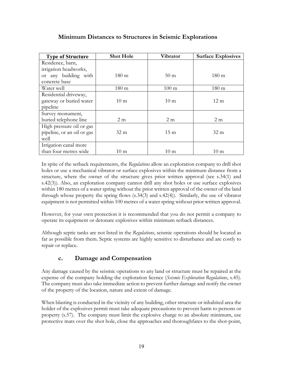#### **Minimum Distances to Structures in Seismic Explorations**

| <b>Type of Structure</b>   | <b>Shot Hole</b> | Vibrator        | <b>Surface Explosives</b> |
|----------------------------|------------------|-----------------|---------------------------|
| Residence, barn,           |                  |                 |                           |
| irrigation headworks,      |                  |                 |                           |
| or any building with       | $180 \text{ m}$  | 50 <sub>m</sub> | $180 \text{ m}$           |
| concrete base              |                  |                 |                           |
| Water well                 | $180 \text{ m}$  | $100 \text{ m}$ | $180 \text{ m}$           |
| Residential driveway,      |                  |                 |                           |
| gateway or buried water    | $10 \text{ m}$   | $10 \text{ m}$  | $12 \text{ m}$            |
| pipeline                   |                  |                 |                           |
| Survey monument,           |                  |                 |                           |
| buried telephone line      | 2 <sub>m</sub>   | 2 <sub>m</sub>  | 2 <sub>m</sub>            |
| High pressure oil or gas   |                  |                 |                           |
| pipeline, or an oil or gas | 32 <sub>m</sub>  | $15 \text{ m}$  | 32 <sub>m</sub>           |
| well                       |                  |                 |                           |
| Irrigation canal more      |                  |                 |                           |
| than four metres wide      | $10 \text{ m}$   | 10 <sub>m</sub> | $10 \text{ m}$            |

In spite of the setback requirements, the *Regulations* allow an exploration company to drill shot holes or use a mechanical vibrator or surface explosives within the minimum distance from a structure, where the owner of the structure gives prior written approval (see s.34(1) and s.42(3)). Also, an exploration company cannot drill any shot holes or use surface explosives within 180 metres of a water spring without the prior written approval of the owner of the land through whose property the spring flows (s.34(3) and s.42(4)). Similarly, the use of vibrator equipment is not permitted within 100 metres of a water spring without prior written approval.

However, for your own protection it is recommended that you do not permit a company to operate its equipment or detonate explosives within minimum setback distances.

Although septic tanks are not listed in the *Regulations*, seismic operations should be located as far as possible from them. Septic systems are highly sensitive to disturbance and are costly to repair or replace.

#### **c. Damage and Compensation**

Any damage caused by the seismic operations to any land or structure must be repaired at the expense of the company holding the exploration licence (*Seismic Exploration Regulations*, s.45). The company must also take immediate action to prevent further damage and notify the owner of the property of the location, nature and extent of damage.

When blasting is conducted in the vicinity of any building, other structure or inhabited area the holder of the explosives permit must take adequate precautions to prevent harm to persons or property (s.57). The company must limit the explosive charge to an absolute minimum, use protective mats over the shot hole, close the approaches and thoroughfares to the shot-point,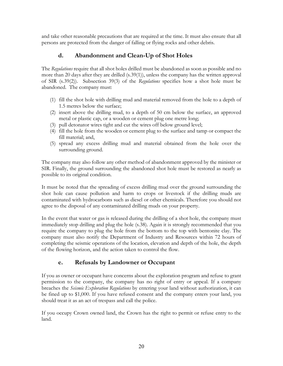and take other reasonable precautions that are required at the time. It must also ensure that all persons are protected from the danger of falling or flying rocks and other debris.

#### **d. Abandonment and Clean-Up of Shot Holes**

The *Regulations* require that all shot holes drilled must be abandoned as soon as possible and no more than 20 days after they are drilled (s.39(1)), unless the company has the written approval of SIR (s.39(2)). Subsection 39(3) of the *Regulations* specifies how a shot hole must be abandoned. The company must:

- (1) fill the shot hole with drilling mud and material removed from the hole to a depth of 1.5 metres below the surface;
- (2) insert above the drilling mud, to a depth of 50 cm below the surface, an approved metal or plastic cap, or a wooden or cement plug one metre long;
- (3) pull detonator wires tight and cut the wires off below ground level;
- (4) fill the hole from the wooden or cement plug to the surface and tamp or compact the fill material; and,
- (5) spread any excess drilling mud and material obtained from the hole over the surrounding ground.

The company may also follow any other method of abandonment approved by the minister or SIR. Finally, the ground surrounding the abandoned shot hole must be restored as nearly as possible to its original condition.

It must be noted that the spreading of excess drilling mud over the ground surrounding the shot hole can cause pollution and harm to crops or livestock if the drilling muds are contaminated with hydrocarbons such as diesel or other chemicals. Therefore you should not agree to the disposal of any contaminated drilling muds on your property.

In the event that water or gas is released during the drilling of a shot hole, the company must immediately stop drilling and plug the hole (s.38). Again it is strongly recommended that you require the company to plug the hole from the bottom to the top with bentonite clay. The company must also notify the Department of Industry and Resources within 72 hours of completing the seismic operations of the location, elevation and depth of the hole, the depth of the flowing horizon, and the action taken to control the flow.

#### **e. Refusals by Landowner or Occupant**

If you as owner or occupant have concerns about the exploration program and refuse to grant permission to the company, the company has no right of entry or appeal. If a company breaches the *Seismic Exploration Regulations* by entering your land without authorization, it can be fined up to \$1,000. If you have refused consent and the company enters your land, you should treat it as an act of trespass and call the police.

If you occupy Crown owned land, the Crown has the right to permit or refuse entry to the land.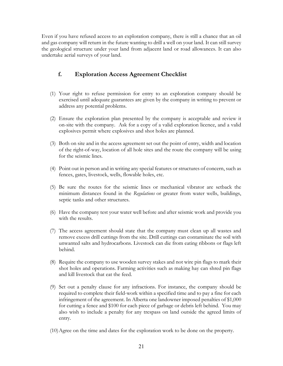Even if you have refused access to an exploration company, there is still a chance that an oil and gas company will return in the future wanting to drill a well on your land. It can still survey the geological structure under your land from adjacent land or road allowances. It can also undertake aerial surveys of your land.

#### **f. Exploration Access Agreement Checklist**

- (1) Your right to refuse permission for entry to an exploration company should be exercised until adequate guarantees are given by the company in writing to prevent or address any potential problems.
- (2) Ensure the exploration plan presented by the company is acceptable and review it on-site with the company. Ask for a copy of a valid exploration licence, and a valid explosives permit where explosives and shot holes are planned.
- (3) Both on site and in the access agreement set out the point of entry, width and location of the right-of-way, location of all hole sites and the route the company will be using for the seismic lines.
- (4) Point out in person and in writing any special features or structures of concern, such as fences, gates, livestock, wells, flowable holes, etc.
- (5) Be sure the routes for the seismic lines or mechanical vibrator are setback the minimum distances found in the *Regulations* or greater from water wells, buildings, septic tanks and other structures.
- (6) Have the company test your water well before and after seismic work and provide you with the results.
- (7) The access agreement should state that the company must clean up all wastes and remove excess drill cuttings from the site. Drill cuttings can contaminate the soil with unwanted salts and hydrocarbons. Livestock can die from eating ribbons or flags left behind.
- (8) Require the company to use wooden survey stakes and not wire pin flags to mark their shot holes and operations. Farming activities such as making hay can shred pin flags and kill livestock that eat the feed.
- (9) Set out a penalty clause for any infractions. For instance, the company should be required to complete their field-work within a specified time and to pay a fine for each infringement of the agreement. In Alberta one landowner imposed penalties of \$1,000 for cutting a fence and \$100 for each piece of garbage or debris left behind. You may also wish to include a penalty for any trespass on land outside the agreed limits of entry.
- (10)Agree on the time and dates for the exploration work to be done on the property.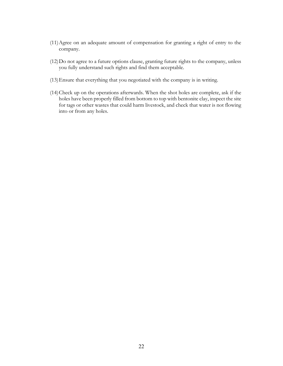- (11)Agree on an adequate amount of compensation for granting a right of entry to the company.
- (12)Do not agree to a future options clause, granting future rights to the company, unless you fully understand such rights and find them acceptable.
- (13)Ensure that everything that you negotiated with the company is in writing.
- (14)Check up on the operations afterwards. When the shot holes are complete, ask if the holes have been properly filled from bottom to top with bentonite clay, inspect the site for tags or other wastes that could harm livestock, and check that water is not flowing into or from any holes.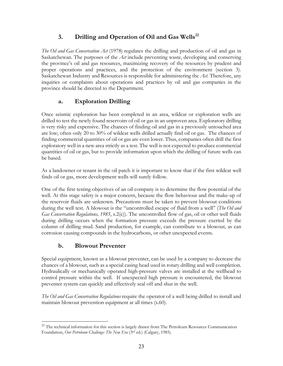#### 3. Drilling and Operation of Oil and Gas Wells<sup>22</sup>

*The Oil and Gas Conservation Act* (1978) regulates the drilling and production of oil and gas in Saskatchewan. The purposes of the *Act* include preventing waste, developing and conserving the province's oil and gas resources, maximizing recovery of the resources by prudent and proper operations and practices, and the protection of the environment (section 3). Saskatchewan Industry and Resources is responsible for administering the *Act.* Therefore, any inquiries or complaints about operations and practices by oil and gas companies in the province should be directed to the Department.

#### **a. Exploration Drilling**

Once seismic exploration has been completed in an area, wildcat or exploration wells are drilled to test the newly found reservoirs of oil or gas in an unproven area. Exploratory drilling is very risky and expensive. The chances of finding oil and gas in a previously untouched area are low; often only 20 to 30% of wildcat wells drilled actually find oil or gas. The chances of finding commercial quantities of oil or gas are even lower. Thus, companies often drill the first exploratory well in a new area strictly as a test. The well is not expected to produce commercial quantities of oil or gas, but to provide information upon which the drilling of future wells can be based.

As a landowner or tenant in the oil patch it is important to know that if the first wildcat well finds oil or gas, more development wells will surely follow.

One of the first testing objectives of an oil company is to determine the flow potential of the well. At this stage safety is a major concern, because the flow behaviour and the make-up of the reservoir fluids are unknown. Precautions must be taken to prevent blowout conditions during the well test. A blowout is the "uncontrolled escape of fluid from a well" (*The Oil and Gas Conservation Regulations, 1985*, s.2(e)). The uncontrolled flow of gas, oil or other well fluids during drilling occurs when the formation pressure exceeds the pressure exerted by the column of drilling mud. Sand production, for example, can contribute to a blowout, as can corrosion causing compounds in the hydrocarbons, or other unexpected events.

#### **b. Blowout Preventer**

Special equipment, known as a blowout preventer, can be used by a company to decrease the chances of a blowout, such as a special casing head used in rotary drilling and well completion. Hydraulically or mechanically operated high-pressure valves are installed at the wellhead to control pressure within the well. If unexpected high pressure is encountered, the blowout preventer system can quickly and effectively seal off and shut in the well.

*The Oil and Gas Conservation Regulations* require the operator of a well being drilled to install and maintain blowout prevention equipment at all times (s.60).

 $\overline{a}$ <sup>22</sup> The technical information for this section is largely drawn from The Petroleum Resources Communication Foundation, *Our Petroleum Challenge: The New Era* (3rd ed.) (Calgary, 1985).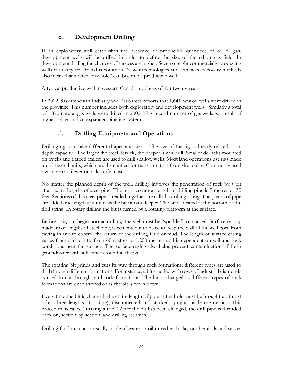#### **c. Development Drilling**

If an exploratory well establishes the presence of producible quantities of oil or gas, development wells will be drilled in order to define the size of the oil or gas field. In development drilling the chances of success are higher. Seven or eight commercially producing wells for every ten drilled is common. Newer technologies and enhanced recovery methods also mean that a once "dry hole" can become a productive well.

A typical productive well in western Canada produces oil for twenty years.

In 2002, Saskatchewan Industry and Resources reports that 1,641 new oil wells were drilled in the province. This number includes both exploratory and development wells. Similarly a total of 1,872 natural gas wells were drilled in 2002. This record number of gas wells is a result of higher prices and an expanded pipeline system.

#### **d. Drilling Equipment and Operations**

Drilling rigs can take different shapes and sizes. The size of the rig is directly related to its depth capacity. The larger the steel derrick, the deeper it can drill. Smaller derricks mounted on trucks and flatbed trailers are used to drill shallow wells. Most land operations use rigs made up of several units, which are dismantled for transportation from site to site. Commonly used rigs have cantilever or jack-knife masts.

No matter the planned depth of the well, drilling involves the penetration of rock by a bit attached to lengths of steel pipe. The most common length of drilling pipe is 9 metres or 30 feet. Sections of this steel pipe threaded together are called a drilling string. The pieces of pipe are added one length at a time, as the bit moves deeper. The bit is located at the bottom of the drill string. In rotary drilling the bit is turned by a rotating platform at the surface.

Before a rig can begin normal drilling, the well must be "spudded" or started. Surface casing, made up of lengths of steel pipe, is cemented into place to keep the wall of the well bore from caving in and to control the return of the drilling fluid or mud. The length of surface casing varies from site to site, from 60 metres to 1,200 metres, and is dependent on soil and rock conditions near the surface. The surface casing also helps prevent contamination of fresh groundwater with substances found in the well.

The rotating bit grinds and cuts its way through rock formations; different types are used to drill through different formations. For instance, a bit studded with rows of industrial diamonds is used to cut through hard rock formations. The bit is changed as different types of rock formations are encountered or as the bit is worn down.

Every time the bit is changed, the entire length of pipe in the hole must be brought up (most often three lengths at a time), disconnected and stacked upright inside the derrick. This procedure is called "making a trip." After the bit has been changed, the drill pipe is threaded back on, section-by-section, and drilling resumes.

Drilling fluid or mud is usually made of water or oil mixed with clay or chemicals and serves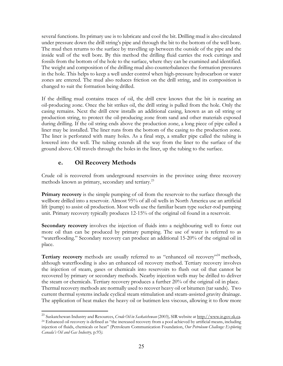several functions. Its primary use is to lubricate and cool the bit. Drilling mud is also circulated under pressure down the drill string's pipe and through the bit to the bottom of the well bore. The mud then returns to the surface by travelling up between the outside of the pipe and the inside wall of the well bore. By this method the drilling fluid carries the rock cuttings and fossils from the bottom of the hole to the surface, where they can be examined and identified. The weight and composition of the drilling mud also counterbalances the formation pressures in the hole. This helps to keep a well under control when high-pressure hydrocarbon or water zones are entered. The mud also reduces friction on the drill string, and its composition is changed to suit the formation being drilled.

If the drilling mud contains traces of oil, the drill crew knows that the bit is nearing an oil-producing zone. Once the bit strikes oil, the drill string is pulled from the hole. Only the casing remains. Next the drill crew installs an additional casing, known as an oil string or production string, to protect the oil-producing zone from sand and other materials exposed during drilling. If the oil string ends above the production zone, a long piece of pipe called a liner may be installed. The liner runs from the bottom of the casing to the production zone. The liner is perforated with many holes. As a final step, a smaller pipe called the tubing is lowered into the well. The tubing extends all the way from the liner to the surface of the ground above. Oil travels through the holes in the liner, up the tubing to the surface.

#### **e. Oil Recovery Methods**

1

Crude oil is recovered from underground reservoirs in the province using three recovery methods known as primary, secondary and tertiary.<sup>23</sup>

**Primary recovery** is the simple pumping of oil from the reservoir to the surface through the wellbore drilled into a reservoir. Almost 95% of all oil wells in North America use an artificial lift (pump) to assist oil production. Most wells use the familiar beam type sucker-rod pumping unit. Primary recovery typically produces 12-15% of the original oil found in a reservoir.

**Secondary recovery** involves the injection of fluids into a neighbouring well to force out more oil than can be produced by primary pumping. The use of water is referred to as "waterflooding." Secondary recovery can produce an additional 15-20% of the original oil in place.

**Tertiary recovery** methods are usually referred to as "enhanced oil recovery"<sup>24</sup> methods, although waterflooding is also an enhanced oil recovery method. Tertiary recovery involves the injection of steam, gases or chemicals into reservoirs to flush out oil that cannot be recovered by primary or secondary methods. Nearby injection wells may be drilled to deliver the steam or chemicals. Tertiary recovery produces a further 20% of the original oil in place. Thermal recovery methods are normally used to recover heavy oil or bitumen (tar sands). Two current thermal systems include cyclical steam stimulation and steam-assisted gravity drainage. The application of heat makes the heavy oil or butimen less viscous, allowing it to flow more

<sup>23</sup> Saskatchewan Industry and Resources, *Crude Oil in Saskatchewan* (2003)*,* SIR website at http://www.ir.gov.sk.ca. <sup>24</sup> Enhanced oil recovery is defined as "the increased recovery from a pool achieved by artificial means, including injection of fluids, chemicals or heat" (Petroleum Communication Foundation, *Our Petroleum Challenge: Exploring Canada's Oil and Gas Industry,* p.93*).*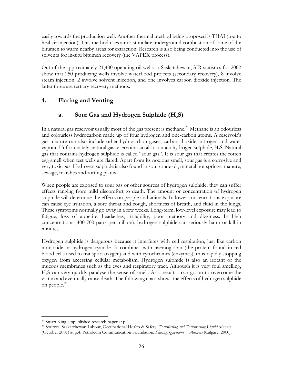easily towards the production well. Another thermal method being proposed is THAI (toe-to heal air injection). This method uses air to stimulate underground combustion of some of the bitumen to warm nearby areas for extraction. Research is also being conducted into the use of solvents for in-situ bitumen recovery (the VAPEX process).

Out of the approximately 21,400 operating oil wells in Saskatchewan, SIR statistics for 2002 show that 250 producing wells involve waterflood projects (secondary recovery), 8 involve steam injection, 2 involve solvent injection, and one involves carbon dioxide injection. The latter three are tertiary recovery methods.

#### **4. Flaring and Venting**

#### a. Sour Gas and Hydrogen Sulphide (H<sub>2</sub>S)

In a natural gas reservoir usually most of the gas present is methane.<sup>25</sup> Methane is an odourless and colourless hydrocarbon made up of four hydrogen and one-carbon atoms. A reservoir's gas mixture can also include other hydrocarbon gases, carbon dioxide, nitrogen and water vapour. Unfortunately, natural gas reservoirs can also contain hydrogen sulphide, H2S. Natural gas that contains hydrogen sulphide is called "sour gas". It is sour gas that creates the rotten egg smell when test wells are flared. Apart from its noxious smell, sour gas is a corrosive and very toxic gas. Hydrogen sulphide is also found in sour crude oil, mineral hot springs, manure, sewage, marshes and rotting plants.

When people are exposed to sour gas or other sources of hydrogen sulphide, they can suffer effects ranging from mild discomfort to death. The amount or concentration of hydrogen sulphide will determine the effects on people and animals. In lower concentrations exposure can cause eye irritation, a sore throat and cough, shortness of breath, and fluid in the lungs. These symptoms normally go away in a few weeks. Long-term, low-level exposure may lead to fatigue, loss of appetite, headaches, irritability, poor memory and dizziness. In high concentrations (400-700 parts per million), hydrogen sulphide can seriously harm or kill in minutes.

Hydrogen sulphide is dangerous because it interferes with cell respiration, just like carbon monoxide or hydrogen cyanide. It combines with haemoglobin (the protein found in red blood cells used to transport oxygen) and with cytochromes (enzymes), thus rapidly stopping oxygen from accessing cellular metabolism. Hydrogen sulphide is also an irritant of the mucous membranes such as the eyes and respiratory tract. Although it is very foul smelling, H2S can very quickly paralyse the sense of smell. As a result it can go on to overcome the victim and eventually cause death. The following chart shows the effects of hydrogen sulphide on people.<sup>26</sup>

 $\overline{a}$ 25 Stuart King, unpublished research paper at p.4.

<sup>26</sup> Sources: Saskatchewan Labour, Occupational Health & Safety, *Transferring and Transporting Liquid Manure* (October 2001) at p.4; Petroleum Communication Foundation, *Flaring: Questions + Answers* (Calgary, 2000)*.*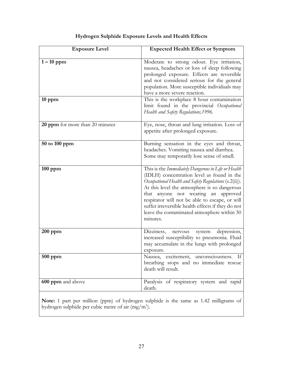| <b>Exposure Level</b>           | <b>Expected Health Effect or Symptom</b>                                                                                                                                                                                                                                                                                                                                                                            |
|---------------------------------|---------------------------------------------------------------------------------------------------------------------------------------------------------------------------------------------------------------------------------------------------------------------------------------------------------------------------------------------------------------------------------------------------------------------|
| $1-10$ ppm                      | Moderate to strong odour. Eye irritation,<br>nausea, headaches or loss of sleep following<br>prolonged exposure. Effects are reversible<br>and not considered serious for the general<br>population. More susceptible individuals may<br>have a more severe reaction.                                                                                                                                               |
| $10$ ppm                        | This is the workplace 8 hour contamination<br>limit found in the provincial Occupational<br>Health and Safety Regulations, 1996.                                                                                                                                                                                                                                                                                    |
| 20 ppm for more than 20 minutes | Eye, nose, throat and lung irritation. Loss of<br>appetite after prolonged exposure.                                                                                                                                                                                                                                                                                                                                |
| 50 to 100 ppm                   | Burning sensation in the eyes and throat,<br>headaches. Vomiting nausea and diarrhea.<br>Some may temporarily lose sense of smell.                                                                                                                                                                                                                                                                                  |
| $100$ ppm                       | This is the Immediately Dangerous to Life or Health<br>(IDLH) concentration level as found in the<br>Occupational Health and Safety Regulations (s.2(ii)).<br>At this level the atmosphere is so dangerous<br>that anyone not wearing an approved<br>respirator will not be able to escape, or will<br>suffer irreversible health effects if they do not<br>leave the contaminated atmosphere within 30<br>minutes. |
| $200$ ppm                       | depression,<br>Dizziness,<br>system<br>nervous<br>increased susceptibility to pneumonia. Fluid<br>may accumulate in the lungs with prolonged<br>exposure.                                                                                                                                                                                                                                                           |
| $500$ ppm                       | Nausea, excitement, unconsciousness.<br>If<br>breathing stops and no immediate rescue<br>death will result.                                                                                                                                                                                                                                                                                                         |
| 600 ppm and above               | Paralysis of respiratory system and rapid<br>death.                                                                                                                                                                                                                                                                                                                                                                 |

#### **Hydrogen Sulphide Exposure Levels and Health Effects**

**Note:** 1 part per million (ppm) of hydrogen sulphide is the same as 1.42 milligrams of hydrogen sulphide per cubic metre of air  $(mg/m<sup>3</sup>)$ .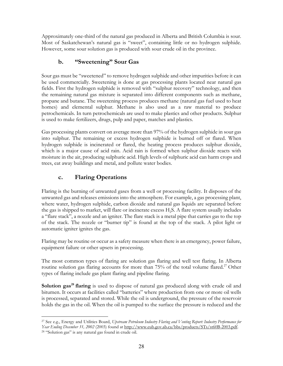Approximately one-third of the natural gas produced in Alberta and British Columbia is sour. Most of Saskatchewan's natural gas is "sweet", containing little or no hydrogen sulphide. However, some sour solution gas is produced with sour crude oil in the province.

#### **b. "Sweetening" Sour Gas**

Sour gas must be "sweetened" to remove hydrogen sulphide and other impurities before it can be used commercially. Sweetening is done at gas processing plants located near natural gas fields. First the hydrogen sulphide is removed with "sulphur recovery" technology, and then the remaining natural gas mixture is separated into different components such as methane, propane and butane. The sweetening process produces methane (natural gas fuel used to heat homes) and elemental sulphur. Methane is also used as a raw material to produce petrochemicals. In turn petrochemicals are used to make plastics and other products. Sulphur is used to make fertilizers, drugs, pulp and paper, matches and plastics.

Gas processing plants convert on average more than 97% of the hydrogen sulphide in sour gas into sulphur. The remaining or excess hydrogen sulphide is burned off or flared. When hydrogen sulphide is incinerated or flared, the heating process produces sulphur dioxide, which is a major cause of acid rain. Acid rain is formed when sulphur dioxide reacts with moisture in the air, producing sulphuric acid. High levels of sulphuric acid can harm crops and trees, eat away buildings and metal, and pollute water bodies.

#### **c. Flaring Operations**

Flaring is the burning of unwanted gases from a well or processing facility. It disposes of the unwanted gas and releases emissions into the atmosphere. For example, a gas processing plant, where water, hydrogen sulphide, carbon dioxide and natural gas liquids are separated before the gas is shipped to market, will flare or incinerate excess H2S. A flare system usually includes a "flare stack", a nozzle and an igniter. The flare stack is a metal pipe that carries gas to the top of the stack. The nozzle or "burner tip" is found at the top of the stack. A pilot light or automatic igniter ignites the gas.

Flaring may be routine or occur as a safety measure when there is an emergency, power failure, equipment failure or other upsets in processing.

The most common types of flaring are solution gas flaring and well test flaring. In Alberta routine solution gas flaring accounts for more than 75% of the total volume flared.<sup>27</sup> Other types of flaring include gas plant flaring and pipeline flaring.

**Solution gas<sup>28</sup> flaring** is used to dispose of natural gas produced along with crude oil and bitumen. It occurs at facilities called "batteries" where production from one or more oil wells is processed, separated and stored. While the oil is underground, the pressure of the reservoir holds the gas in the oil. When the oil is pumped to the surface the pressure is reduced and the

<sup>1</sup> 27 See e.g., Energy and Utilities Board, *Upstream Petroleum Industry Flaring and Venting Report: Industry Performance for Year Ending December 31, 2002* (2003) found at http://www.eub.gov.ab.ca/bbs/products/STs/st60B-2003.pdf. 28 "Solution gas" is any natural gas found in crude oil.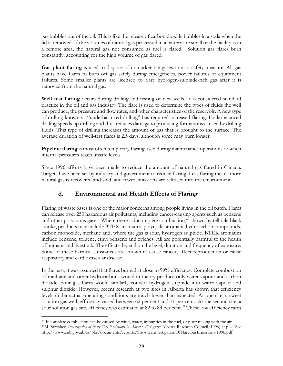gas bubbles out of the oil. This is like the release of carbon dioxide bubbles in a soda when the lid is removed. If the volumes of natural gas processed in a battery are small or the facility is in a remote area, the natural gas not consumed as fuel is flared. Solution gas flares burn constantly, accounting for the high volume of gas flared.

**Gas plant flaring** is used to dispose of unmarketable gases or as a safety measure. All gas plants have flares to burn off gas safely during emergencies, power failures or equipment failures. Some smaller plants are licensed to flare hydrogen-sulphide-rich gas after it is removed from the natural gas.

**Well test flaring** occurs during drilling and testing of new wells. It is considered standard practice in the oil and gas industry. The flare is used to determine the types of fluids the well can produce, the pressure and flow rates, and other characteristics of the reservoir. A new type of drilling known as "underbalanced drilling" has required increased flaring. Underbalanced drilling speeds up drilling and thus reduces damage to producing formations caused by drilling fluids. This type of drilling increases the amount of gas that is brought to the surface. The average duration of well-test flares is 2.5 days, although some may burn longer.

**Pipeline flaring** is most often temporary flaring used during maintenance operations or when internal pressures reach unsafe levels.

Since 1996 efforts have been made to reduce the amount of natural gas flared in Canada. Targets have been set by industry and government to reduce flaring. Less flaring means more natural gas is recovered and sold, and fewer emissions are released into the environment.

#### **d. Environmental and Health Effects of Flaring**

Flaring of waste gases is one of the major concerns among people living in the oil patch. Flares can release over 250 hazardous air pollutants, including cancer-causing agents such as benzene and other poisonous gases. Where there is incomplete combustion, $^{29}$  shown by tell-tale black smoke, products may include BTEX aromatics, polycyclic aromatic hydrocarbon compounds, carbon monoxide, methane and, where the gas is sour, hydrogen sulphide. BTEX aromatics include benzene, toluene, ethyl benzene and xylenes. All are potentially harmful to the health of humans and livestock. The effects depend on the level, duration and frequency of exposure. Some of these harmful substances are known to cause cancer, affect reproduction or cause respiratory and cardiovascular disease.

In the past, it was assumed that flares burned at close to 99% efficiency. Complete combustion of methane and other hydrocarbons would in theory produce only water vapour and carbon dioxide. Sour gas flares would similarly convert hydrogen sulphide into water vapour and sulphur dioxide. However, recent research at two sites in Alberta has shown that efficiency levels under actual operating conditions are much lower than expected. At one site, a sweet solution gas well, efficiency varied between 62 per cent and 71 per cent. At the second site, a sour solution gas site, efficency was estimated at 82 to 84 per cent.<sup>30</sup> These low efficiency rates

 $\overline{a}$ <sup>29</sup> Incomplete combustion can be caused by wind, water, impurities in the fuel, or poor mixing with the air. 30M. Strosher, *Investigation of Flare Gas Emissions in Alberta* (Calgary: Alberta Research Council, 1996) at p.4. See http://www.eub.gov.ab.ca/bbs/documents/reports/StrosherInvestigationOfFlareGasEmissions-1996.pdf.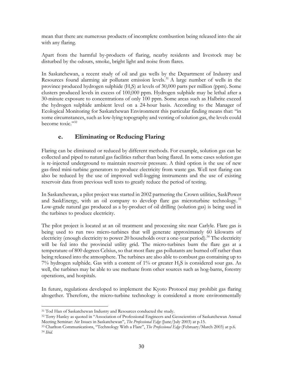mean that there are numerous products of incomplete combustion being released into the air with any flaring.

Apart from the harmful by-products of flaring, nearby residents and livestock may be disturbed by the odours, smoke, bright light and noise from flares.

In Saskatchewan, a recent study of oil and gas wells by the Department of Industry and Resources found alarming air pollutant emission levels.<sup>31</sup> A large number of wells in the province produced hydrogen sulphide  $(H<sub>2</sub>S)$  at levels of 30,000 parts per million (ppm). Some clusters produced levels in excess of 100,000 ppm. Hydrogen sulphide may be lethal after a 30-minute exposure to concentrations of only 100 ppm. Some areas such as Halbrite exceed the hydrogen sulphide ambient level on a 24-hour basis. According to the Manager of Ecological Monitoring for Saskatchewan Environment this particular finding means that: "in some circumstances, such as low-lying topography and venting of solution gas, the levels could become toxic."<sup>32</sup>

#### **e. Eliminating or Reducing Flaring**

Flaring can be eliminated or reduced by different methods. For example, solution gas can be collected and piped to natural gas facilities rather than being flared. In some cases solution gas is re-injected underground to maintain reservoir pressure. A third option is the use of new gas-fired mini-turbine generators to produce electricity from waste gas. Well test flaring can also be reduced by the use of improved well-logging instruments and the use of existing reservoir data from previous well tests to greatly reduce the period of testing.

In Saskatchewan, a pilot project was started in 2002 partnering the Crown utilities, SaskPower and SaskEnergy, with an oil company to develop flare gas microturbine technology.<sup>33</sup> Low-grade natural gas produced as a by-product of oil drilling (solution gas) is being used in the turbines to produce electricity.

The pilot project is located at an oil treatment and processing site near Carlyle. Flare gas is being used to run two micro-turbines that will generate approximately 60 kilowatts of electricity (enough electricity to power 20 households over a one-year period).<sup>34</sup> The electricity will be fed into the provincial utility grid. The micro-turbines burn the flare gas at a temperature of 800 degrees Celsius, so that most flare gas pollutants are burned off rather than being released into the atmosphere. The turbines are also able to combust gas containing up to 7% hydrogen sulphide. Gas with a content of  $1\%$  or greater  $H<sub>2</sub>S$  is considered sour gas. As well, the turbines may be able to use methane from other sources such as hog-barns, forestry operations, and hospitals.

In future, regulations developed to implement the Kyoto Protocol may prohibit gas flaring altogether. Therefore, the micro-turbine technology is considered a more environmentally

 $\overline{a}$ <sup>31</sup> Tod Han of Saskatchewan Industry and Resources conducted the study.

<sup>&</sup>lt;sup>32</sup> Terry Hanley as quoted in "Association of Professional Engineers and Geoscientists of Saskatchewan Annual<br>Meeting Seminar: Air Issues in Saskatchewan", *The Professional Edge* (June/July 2003) at p.15.

<sup>&</sup>lt;sup>33</sup> Charlton Communications, "Technology With a Flare", *The Professional Edge* (February/March 2003) at p.6.<br><sup>34</sup> Ibid.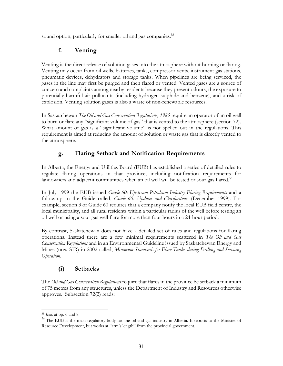sound option, particularly for smaller oil and gas companies.<sup>35</sup>

## **f. Venting**

Venting is the direct release of solution gases into the atmosphere without burning or flaring. Venting may occur from oil wells, batteries, tanks, compressor vents, instrument gas stations, pneumatic devices, dehydrators and storage tanks. When pipelines are being serviced, the gases in the line may first be purged and then flared or vented. Vented gases are a source of concern and complaints among nearby residents because they present odours, the exposure to potentially harmful air pollutants (including hydrogen sulphide and benzene), and a risk of explosion. Venting solution gases is also a waste of non-renewable resources.

In Saskatchewan *The Oil and Gas Conservation Regulations, 1985* require an operator of an oil well to burn or flare any "significant volume of gas" that is vented to the atmosphere (section 72). What amount of gas is a "significant volume" is not spelled out in the regulations. This requirement is aimed at reducing the amount of solution or waste gas that is directly vented to the atmosphere.

# **g. Flaring Setback and Notification Requirements**

In Alberta, the Energy and Utilities Board (EUB) has established a series of detailed rules to regulate flaring operations in that province, including notification requirements for landowners and adjacent communities when an oil well will be tested or sour gas flared.<sup>36</sup>

In July 1999 the EUB issued *Guide 60: Upstream Petroleum Industry Flaring Requirements* and a follow-up to the Guide called, *Guide 60: Updates and Clarifications* (December 1999)*.* For example, section 3 of Guide 60 requires that a company notify the local EUB field centre, the local municipality, and all rural residents within a particular radius of the well before testing an oil well or using a sour gas well flare for more than four hours in a 24-hour period.

By contrast, Saskatchewan does not have a detailed set of rules and regulations for flaring operations. Instead there are a few minimal requirements scattered in *The Oil and Gas Conservation Regulations* and in an Environmental Guideline issued by Saskatchewan Energy and Mines (now SIR) in 2002 called, *Minimum Standards for Flare Tanks during Drilling and Servicing Operation.* 

# **(i) Setbacks**

The *Oil and Gas Conservation Regulations* require that flares in the province be setback a minimum of 75 metres from any structures, unless the Department of Industry and Resources otherwise approves. Subsection 72(2) reads:

 $\overline{a}$ <sup>35</sup> *Ibid*. at pp. 6 and 8.

<sup>&</sup>lt;sup>36</sup> The EUB is the main regulatory body for the oil and gas industry in Alberta. It reports to the Minister of Resource Development, but works at "arm's length" from the provincial government.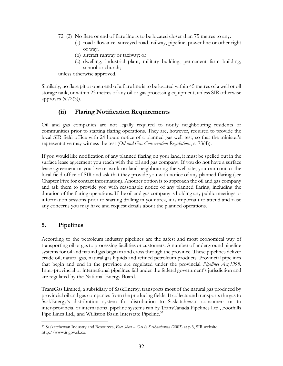- 72 (2) No flare or end of flare line is to be located closer than 75 metres to any:
	- (a) road allowance, surveyed road, railway, pipeline, power line or other right of way;
	- (b) aircraft runway or taxiway; or
	- (c) dwelling, industrial plant, military building, permanent farm building, school or church;

unless otherwise approved.

Similarly, no flare pit or open end of a flare line is to be located within 45 metres of a well or oil storage tank, or within 23 metres of any oil or gas processing equipment, unless SIR otherwise approves (s.72(3)).

### **(ii) Flaring Notification Requirements**

Oil and gas companies are not legally required to notify neighbouring residents or communities prior to starting flaring operations. They are, however, required to provide the local SIR field office with 24 hours notice of a planned gas well test, so that the minister's representative may witness the test (*Oil and Gas Conservation Regulations*, s. 73(4)).

If you would like notification of any planned flaring on your land, it must be spelled out in the surface lease agreement you reach with the oil and gas company. If you do not have a surface lease agreement or you live or work on land neighbouring the well site, you can contact the local field office of SIR and ask that they provide you with notice of any planned flaring (see Chapter Five for contact information). Another option is to approach the oil and gas company and ask them to provide you with reasonable notice of any planned flaring, including the duration of the flaring operations. If the oil and gas company is holding any public meetings or information sessions prior to starting drilling in your area, it is important to attend and raise any concerns you may have and request details about the planned operations.

#### **5. Pipelines**

According to the petroleum industry pipelines are the safest and most economical way of transporting oil or gas to processing facilities or customers. A number of underground pipeline systems for oil and natural gas begin in and cross through the province. These pipelines deliver crude oil, natural gas, natural gas liquids and refined petroleum products. Provincial pipelines that begin and end in the province are regulated under the provincial *Pipelines Act,1998*. Inter-provincial or international pipelines fall under the federal government's jurisdiction and are regulated by the National Energy Board.

TransGas Limited, a subsidiary of SaskEnergy, transports most of the natural gas produced by provincial oil and gas companies from the producing fields. It collects and transports the gas to SaskEnergy's distribution system for distribution to Saskatchewan consumers or to inter-provincial or international pipeline systems run by TransCanada Pipelines Ltd., Foothills Pipe Lines Ltd., and Williston Basin Interstate Pipeline.<sup>37</sup>

 $\overline{a}$ 37 Saskatchewan Industry and Resources, *Fact Sheet – Gas in Saskatchewan* (2003) at p.3, SIR website http://www.ir.gov.sk.ca.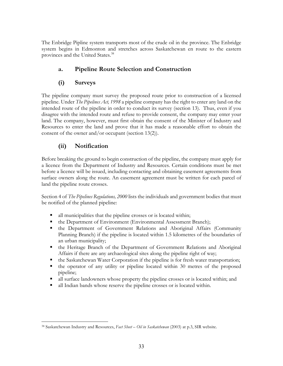The Enbridge Pipline system transports most of the crude oil in the province. The Enbridge system begins in Edmonton and stretches across Saskatchewan en route to the eastern provinces and the United States.<sup>38</sup>

## **a. Pipeline Route Selection and Construction**

### **(i) Surveys**

The pipeline company must survey the proposed route prior to construction of a licensed pipeline. Under *The Pipelines Act, 1998* a pipeline company has the right to enter any land on the intended route of the pipeline in order to conduct its survey (section 13). Thus, even if you disagree with the intended route and refuse to provide consent, the company may enter your land. The company, however, must first obtain the consent of the Minister of Industry and Resources to enter the land and prove that it has made a reasonable effort to obtain the consent of the owner and/or occupant (section 13(2)).

## **(ii) Notification**

Before breaking the ground to begin construction of the pipeline, the company must apply for a licence from the Department of Industry and Resources. Certain conditions must be met before a licence will be issued, including contacting and obtaining easement agreements from surface owners along the route. An easement agreement must be written for each parcel of land the pipeline route crosses.

Section 4 of *The Pipelines Regulations, 2000* lists the individuals and government bodies that must be notified of the planned pipeline:

- all municipalities that the pipeline crosses or is located within;
- the Department of Environment (Environmental Assessment Branch);
- the Department of Government Relations and Aboriginal Affairs (Community Planning Branch) if the pipeline is located within 1.5 kilometres of the boundaries of an urban municipality;
- the Heritage Branch of the Department of Government Relations and Aboriginal Affairs if there are any archaeological sites along the pipeline right of way;
- the Saskatchewan Water Corporation if the pipeline is for fresh water transportation;
- the operator of any utility or pipeline located within 30 metres of the proposed pipeline;
- all surface landowners whose property the pipeline crosses or is located within; and
- all Indian bands whose reserve the pipeline crosses or is located within.

 $\overline{a}$ 38 Saskatchewan Industry and Resources, *Fact Sheet – Oil in Saskatchewan* (2003) at p.3, SIR website.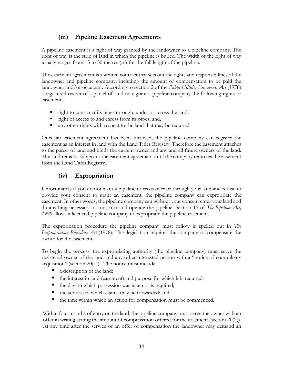### **(iii) Pipeline Easement Agreements**

A pipeline easement is a right of way granted by the landowner to a pipeline company. The right of way is the strip of land in which the pipeline is buried. The width of the right of way usually ranges from 15 to 30 metres (m) for the full length of the pipeline.

The easement agreement is a written contract that sets out the rights and responsibilities of the landowner and pipeline company, including the amount of compensation to be paid the landowner and/or occupant. According to section 2 of the *Public Utilities Easements Act* (1978) a registered owner of a parcel of land may grant a pipeline company the following rights or easements:

- right to construct its pipes through, under or across the land;
- right of access to and egress from its pipes; and,
- any other rights with respect to the land that may be required.

Once an easement agreement has been finalized, the pipeline company can register the easement as an interest in land with the Land Titles Registry. Therefore the easement attaches to the parcel of land and binds the current owner and any and all future owners of the land. The land remains subject to the easement agreement until the company removes the easement from the Land Titles Registry.

## **(iv) Expropriation**

Unfortunately if you do not want a pipeline to cross over or through your land and refuse to provide your consent to grant an easement, the pipeline company can expropriate the easement. In other words, the pipeline company can without your consent enter your land and do anything necessary to construct and operate the pipeline. Section 15 of *The Pipelines Act, 1998* allows a licenced pipeline company to expropriate the pipeline easement.

The expropriation procedure the pipeline company must follow is spelled out in *The Expropriation Procedure Act* (1978)*.* This legislation requires the company to compensate the owner for the easement.

To begin the process, the expropriating authority (the pipeline company) must serve the registered owner of the land and any other interested person with a "notice of compulsory acquisition" (section  $20(1)$ ). The notice must include:

- a description of the land;
- the interest in land (easement) and purpose for which it is required;
- $\blacksquare$  the day on which possession was taken or is required;
- the address to which claims may be forwarded; and
- $\blacksquare$  the time within which an action for compensation must be commenced.

Within four months of entry on the land, the pipeline company must serve the owner with an offer in writing stating the amount of compensation offered for the easement (section 20(2)). At any time after the service of an offer of compensation the landowner may demand an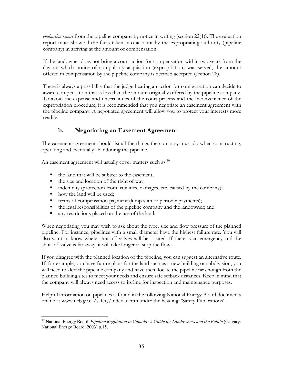*evaluation report* from the pipeline company by notice in writing (section 22(1)). The evaluation report must show all the facts taken into account by the expropriating authority (pipeline company) in arriving at the amount of compensation.

If the landowner does not bring a court action for compensation within two years from the day on which notice of compulsory acquisition (expropriation) was served, the amount offered in compensation by the pipeline company is deemed accepted (section 28).

There is always a possibility that the judge hearing an action for compensation can decide to award compensation that is less than the amount originally offered by the pipeline company. To avoid the expense and uncertainties of the court process and the inconvenience of the expropriation procedure, it is recommended that you negotiate an easement agreement with the pipeline company. A negotiated agreement will allow you to protect your interests more readily.

# **b. Negotiating an Easement Agreement**

The easement agreement should list all the things the company must do when constructing, operating and eventually abandoning the pipeline.

An easement agreement will usually cover matters such as: $39$ 

- the land that will be subject to the easement;
- $\blacksquare$  the size and location of the right of way;
- indemnity (protection from liabilities, damages, etc. caused by the company);
- how the land will be used:
- terms of compensation payment (lump sum or periodic payments);
- the legal responsibilities of the pipeline company and the landowner; and
- any restrictions placed on the use of the land.

When negotiating you may wish to ask about the type, size and flow pressure of the planned pipeline. For instance, pipelines with a small diameter have the highest failure rate. You will also want to know where shut-off valves will be located. If there is an emergency and the shut-off valve is far away, it will take longer to stop the flow.

If you disagree with the planned location of the pipeline, you can suggest an alternative route. If, for example, you have future plans for the land such as a new building or subdivision, you will need to alert the pipeline company and have them locate the pipeline far enough from the planned building sites to meet your needs and ensure safe setback distances. Keep in mind that the company will always need access to its line for inspection and maintenance purposes.

Helpful information on pipelines is found in the following National Energy Board documents online at www.neb.gc.ca/safety/index\_e.htm under the heading "Safety Publications":

 $\overline{a}$ <sup>39</sup> National Energy Board, *Pipeline Regulation in Canada: A Guide for Landowners and the Public* (Calgary: National Energy Board, 2003) p.15.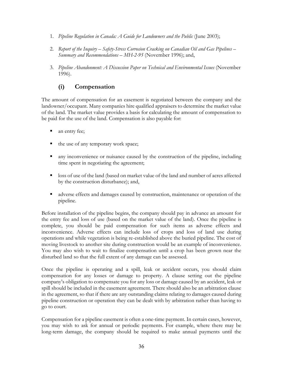- 1. *Pipeline Regulation in Canada: A Guide for Landowners and the Public* (June 2003);
- 2. *Report of the Inquiry Safety-Stress Corrosion Cracking on Canadian Oil and Gas Pipelines Summary and Recommendations – MH-2-95* (November 1996); and,
- 3. *Pipeline Abandonment: A Discussion Paper on Technical and Environmental Issues* (November 1996).

## **(i) Compensation**

The amount of compensation for an easement is negotiated between the company and the landowner/occupant. Many companies hire qualified appraisers to determine the market value of the land. The market value provides a basis for calculating the amount of compensation to be paid for the use of the land. Compensation is also payable for:

- an entry fee;
- the use of any temporary work space;
- any inconvenience or nuisance caused by the construction of the pipeline, including time spent in negotiating the agreement;
- **let** loss of use of the land (based on market value of the land and number of acres affected by the construction disturbance); and,
- adverse effects and damages caused by construction, maintenance or operation of the pipeline.

Before installation of the pipeline begins, the company should pay in advance an amount for the entry fee and loss of use (based on the market value of the land). Once the pipeline is complete, you should be paid compensation for such items as adverse effects and inconvenience. Adverse effects can include loss of crops and loss of land use during operations and while vegetation is being re-established above the buried pipeline. The cost of moving livestock to another site during construction would be an example of inconvenience. You may also wish to wait to finalize compensation until a crop has been grown near the disturbed land so that the full extent of any damage can be assessed.

Once the pipeline is operating and a spill, leak or accident occurs, you should claim compensation for any losses or damage to property. A clause setting out the pipeline company's obligation to compensate you for any loss or damage caused by an accident, leak or spill should be included in the easement agreement. There should also be an arbitration clause in the agreement, so that if there are any outstanding claims relating to damages caused during pipeline construction or operation they can be dealt with by arbitration rather than having to go to court.

Compensation for a pipeline easement is often a one-time payment. In certain cases, however, you may wish to ask for annual or periodic payments. For example, where there may be long-term damage, the company should be required to make annual payments until the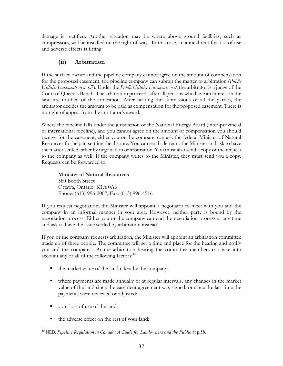damage is rectified. Another situation may be where above ground facilities, such as compressors, will be installed on the right-of-way. In this case, an annual rent for loss of use and adverse effects is fitting.

## **(ii) Arbitration**

If the surface owner and the pipeline company cannot agree on the amount of compensation for the proposed easement, the pipeline company can submit the matter to arbitration (*Public Utilities Easements Act*, s.7). Under the *Public Utilities Easements Act*, the arbitrator is a judge of the Court of Queen's Bench. The arbitration proceeds after all persons who have an interest in the land are notified of the arbitration. After hearing the submissions of all the parties, the arbitrator decides the amount to be paid as compensation for the proposed easement. There is no right of appeal from the arbitrator's award.

Where the pipeline falls under the jurisdiction of the National Energy Board (inter-provincial or international pipeline), and you cannot agree on the amount of compensation you should receive for the easement, either you or the company can ask the federal Minister of Natural Resources for help in settling the dispute. You can send a letter to the Minister and ask to have the matter settled either by negotiation or arbitration. You must also send a copy of the request to the company as well. If the company writes to the Minister, they must send you a copy. Requests can be forwarded to:

**Minister of Natural Resources**  580 Booth Street Ottawa, Ontario K1A 0A6 Phone: (613) 996-2007; Fax: (613) 996-4516

If you request negotiation, the Minister will appoint a negotiator to meet with you and the company in an informal manner in your area. However, neither party is bound by the negotiation process. Either you or the company can end the negotiation process at any time and ask to have the issue settled by arbitration instead.

If you or the company requests arbitration, the Minister will appoint an arbitration committee made up of three people. The committee will set a time and place for the hearing and notify you and the company. At the arbitration hearing the committee members can take into account any or all of the following factors: $40$ 

- $\blacksquare$  the market value of the land taken by the company;
- where payments are made annually or at regular intervals, any changes in the market value of the land since the easement agreement was signed, or since the last time the payments were reviewed or adjusted;
- vour loss of use of the land;
- the adverse effect on the rest of your land;

 $\overline{a}$ 40 NEB, *Pipeline Regulation in Canada: A Guide for Landowners and the Public* at p.58.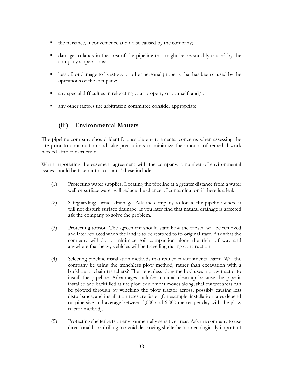- the nuisance, inconvenience and noise caused by the company;
- damage to lands in the area of the pipeline that might be reasonably caused by the company's operations;
- **leap is a loss of, or damage to livestock or other personal property that has been caused by the** operations of the company;
- any special difficulties in relocating your property or yourself; and/or
- any other factors the arbitration committee consider appropriate.

### **(iii) Environmental Matters**

The pipeline company should identify possible environmental concerns when assessing the site prior to construction and take precautions to minimize the amount of remedial work needed after construction.

When negotiating the easement agreement with the company, a number of environmental issues should be taken into account. These include:

- (1) Protecting water supplies. Locating the pipeline at a greater distance from a water well or surface water will reduce the chance of contamination if there is a leak.
- (2) Safeguarding surface drainage. Ask the company to locate the pipeline where it will not disturb surface drainage. If you later find that natural drainage is affected ask the company to solve the problem.
- (3) Protecting topsoil. The agreement should state how the topsoil will be removed and later replaced when the land is to be restored to its original state. Ask what the company will do to minimize soil compaction along the right of way and anywhere that heavy vehicles will be travelling during construction.
- (4) Selecting pipeline installation methods that reduce environmental harm. Will the company be using the trenchless plow method, rather than excavation with a backhoe or chain trenchers? The trenchless plow method uses a plow tractor to install the pipeline. Advantages include: minimal clean-up because the pipe is installed and backfilled as the plow equipment moves along; shallow wet areas can be plowed through by winching the plow tractor across, possibly causing less disturbance; and installation rates are faster (for example, installation rates depend on pipe size and average between 3,000 and 6,000 metres per day with the plow tractor method).
- (5) Protecting shelterbelts or environmentally sensitive areas. Ask the company to use directional bore drilling to avoid destroying shelterbelts or ecologically important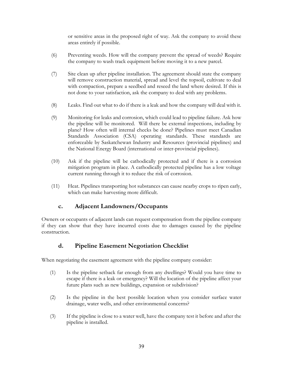or sensitive areas in the proposed right of way. Ask the company to avoid these areas entirely if possible.

- (6) Preventing weeds. How will the company prevent the spread of weeds? Require the company to wash track equipment before moving it to a new parcel.
- (7) Site clean up after pipeline installation. The agreement should state the company will remove construction material, spread and level the topsoil, cultivate to deal with compaction, prepare a seedbed and reseed the land where desired. If this is not done to your satisfaction, ask the company to deal with any problems.
- (8) Leaks. Find out what to do if there is a leak and how the company will deal with it.
- (9) Monitoring for leaks and corrosion, which could lead to pipeline failure. Ask how the pipeline will be monitored. Will there be external inspections, including by plane? How often will internal checks be done? Pipelines must meet Canadian Standards Association (CSA) operating standards. These standards are enforceable by Saskatchewan Industry and Resources (provincial pipelines) and the National Energy Board (international or inter-provincial pipelines).
- (10) Ask if the pipeline will be cathodically protected and if there is a corrosion mitigation program in place. A cathodically protected pipeline has a low voltage current running through it to reduce the risk of corrosion.
- (11) Heat. Pipelines transporting hot substances can cause nearby crops to ripen early, which can make harvesting more difficult.

### **c. Adjacent Landowners/Occupants**

Owners or occupants of adjacent lands can request compensation from the pipeline company if they can show that they have incurred costs due to damages caused by the pipeline construction.

### **d. Pipeline Easement Negotiation Checklist**

When negotiating the easement agreement with the pipeline company consider:

- (1) Is the pipeline setback far enough from any dwellings? Would you have time to escape if there is a leak or emergency? Will the location of the pipeline affect your future plans such as new buildings, expansion or subdivision?
- (2) Is the pipeline in the best possible location when you consider surface water drainage, water wells, and other environmental concerns?
- (3) If the pipeline is close to a water well, have the company test it before and after the pipeline is installed.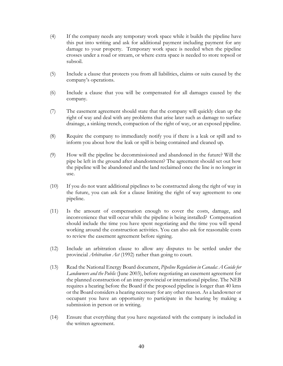- (4) If the company needs any temporary work space while it builds the pipeline have this put into writing and ask for additional payment including payment for any damage to your property. Temporary work space is needed when the pipeline crosses under a road or stream, or where extra space is needed to store topsoil or subsoil.
- (5) Include a clause that protects you from all liabilities, claims or suits caused by the company's operations.
- (6) Include a clause that you will be compensated for all damages caused by the company.
- (7) The easement agreement should state that the company will quickly clean up the right of way and deal with any problems that arise later such as damage to surface drainage, a sinking trench, compaction of the right of way, or an exposed pipeline.
- (8) Require the company to immediately notify you if there is a leak or spill and to inform you about how the leak or spill is being contained and cleaned up.
- (9) How will the pipeline be decommissioned and abandoned in the future? Will the pipe be left in the ground after abandonment? The agreement should set out how the pipeline will be abandoned and the land reclaimed once the line is no longer in use.
- (10) If you do not want additional pipelines to be constructed along the right of way in the future, you can ask for a clause limiting the right of way agreement to one pipeline.
- (11) Is the amount of compensation enough to cover the costs, damage, and inconvenience that will occur while the pipeline is being installed? Compensation should include the time you have spent negotiating and the time you will spend working around the construction activities. You can also ask for reasonable costs to review the easement agreement before signing.
- (12) Include an arbitration clause to allow any disputes to be settled under the provincial *Arbitration Act* (1992) rather than going to court.
- (13) Read the National Energy Board document, *Pipeline Regulation in Canada: A Guide for Landowners and the Public* (June 2003), before negotiating an easement agreement for the planned construction of an inter-provincial or international pipeline. The NEB requires a hearing before the Board if the proposed pipeline is longer than 40 kms or the Board considers a hearing necessary for any other reason. As a landowner or occupant you have an opportunity to participate in the hearing by making a submission in person or in writing.
- (14) Ensure that everything that you have negotiated with the company is included in the written agreement.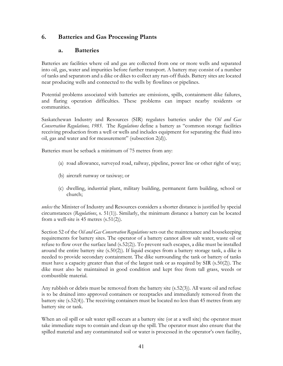#### **6. Batteries and Gas Processing Plants**

#### **a. Batteries**

Batteries are facilities where oil and gas are collected from one or more wells and separated into oil, gas, water and impurities before further transport. A battery may consist of a number of tanks and separators and a dike or dikes to collect any run-off fluids. Battery sites are located near producing wells and connected to the wells by flowlines or pipelines.

Potential problems associated with batteries are emissions, spills, containment dike failures, and flaring operation difficulties. These problems can impact nearby residents or communities.

Saskatchewan Industry and Resources (SIR) regulates batteries under the *Oil and Gas Conservation Regulations, 1985*. The *Regulations* define a battery as "common storage facilities receiving production from a well or wells and includes equipment for separating the fluid into oil, gas and water and for measurement" (subsection 2(d)).

Batteries must be setback a minimum of 75 metres from any:

- (a) road allowance, surveyed road, railway, pipeline, power line or other right of way;
- (b) aircraft runway or taxiway; or
- (c) dwelling, industrial plant, military building, permanent farm building, school or church;

*unless* the Minister of Industry and Resources considers a shorter distance is justified by special circumstances (*Regulations*, s. 51(1)). Similarly, the minimum distance a battery can be located from a well-site is  $45$  metres  $(s.51(2))$ .

Section 52 of the *Oil and Gas Conservation Regulations* sets out the maintenance and housekeeping requirements for battery sites. The operator of a battery cannot allow salt water, waste oil or refuse to flow over the surface land (s.52(2)). To prevent such escapes, a dike must be installed around the entire battery site (s.50(2)). If liquid escapes from a battery storage tank, a dike is needed to provide secondary containment. The dike surrounding the tank or battery of tanks must have a capacity greater than that of the largest tank or as required by SIR (s.50(2)). The dike must also be maintained in good condition and kept free from tall grass, weeds or combustible material.

Any rubbish or debris must be removed from the battery site (s.52(3)). All waste oil and refuse is to be drained into approved containers or receptacles and immediately removed from the battery site (s.52(4)). The receiving containers must be located no less than 45 metres from any battery site or tank.

When an oil spill or salt water spill occurs at a battery site (or at a well site) the operator must take immediate steps to contain and clean up the spill. The operator must also ensure that the spilled material and any contaminated soil or water is processed in the operator's own facility,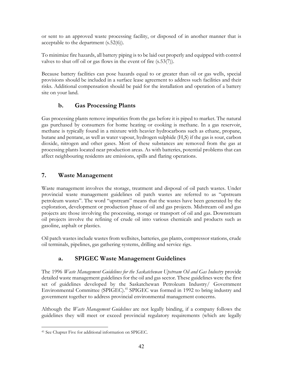or sent to an approved waste processing facility, or disposed of in another manner that is acceptable to the department (s.52(6)).

To minimize fire hazards, all battery piping is to be laid out properly and equipped with control valves to shut off oil or gas flows in the event of fire (s.53(7)).

Because battery facilities can pose hazards equal to or greater than oil or gas wells, special provisions should be included in a surface lease agreement to address such facilities and their risks. Additional compensation should be paid for the installation and operation of a battery site on your land.

#### **b. Gas Processing Plants**

Gas processing plants remove impurities from the gas before it is piped to market. The natural gas purchased by consumers for home heating or cooking is methane. In a gas reservoir, methane is typically found in a mixture with heavier hydrocarbons such as ethane, propane, butane and pentane, as well as water vapour, hydrogen sulphide  $(H<sub>2</sub>S)$  if the gas is sour, carbon dioxide, nitrogen and other gases. Most of these substances are removed from the gas at processing plants located near production areas. As with batteries, potential problems that can affect neighbouring residents are emissions, spills and flaring operations.

#### **7. Waste Management**

Waste management involves the storage, treatment and disposal of oil patch wastes. Under provincial waste management guidelines oil patch wastes are referred to as "upstream petroleum wastes". The word "upstream" means that the wastes have been generated by the exploration, development or production phase of oil and gas projects. Midstream oil and gas projects are those involving the processing, storage or transport of oil and gas. Downstream oil projects involve the refining of crude oil into various chemicals and products such as gasoline, asphalt or plastics.

Oil patch wastes include wastes from wellsites, batteries, gas plants, compressor stations, crude oil terminals, pipelines, gas gathering systems, drilling and service rigs.

### **a. SPIGEC Waste Management Guidelines**

The 1996 *Waste Management Guidelines for the Saskatchewan Upstream Oil and Gas Industry* provide detailed waste management guidelines for the oil and gas sector. These guidelines were the first set of guidelines developed by the Saskatchewan Petroleum Industry/ Government Environmental Committee (SPIGEC).<sup>41</sup> SPIGEC was formed in 1992 to bring industry and government together to address provincial environmental management concerns.

Although the *Waste Management Guidelines* are not legally binding, if a company follows the guidelines they will meet or exceed provincial regulatory requirements (which are legally

 $\overline{a}$ 41 See Chapter Five for additional information on SPIGEC.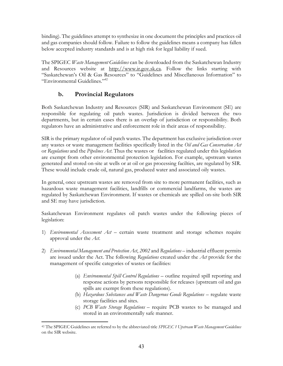binding). The guidelines attempt to synthesize in one document the principles and practices oil and gas companies should follow. Failure to follow the guidelines means a company has fallen below accepted industry standards and is at high risk for legal liability if sued.

The SPIGEC *Waste Management Guidelines* can be downloaded from the Saskatchewan Industry and Resources website at http://www.ir.gov.sk.ca. Follow the links starting with "Saskatchewan's Oil & Gas Resources" to "Guidelines and Miscellaneous Information" to "Environmental Guidelines."42

### **b. Provincial Regulators**

Both Saskatchewan Industry and Resources (SIR) and Saskatchewan Environment (SE) are responsible for regulating oil patch wastes. Jurisdiction is divided between the two departments, but in certain cases there is an overlap of jurisdiction or responsibility. Both regulators have an administrative and enforcement role in their areas of responsibility.

SIR is the primary regulator of oil patch wastes. The department has exclusive jurisdiction over any wastes or waste management facilities specifically listed in the *Oil and Gas Conservation Act* or *Regulations* and the *Pipelines Act*. Thus the wastes or facilities regulated under this legislation are exempt from other environmental protection legislation. For example, upstream wastes generated and stored on-site at wells or at oil or gas processing facilties, are regulated by SIR. These would include crude oil, natural gas, produced water and associated oily wastes.

In general, once upstream wastes are removed from site to more permanent facilities, such as hazardous waste management facilities, landfills or commercial landfarms, the wastes are regulated by Saskatchewan Environment. If wastes or chemicals are spilled on-site both SIR and SE may have jurisdiction.

Saskatchewan Environment regulates oil patch wastes under the following pieces of legislation:

- 1) *Environmental Assessment Act* certain waste treatment and storage schemes require approval under the *Act*.
- 2) *Environmental Management and Protection Act*, *2002* and *Regulations*  industrial effluent permits are issued under the Act. The following *Regulations* created under the *Act* provide for the management of specific categories of wastes or facilities:
	- (a) *Environmental Spill Control Regulations* outline required spill reporting and response actions by persons responsible for releases (upstream oil and gas spills are exempt from these regulations).
	- (b) *Hazardous Substances and Waste Dangerous Goods Regulations* regulate waste storage facilities and sites.
	- (c) *PCB Waste Storage Regulations*  require PCB wastes to be managed and stored in an environmentally safe manner.

 $\overline{a}$ 42 The SPIGEC Guidelines are referred to by the abbreviated title *SPIGEC 1 Upstream Waste Management Guidelines*  on the SIR website.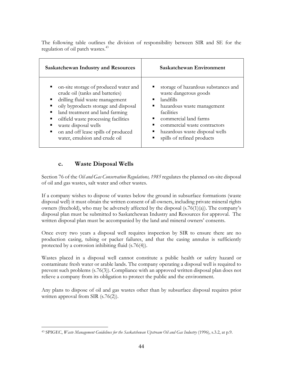The following table outlines the division of responsibility between SIR and SE for the regulation of oil patch wastes.<sup>43</sup>

| <b>Saskatchewan Industry and Resources</b>                                                                                                                                                                                                                                                                                                                           | Saskatchewan Environment                                                                                                                                                                                                                       |
|----------------------------------------------------------------------------------------------------------------------------------------------------------------------------------------------------------------------------------------------------------------------------------------------------------------------------------------------------------------------|------------------------------------------------------------------------------------------------------------------------------------------------------------------------------------------------------------------------------------------------|
| on-site storage of produced water and<br>crude oil (tanks and batteries)<br>drilling fluid waste management<br>$\blacksquare$<br>oily byproducts storage and disposal<br>п<br>land treatment and land farming<br>٠<br>oilfield waste processing facilities<br>п<br>waste disposal wells<br>on and off lease spills of produced<br>ш<br>water, emulsion and crude oil | storage of hazardous substances and<br>waste dangerous goods<br>landfills<br>hazardous waste management<br>facilities<br>commercial land farms<br>commercial waste contractors<br>hazardous waste disposal wells<br>spills of refined products |

#### **c. Waste Disposal Wells**

Section 76 of the *Oil and Gas Conservation Regulations, 1985* regulates the planned on-site disposal of oil and gas wastes, salt water and other wastes.

If a company wishes to dispose of wastes below the ground in subsurface formations (waste disposal well) it must obtain the written consent of all owners, including private mineral rights owners (freehold), who may be adversely affected by the disposal  $(s.76(1)(a))$ . The company's disposal plan must be submitted to Saskatchewan Industry and Resources for approval. The written disposal plan must be accompanied by the land and mineral owners' consents.

Once every two years a disposal well requires inspection by SIR to ensure there are no production casing, tubing or packer failures, and that the casing annulus is sufficiently protected by a corrosion inhibiting fluid (s.76(4)).

Wastes placed in a disposal well cannot constitute a public health or safety hazard or contaminate fresh water or arable lands. The company operating a disposal well is required to prevent such problems (s.76(3)). Compliance with an approved written disposal plan does not relieve a company from its obligation to protect the public and the environment.

Any plans to dispose of oil and gas wastes other than by subsurface disposal requires prior written approval from SIR (s.76(2)).

 $\overline{a}$ 43 SPIGEC, *Waste Management Guidelines for the Saskatchewan Upstream Oil and Gas Industry* (1996), s.3.2, at p.9.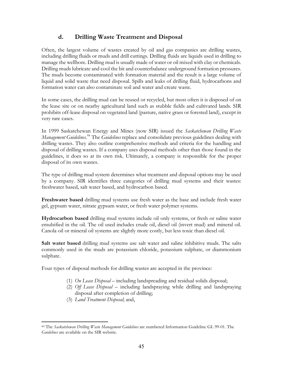### **d. Drilling Waste Treatment and Disposal**

Often, the largest volume of wastes created by oil and gas companies are drilling wastes, including drilling fluids or muds and drill cuttings. Drilling fluids are liquids used in drilling to manage the wellbore. Drilling mud is usually made of water or oil mixed with clay or chemicals. Drilling muds lubricate and cool the bit and counterbalance underground formation pressures. The muds become contaminated with formation material and the result is a large volume of liquid and solid waste that need disposal. Spills and leaks of drilling fluid, hydrocarbons and formation water can also contaminate soil and water and create waste.

In some cases, the drilling mud can be reused or recycled, but most often it is disposed of on the lease site or on nearby agricultural land such as stubble fields and cultivated lands. SIR prohibits off-lease disposal on vegetated land (pasture, native grass or forested land), except in very rare cases.

In 1999 Saskatchewan Energy and Mines (now SIR) issued the *Saskatchewan Drilling Waste Management Guidelines*. 44 The *Guidelines* replace and consolidate previous guidelines dealing with drilling wastes. They also outline comprehensive methods and criteria for the handling and disposal of drilling wastes. If a company uses disposal methods other than those found in the guidelines, it does so at its own risk. Ultimately, a company is responsible for the proper disposal of its own wastes.

The type of drilling mud system determines what treatment and disposal options may be used by a company. SIR identifies three categories of drilling mud systems and their wastes: freshwater based, salt water based, and hydrocarbon based.

**Freshwater based** drilling mud systems use fresh water as the base and include fresh water gel, gypsum water, nitrate gypsum water, or fresh water polymer systems.

**Hydrocarbon based** drilling mud systems include oil only systems, or fresh or saline water emulsified in the oil. The oil used includes crude oil, diesel oil (invert mud) and mineral oil. Canola oil or mineral oil systems are slightly more costly, but less toxic than diesel oil.

**Salt water based** drilling mud systems use salt water and saline inhibitive muds. The salts commonly used in the muds are potassium chloride, potassium sulphate, or diammonium sulphate.

Four types of disposal methods for drilling wastes are accepted in the province:

- (1) *On Lease Disposal* including landspreading and residual solids disposal;
- (2) *Off Lease Disposal* including landspraying while drilling and landspraying disposal after completion of drilling;
- (3) *Land Treatment Disposal*; and,

<sup>1</sup> 44 The *Saskatchewan Drilling Waste Management Guidelines* are numbered Information Guideline GL 99-01. The *Guidelines* are available on the SIR website.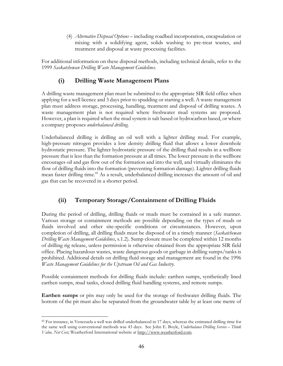(4) *Alternative Disposal Options* – including roadbed incorporation, encapsulation or mixing with a solidifying agent, solids washing to pre-treat wastes, and treatment and disposal at waste processing facilities.

For additional information on these disposal methods, including technical details, refer to the 1999 *Saskatchewan Drilling Waste Management Guidelines*.

# **(i) Drilling Waste Management Plans**

A drilling waste management plan must be submitted to the appropriate SIR field office when applying for a well licence and 3 days prior to spudding or starting a well. A waste management plan must address storage, processing, handling, treatment and disposal of drilling wastes. A waste management plan is not required where freshwater mud systems are proposed. However, a plan is required when the mud system is salt based or hydrocarbon based, or where a company proposes *underbalanced drilling*.

Underbalanced drilling is drilling an oil well with a lighter drilling mud. For example, high-pressure nitrogen provides a low density drilling fluid that allows a lower downhole hydrostatic pressure. The lighter hydrostatic pressure of the drilling fluid results in a wellbore pressure that is less than the formation pressure at all times. The lower pressure in the wellbore encourages oil and gas flow out of the formation and into the well, and virtually eliminates the flow of drilling fluids into the formation (preventing formation damage). Lighter drilling fluids mean faster drilling time.45 As a result, underbalanced drilling increases the amount of oil and gas that can be recovered in a shorter period.

# **(ii) Temporary Storage/Containment of Drilling Fluids**

During the period of drilling, drilling fluids or muds must be contained in a safe manner. Various storage or containment methods are possible depending on the types of muds or fluids involved and other site-specific conditions or circumstances. However, upon completion of drilling, all drilling fluids must be disposed of in a timely manner (*Saskatchewan Drilling Waste Management Guidelines*, s.1.2). Sump closure must be completed within 12 months of drilling rig release, unless permission is otherwise obtained from the appropriate SIR field office. Placing hazardous wastes, waste dangerous goods or garbage in drilling sumps/tanks is prohibited. Additional details on drilling fluid storage and management are found in the 1996 *Waste Management Guidelines for the Upstream Oil and Gas Industry*.

Possible containment methods for drilling fluids include: earthen sumps, synthetically lined earthen sumps, mud tanks, closed drilling fluid handling systems, and remote sumps.

**Earthen sumps** or pits may only be used for the storage of freshwater drilling fluids. The bottom of the pit must also be separated from the groundwater table by at least one metre of

 $\overline{a}$ 45 For instance, in Venezuela a well was drilled underbalanced in 17 days, whereas the estimated drilling time for the same well using conventional methods was 43 days. See John E. Boyle, *Underbalance Drilling Service – Think Value, Not Cost*, Weatherford International website at http://www.weatherford.com.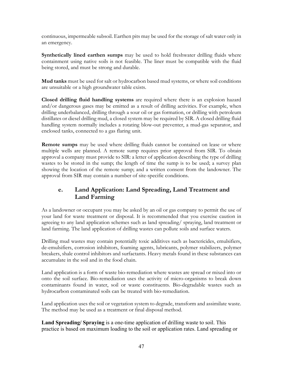continuous, impermeable subsoil. Earthen pits may be used for the storage of salt water only in an emergency.

**Synthetically lined earthen sumps** may be used to hold freshwater drilling fluids where containment using native soils is not feasible. The liner must be compatible with the fluid being stored, and must be strong and durable.

**Mud tanks** must be used for salt or hydrocarbon based mud systems, or where soil conditions are unsuitable or a high groundwater table exists.

**Closed drilling fluid handling systems** are required where there is an explosion hazard and/or dangerous gases may be emitted as a result of drilling activities. For example, when drilling underbalanced, drilling through a sour oil or gas formation, or drilling with petroleum distillates or diesel drilling mud, a closed system may be required by SIR. A closed drilling fluid handling system normally includes a rotating blow-out preventer, a mud-gas separator, and enclosed tanks, connected to a gas flaring unit.

**Remote sumps** may be used where drilling fluids cannot be contained on lease or where multiple wells are planned. A remote sump requires prior approval from SIR. To obtain approval a company must provide to SIR: a letter of application describing the type of drilling wastes to be stored in the sump; the length of time the sump is to be used; a survey plan showing the location of the remote sump; and a written consent from the landowner. The approval from SIR may contain a number of site-specific conditions.

## **e. Land Application: Land Spreading, Land Treatment and Land Farming**

As a landowner or occupant you may be asked by an oil or gas company to permit the use of your land for waste treatment or disposal. It is recommended that you exercise caution in agreeing to any land application schemes such as land spreading/ spraying, land treatment or land farming. The land application of drilling wastes can pollute soils and surface waters.

Drilling mud wastes may contain potentially toxic additives such as bactericides, emulsifiers, de-emulsifiers, corrosion inhibitors, foaming agents, lubricants, polymer stabilizers, polymer breakers, shale control inhibitors and surfactants. Heavy metals found in these substances can accumulate in the soil and in the food chain.

Land application is a form of waste bio-remediation where wastes are spread or mixed into or onto the soil surface. Bio-remediation uses the activity of micro-organisms to break down contaminants found in water, soil or waste constituents. Bio-degradable wastes such as hydrocarbon contaminated soils can be treated with bio-remediation.

Land application uses the soil or vegetation system to degrade, transform and assimilate waste. The method may be used as a treatment or final disposal method.

**Land Spreading/ Spraying** is a one-time application of drilling waste to soil. This practice is based on maximum loading to the soil or application rates. Land spreading or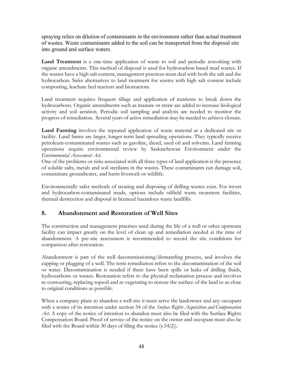spraying relies on dilution of contaminants in the environment rather than actual treatment of wastes. Waste contaminants added to the soil can be transported from the disposal site into ground and surface waters.

Land Treatment is a one-time application of waste to soil and periodic reworking with organic amendments. This method of disposal is used for hydrocarbon based mud wastes. If the wastes have a high salt content, management practices must deal with both the salt and the hydrocarbon. Safer alternatives to land treatment for wastes with high salt content include composting, leachate bed reactors and bioreactors.

Land treatment requires frequent tillage and application of nutrients to break down the hydrocarbons. Organic amendments such as manure or straw are added to increase biological activity and soil aeration. Periodic soil sampling and analysis are needed to monitor the progress of remediation. Several years of active remediation may be needed to achieve closure.

**Land Farming** involves the repeated application of waste material at a dedicated site or facility. Land farms are larger, longer-term land spreading operations. They typically receive petroleum-contaminated wastes such as gasoline, diesel, used oil and solvents. Land farming operations require environmental review by Saskatchewan Environment under the *Environmental Assessment Act*.

One of the problems or risks associated with all three types of land application is the presence of soluble salts, metals and soil sterilants in the wastes. These contaminants can damage soil, contaminate groundwater, and harm livestock or wildlife.

Environmentally safer methods of treating and disposing of drilling wastes exist. For invert and hydrocarbon-contaminated muds, options include oilfield waste treatment facilities, thermal destruction and disposal in licenced hazardous waste landfills.

### **8. Abandonment and Restoration of Well Sites**

The construction and management practises used during the life of a well or other upstream facility can impact greatly on the level of clean up and remediation needed at the time of abandonment. A pre-site assessment is recommended to record the site conditions for comparison after restoration.

Abandonment is part of the well decommissioning/dismantling process, and involves the capping or plugging of a well. The term remediation refers to the decontamination of the soil or water. Decontamination is needed if there have been spills or leaks of drilling fluids, hydrocarbons or wastes. Restoration refers to the physical reclamation process and involves re-contouring, replacing topsoil and re-vegetating to restore the surface of the land to as close to original conditions as possible.

When a company plans to abandon a well site it must serve the landowner and any occupant with a notice of its intention under section 54 of the *Surface Rights Acquisition and Compensation*  Act. A copy of the notice of intention to abandon must also be filed with the Surface Rights Compensation Board. Proof of service of the notice on the owner and occupant must also be filed with the Board within 30 days of filing the notice (s.54(2)).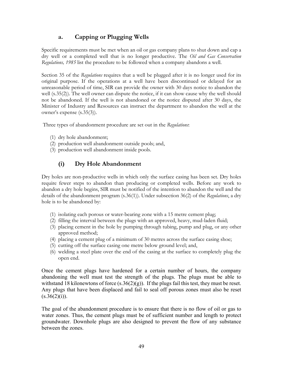## **a. Capping or Plugging Wells**

Specific requirements must be met when an oil or gas company plans to shut down and cap a dry well or a completed well that is no longer productive. The *Oil and Gas Conservation Regulations, 1985* list the procedure to be followed when a company abandons a well.

Section 35 of the *Regulations* requires that a well be plugged after it is no longer used for its original purpose. If the operations at a well have been discontinued or delayed for an unreasonable period of time, SIR can provide the owner with 30 days notice to abandon the well (s.35(2)). The well owner can dispute the notice, if it can show cause why the well should not be abandoned. If the well is not abandoned or the notice disputed after 30 days, the Minister of Industry and Resources can instruct the department to abandon the well at the owner's expense (s.35(3)).

Three types of abandonment procedure are set out in the *Regulations*:

- (1) dry hole abandonment;
- (2) production well abandonment outside pools; and,
- (3) production well abandonment inside pools.

## **(i) Dry Hole Abandonment**

Dry holes are non-productive wells in which only the surface casing has been set. Dry holes require fewer steps to abandon than producing or completed wells. Before any work to abandon a dry hole begins, SIR must be notified of the intention to abandon the well and the details of the abandonment program (s.36(1)). Under subsection 36(2) of the *Regulations*, a dry hole is to be abandoned by:

- (1) isolating each porous or water-bearing zone with a 15 metre cement plug;
- (2) filling the interval between the plugs with an approved, heavy, mud-laden fluid;
- (3) placing cement in the hole by pumping through tubing, pump and plug, or any other approved method;
- (4) placing a cement plug of a minimum of 30 metres across the surface casing shoe;
- (5) cutting off the surface casing one metre below ground level; and,
- (6) welding a steel plate over the end of the casing at the surface to completely plug the open end.

Once the cement plugs have hardened for a certain number of hours, the company abandoning the well must test the strength of the plugs. The plugs must be able to withstand 18 kilonewtons of force  $(s.36(2)(g))$ . If the plugs fail this test, they must be reset. Any plugs that have been displaced and fail to seal off porous zones must also be reset  $(s.36(2)(i)).$ 

The goal of the abandonment procedure is to ensure that there is no flow of oil or gas to water zones. Thus, the cement plugs must be of sufficient number and length to protect groundwater. Downhole plugs are also designed to prevent the flow of any substance between the zones.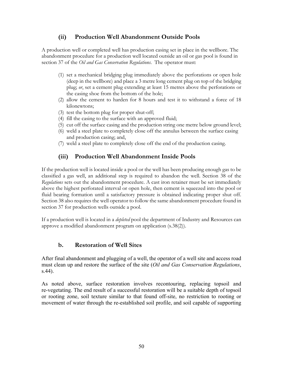### **(ii) Production Well Abandonment Outside Pools**

A production well or completed well has production casing set in place in the wellbore. The abandonment procedure for a production well located outside an oil or gas pool is found in section 37 of the *Oil and Gas Conservation Regulations*. The operator must:

- (1) set a mechanical bridging plug immediately above the perforations or open hole (deep in the wellbore) and place a 3 metre long cement plug on top of the bridging plug; *or*, set a cement plug extending at least 15 metres above the perforations or the casing shoe from the bottom of the hole;
- (2) allow the cement to harden for 8 hours and test it to withstand a force of 18 kilonewtons;
- (3) test the bottom plug for proper shut-off;
- (4) fill the casing to the surface with an approved fluid;
- (5) cut off the surface casing and the production string one metre below ground level;
- (6) weld a steel plate to completely close off the annulus between the surface casing and production casing; and,
- (7) weld a steel plate to completely close off the end of the production casing.

### **(iii) Production Well Abandonment Inside Pools**

If the production well is located inside a pool or the well has been producing enough gas to be classified a gas well, an additional step is required to abandon the well. Section 38 of the *Regulations* sets out the abandonment procedure. A cast iron retainer must be set immediately above the highest perforated interval or open hole, then cement is squeezed into the pool or fluid bearing formation until a satisfactory pressure is obtained indicating proper shut off. Section 38 also requires the well operator to follow the same abandonment procedure found in section 37 for production wells outside a pool.

If a production well is located in a *depleted* pool the department of Industry and Resources can approve a modified abandonment program on application (s.38(2)).

#### **b. Restoration of Well Sites**

After final abandonment and plugging of a well, the operator of a well site and access road must clean up and restore the surface of the site (*Oil and Gas Conservation Regulations*, s.44).

As noted above, surface restoration involves recontouring, replacing topsoil and re-vegetating. The end result of a successful restoration will be a suitable depth of topsoil or rooting zone, soil texture similar to that found off-site, no restriction to rooting or movement of water through the re-established soil profile, and soil capable of supporting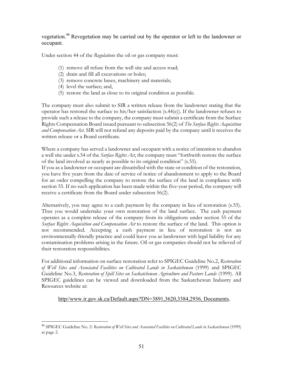vegetation.<sup>46</sup> Revegetation may be carried out by the operator or left to the landowner or occupant.

Under section 44 of the *Regulations* the oil or gas company must:

- (1) remove all refuse from the well site and access road;
- (2) drain and fill all excavations or holes;
- (3) remove concrete bases, machinery and materials;
- (4) level the surface; and,
- (5) restore the land as close to its original condition as possible.

The company must also submit to SIR a written release from the landowner stating that the operator has restored the surface to his/her satisfaction (s.44(e)). If the landowner refuses to provide such a release to the company, the company must submit a certificate from the Surface Rights Compensation Board issued pursuant to subsection 56(2) of *The Surface Rights Acquisition and Compensation Act*. SIR will not refund any deposits paid by the company until it receives the written release or a Board certificate.

Where a company has served a landowner and occupant with a notice of intention to abandon a well site under s.54 of the *Surface Rights Act*, the company must "forthwith restore the surface of the land involved as nearly as possible to its original condition" (s.55).

If you as a landowner or occupant are dissatisfied with the state or condition of the restoration, you have five years from the date of service of notice of abandonment to apply to the Board for an order compelling the company to restore the surface of the land in compliance with section 55. If no such application has been made within the five-year period, the company will receive a certificate from the Board under subsection 56(2).

Alternatively, you may agree to a cash payment by the company in lieu of restoration (s.55). Thus you would undertake your own restoration of the land surface. The cash payment operates as a complete release of the company from its obligations under section 55 of the *Surface Rights Acquisition and Compensation Act* to restore the surface of the land. This option is not recommended. Accepting a cash payment in lieu of restoration is not an environmentally-friendly practice and could leave you as landowner with legal liability for any contamination problems arising in the future. Oil or gas companies should not be relieved of their restoration responsibilities.

For additional information on surface restoration refer to SPIGEC Guideline No.2, *Restoration of Well Sites and Associated Facilities on Cultivated Lands in Saskatchewan* (1999) and SPIGEC Guideline No.3, *Restoration of Spill Sites on Saskatchewan Agriculture and Pasture Lands* (1999). All SPIGEC guidelines can be viewed and downloaded from the Saskatchewan Industry and Resources website at:

#### http//www.ir.gov.sk.ca/Default.aspx?DN=3891,3620,3384,2936, Documents.

<sup>1</sup> <sup>46</sup> SPIGEC Guideline No. 2: *Restoration of Well Sites and Associated Facilities on Cultivated Lands in Saskatchewan* (1999) at page 2.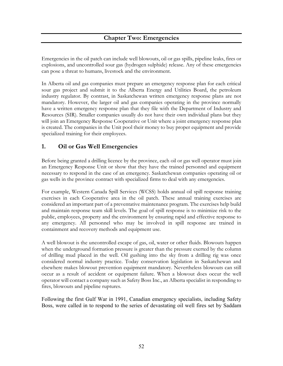### **Chapter Two: Emergencies**

Emergencies in the oil patch can include well blowouts, oil or gas spills, pipeline leaks, fires or explosions, and uncontrolled sour gas (hydrogen sulphide) release. Any of these emergencies can pose a threat to humans, livestock and the environment.

In Alberta oil and gas companies must prepare an emergency response plan for each critical sour gas project and submit it to the Alberta Energy and Utilities Board, the petroleum industry regulator. By contrast, in Saskatchewan written emergency response plans are not mandatory. However, the larger oil and gas companies operating in the province normally have a written emergency response plan that they file with the Department of Industry and Resources (SIR). Smaller companies usually do not have their own individual plans but they will join an Emergency Response Cooperative or Unit where a joint emergency response plan is created. The companies in the Unit pool their money to buy proper equipment and provide specialized training for their employees.

#### **1. Oil or Gas Well Emergencies**

Before being granted a drilling licence by the province, each oil or gas well operator must join an Emergency Response Unit or show that they have the trained personnel and equipment necessary to respond in the case of an emergency. Saskatchewan companies operating oil or gas wells in the province contract with specialized firms to deal with any emergencies.

For example, Western Canada Spill Services (WCSS) holds annual oil spill response training exercises in each Cooperative area in the oil patch. These annual training exercises are considered an important part of a preventative maintenance program. The exercises help build and maintain response team skill levels. The goal of spill response is to minimize risk to the public, employees, property and the environment by ensuring rapid and effective response to any emergency. All personnel who may be involved in spill response are trained in containment and recovery methods and equipment use.

A well blowout is the uncontrolled escape of gas, oil, water or other fluids. Blowouts happen when the underground formation pressure is greater than the pressure exerted by the column of drilling mud placed in the well. Oil gushing into the sky from a drilling rig was once considered normal industry practice. Today conservation legislation in Saskatchewan and elsewhere makes blowout prevention equipment mandatory. Nevertheless blowouts can still occur as a result of accident or equipment failure. When a blowout does occur the well operator will contact a company such as Safety Boss Inc., an Alberta specialist in responding to fires, blowouts and pipeline ruptures.

Following the first Gulf War in 1991, Canadian emergency specialists, including Safety Boss, were called in to respond to the series of devastating oil well fires set by Saddam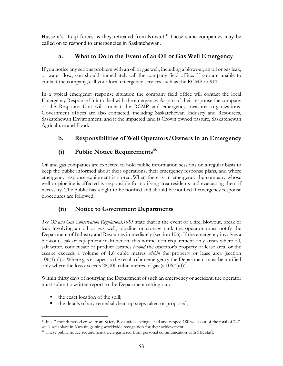Hussein's Iraqi forces as they retreated from Kuwait.<sup>47</sup> These same companies may be called on to respond to emergencies in Saskatchewan.

### **a. What to Do in the Event of an Oil or Gas Well Emergency**

If you notice any serious problem with an oil or gas well, including a blowout, an oil or gas leak, or water flow, you should immediately call the company field office. If you are unable to contact the company, call your local emergency services such as the RCMP or 911.

In a typical emergency response situation the company field office will contact the local Emergency Response Unit to deal with the emergency. As part of their response the company or the Response Unit will contact the RCMP and emergency measures organizations. Government offices are also contacted, including Saskatchewan Industry and Resources, Saskatchewan Environment, and if the impacted land is Crown owned pasture, Saskatchewan Agriculture and Food.

# **b. Responsibilities of Well Operators/Owners in an Emergency**

# **(i)** Public Notice Requirements<sup>48</sup>

Oil and gas companies are expected to hold public information sessions on a regular basis to keep the public informed about their operations, their emergency response plans, and where emergency response equipment is stored. When there is an emergency the company whose well or pipeline is affected is responsible for notifying area residents and evacuating them if necessary. The public has a right to be notified and should be notified if emergency response procedures are followed.

# **(ii) Notice to Government Departments**

*The Oil and Gas Conservation Regulations,1985* state that in the event of a fire, blowout, break or leak involving an oil or gas well, pipeline or storage tank the operator must notify the Department of Industry and Resources immediately (section 106). If the emergency involves a blowout, leak or equipment malfunction, this notification requirement only arises where oil, salt water, condensate or product escapes *beyond* the operator's property or lease area, or the escape exceeds a volume of 1.6 cubic metres *within* the property or lease area (section  $106(1)(d)$ . Where gas escapes as the result of an emergency the Department must be notified only where the loss exceeds 28,000 cubic metres of gas (s.106(1)(f)).

Within thirty days of notifying the Department of such an emergency or accident, the operator must submit a written report to the Department setting out:

- the exact location of the spill;
- the details of any remedial clean up steps taken or proposed;

 $\overline{a}$ <sup>47</sup> In a 7-month period crews from Safety Boss safely extinguished and capped 180 wells out of the total of 727 wells set ablaze in Kuwait, gaining worldwide recognition for their achievement.

<sup>&</sup>lt;sup>48</sup> These public notice requirements were garnered from personal communication with SIR staff.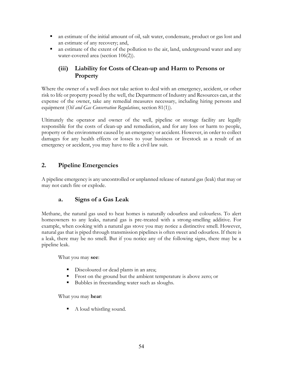- an estimate of the initial amount of oil, salt water, condensate, product or gas lost and an estimate of any recovery; and,
- an estimate of the extent of the pollution to the air, land, underground water and any water-covered area (section 106(2)).

## **(iii) Liability for Costs of Clean-up and Harm to Persons or Property**

Where the owner of a well does not take action to deal with an emergency, accident, or other risk to life or property posed by the well, the Department of Industry and Resources can, at the expense of the owner, take any remedial measures necessary, including hiring persons and equipment (*Oil and Gas Conservation Regulations*, section 81(1)).

Ultimately the operator and owner of the well, pipeline or storage facility are legally responsible for the costs of clean-up and remediation, and for any loss or harm to people, property or the environment caused by an emergency or accident. However, in order to collect damages for any health effects or losses to your business or livestock as a result of an emergency or accident, you may have to file a civil law suit.

### **2. Pipeline Emergencies**

A pipeline emergency is any uncontrolled or unplanned release of natural gas (leak) that may or may not catch fire or explode.

#### **a. Signs of a Gas Leak**

Methane, the natural gas used to heat homes is naturally odourless and colourless. To alert homeowners to any leaks, natural gas is pre-treated with a strong-smelling additive. For example, when cooking with a natural gas stove you may notice a distinctive smell. However, natural gas that is piped through transmission pipelines is often sweet and odourless. If there is a leak, there may be no smell. But if you notice any of the following signs, there may be a pipeline leak.

What you may **see**:

- Discoloured or dead plants in an area;
- Frost on the ground but the ambient temperature is above zero; or
- Bubbles in freestanding water such as sloughs.

What you may **hear**:

A loud whistling sound.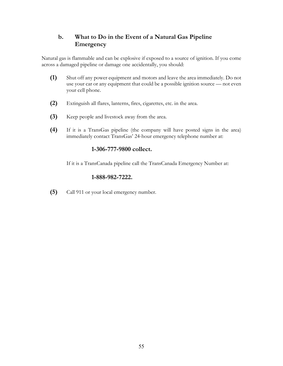### **b. What to Do in the Event of a Natural Gas Pipeline Emergency**

Natural gas is flammable and can be explosive if exposed to a source of ignition. If you come across a damaged pipeline or damage one accidentally, you should:

- **(1)** Shut off any power equipment and motors and leave the area immediately. Do not use your car or any equipment that could be a possible ignition source — not even your cell phone.
- **(2)** Extinguish all flares, lanterns, fires, cigarettes, etc. in the area.
- **(3)** Keep people and livestock away from the area.
- **(4)** If it is a TransGas pipeline (the company will have posted signs in the area) immediately contact TransGas' 24-hour emergency telephone number at:

#### **1-306-777-9800 collect.**

If it is a TransCanada pipeline call the TransCanada Emergency Number at:

#### **1-888-982-7222.**

**(5)** Call 911 or your local emergency number.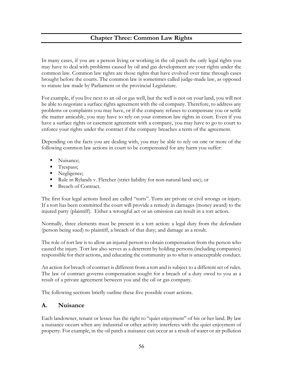# **Chapter Three: Common Law Rights**

In many cases, if you are a person living or working in the oil patch the only legal rights you may have to deal with problems caused by oil and gas development are your rights under the common law. Common law rights are those rights that have evolved over time through cases brought before the courts. The common law is sometimes called judge-made law, as opposed to statute law made by Parliament or the provincial Legislature.

For example, if you live next to an oil or gas well, but the well is not on your land, you will not be able to negotiate a surface rights agreement with the oil company. Therefore, to address any problems or complaints you may have, or if the company refuses to compensate you or settle the matter amicably, you may have to rely on your common law rights in court. Even if you have a surface rights or easement agreement with a company, you may have to go to court to enforce your rights under the contract if the company breaches a term of the agreement.

Depending on the facts you are dealing with, you may be able to rely on one or more of the following common law actions in court to be compensated for any harm you suffer:

- Nuisance;
- **Trespass**;
- Negligence;
- Rule in Rylands v. Fletcher (strict liability for non-natural land use); or
- Breach of Contract.

The first four legal actions listed are called "torts". Torts are private or civil wrongs or injury. If a tort has been committed the court will provide a remedy in damages (money award) to the injured party (plaintiff). Either a wrongful act or an omission can result in a tort action.

Normally, three elements must be present in a tort action: a legal duty from the defendant (person being sued) to plaintiff, a breach of that duty; and damage as a result.

The role of tort law is to allow an injured person to obtain compensation from the person who caused the injury. Tort law also serves as a deterrent by holding persons (including companies) responsible for their actions, and educating the community as to what is unacceptable conduct.

An action for breach of contract is different from a tort and is subject to a different set of rules. The law of contract governs compensation sought for a breach of a duty owed to you as a result of a private agreement between you and the oil or gas company.

The following sections briefly outline these five possible court actions.

#### **A. Nuisance**

Each landowner, tenant or lessee has the right to "quiet enjoyment" of his or her land. By law a nuisance occurs when any industrial or other activity interferes with the quiet enjoyment of property. For example, in the oil patch a nuisance can occur as a result of water or air pollution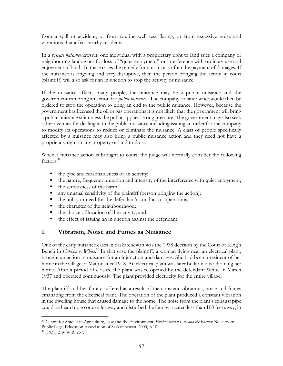from a spill or accident, or from routine well test flaring, or from excessive noise and vibrations that affect nearby residents.

In a *private nuisance* lawsuit, one individual with a proprietary right to land sues a company or neighbouring landowner for loss of "quiet enjoyment" or interference with ordinary use and enjoyment of land. In these cases the remedy for nuisance is often the payment of damages. If the nuisance is ongoing and very disruptive, then the person bringing the action in court (plaintiff) will also ask for an injunction to stop the activity or nuisance.

If the nuisance affects many people, the nuisance may be a public nuisance and the government can bring an action for *public nuisance*. The company or landowner would then be ordered to stop the operation to bring an end to the public nuisance. However, because the government has licensed the oil or gas operations it is not likely that the government will bring a public nuisance suit unless the public applies strong pressure. The government may also seek other avenues for dealing with the public nuisance including issuing an order for the company to modify its operations to reduce or eliminate the nuisance. A class of people specifically affected by a nuisance may also bring a public nuisance action and they need not have a proprietary right in any property or land to do so.

When a nuisance action is brought to court, the judge will normally consider the following factors:<sup>49</sup>

- $\blacksquare$  the type and reasonableness of an activity;
- the nature, frequency, duration and intensity of the interference with quiet enjoyment;
- $\blacksquare$  the seriousness of the harm;
- any unusual sensitivity of the plaintiff (person bringing the action);
- the utility or need for the defendant's conduct or operations;
- the character of the neighbourhood;
- the choice of location of the activity; and,
- $\blacksquare$  the effect of issuing an injunction against the defendant.

#### **1. Vibration, Noise and Fumes as Nuisance**

One of the early nuisance cases in Saskatchewan was the 1938 decision by the Court of King's Bench in *Cubbon v. White*.<sup>50</sup> In that case the plaintiff, a woman living near an electrical plant, brought an action in nuisance for an injunction and damages. She had been a resident of her home in the village of Manor since 1918. An electrical plant was later built on lots adjoining her home. After a period of closure the plant was re-opened by the defendant White in March 1937 and operated continuously. The plant provided electricity for the entire village.

The plaintiff and her family suffered as a result of the constant vibrations, noise and fumes emanating from the electrical plant. The operation of the plant produced a constant vibration in the dwelling house that caused damage to the home. The noise from the plant's exhaust pipe could be heard up to one mile away and disturbed the family, located less than 100 feet away, in

 $\overline{a}$ 49 Centre for Studies in Agriculture, Law and the Environment, *Environmental Law and the Farmer* (Saskatoon: Public Legal Education Association of Saskatchewan, 2000) p.10.

<sup>50 [1938] 2</sup> W.W.R. 257.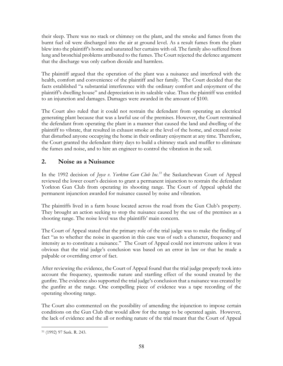their sleep. There was no stack or chimney on the plant, and the smoke and fumes from the burnt fuel oil were discharged into the air at ground level. As a result fumes from the plant blew into the plaintiff's home and saturated her curtains with oil. The family also suffered from lung and bronchial problems attributed to the fumes. The Court rejected the defence argument that the discharge was only carbon dioxide and harmless.

The plaintiff argued that the operation of the plant was a nuisance and interfered with the health, comfort and convenience of the plaintiff and her family. The Court decided that the facts established "a substantial interference with the ordinary comfort and enjoyment of the plaintiff's dwelling house" and depreciation in its saleable value. Thus the plaintiff was entitled to an injunction and damages. Damages were awarded in the amount of \$100.

The Court also ruled that it could not restrain the defendant from operating an electrical generating plant because that was a lawful use of the premises. However, the Court restrained the defendant from operating the plant in a manner that caused the land and dwelling of the plaintiff to vibrate, that resulted in exhaust smoke at the level of the home, and created noise that disturbed anyone occupying the home in their ordinary enjoyment at any time. Therefore, the Court granted the defendant thirty days to build a chimney stack and muffler to eliminate the fumes and noise, and to hire an engineer to control the vibration in the soil.

### **2. Noise as a Nuisance**

In the 1992 decision of *Joyce v. Yorkton Gun Club Inc.*<sup>51</sup> the Saskatchewan Court of Appeal reviewed the lower court's decision to grant a permanent injunction to restrain the defendant Yorkton Gun Club from operating its shooting range. The Court of Appeal upheld the permanent injunction awarded for nuisance caused by noise and vibration.

The plaintiffs lived in a farm house located across the road from the Gun Club's property. They brought an action seeking to stop the nuisance caused by the use of the premises as a shooting range. The noise level was the plaintiffs' main concern.

The Court of Appeal stated that the primary role of the trial judge was to make the finding of fact "as to whether the noise in question in this case was of such a character, frequency and intensity as to constitute a nuisance." The Court of Appeal could not intervene unless it was obvious that the trial judge's conclusion was based on an error in law or that he made a palpable or overriding error of fact.

After reviewing the evidence, the Court of Appeal found that the trial judge properly took into account the frequency, spasmodic nature and startling effect of the sound created by the gunfire. The evidence also supported the trial judge's conclusion that a nuisance was created by the gunfire at the range. One compelling piece of evidence was a tape recording of the operating shooting range.

The Court also commented on the possibility of amending the injunction to impose certain conditions on the Gun Club that would allow for the range to be operated again. However, the lack of evidence and the all or nothing nature of the trial meant that the Court of Appeal

 $\overline{a}$ 51 (1992) 97 Sask. R. 243.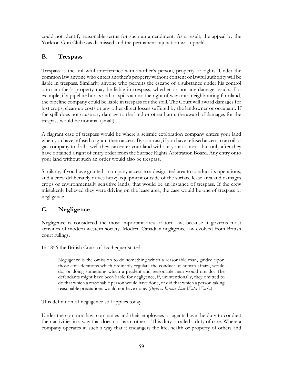could not identify reasonable terms for such an amendment. As a result, the appeal by the Yorkton Gun Club was dismissed and the permanent injunction was upheld.

## **B. Trespass**

Trespass is the unlawful interference with another's person, property or rights. Under the common law anyone who enters another's property without consent or lawful authority will be liable in trespass. Similarly, anyone who permits the escape of a substance under his control onto another's property may be liable in trespass, whether or not any damage results. For example, if a pipeline bursts and oil spills across the right of way onto neighbouring farmland, the pipeline company could be liable in trespass for the spill. The Court will award damages for lost crops, clean-up costs or any other direct losses suffered by the landowner or occupant. If the spill does not cause any damage to the land or other harm, the award of damages for the trespass would be nominal (small).

A flagrant case of trespass would be where a seismic exploration company enters your land when you have refused to grant them access. By contrast, if you have refused access to an oil or gas company to drill a well they can enter your land without your consent, but only after they have obtained a right of entry order from the Surface Rights Arbitration Board. Any entry onto your land without such an order would also be trespass.

Similarly, if you have granted a company access to a designated area to conduct its operations, and a crew deliberately drives heavy equipment outside of the surface lease area and damages crops or environmentally sensitive lands, that would be an instance of trespass. If the crew mistakenly believed they were driving on the lease area, the case would be one of trespass or negligence.

### **C. Negligence**

Negligence is considered the most important area of tort law, because it governs most activities of modern western society. Modern Canadian negligence law evolved from British court rulings.

In 1856 the British Court of Exchequer stated:

Negligence is the omission to do something which a reasonable man, guided upon those considerations which ordinarily regulate the conduct of human affairs, would do, or doing something which a prudent and reasonable man would not do. The defendants might have been liable for negligence, if, unintentionally, they omitted to do that which a reasonable person would have done, or did that which a person taking reasonable precautions would not have done. (*Blyth v. Birmingham Water Works*)

This definition of negligence still applies today.

Under the common law, companies and their employees or agents have the duty to conduct their activities in a way that does not harm others. This duty is called a duty of care. Where a company operates in such a way that it endangers the life, health or property of others and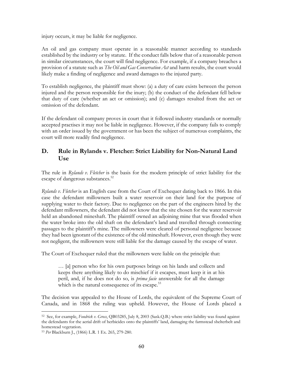injury occurs, it may be liable for negligence.

An oil and gas company must operate in a reasonable manner according to standards established by the industry or by statute. If the conduct falls below that of a reasonable person in similar circumstances, the court will find negligence. For example, if a company breaches a provision of a statute such as *The Oil and Gas Conservation Act* and harm results, the court would likely make a finding of negligence and award damages to the injured party.

To establish negligence, the plaintiff must show: (a) a duty of care exists between the person injured and the person responsible for the inury; (b) the conduct of the defendant fell below that duty of care (whether an act or omission); and (c) damages resulted from the act or omission of the defendant.

If the defendant oil company proves in court that it followed industry standards or normally accepted practises it may not be liable in negligence. However, if the company fails to comply with an order issued by the government or has been the subject of numerous complaints, the court will more readily find negligence.

#### **D. Rule in Rylands v. Fletcher: Strict Liability for Non-Natural Land Use**

The rule in *Rylands v. Fletcher* is the basis for the modern principle of strict liability for the escape of dangerous substances.<sup>52</sup>

*Rylands v. Fletcher* is an English case from the Court of Exchequer dating back to 1866. In this case the defendant millowners built a water reservoir on their land for the purpose of supplying water to their factory. Due to negligence on the part of the engineers hired by the defendant millowners, the defendant did not know that the site chosen for the water reservoir held an abandoned mineshaft. The plaintiff owned an adjoining mine that was flooded when the water broke into the old shaft on the defendant's land and travelled through connecting passages to the plaintiff's mine. The millowners were cleared of personal negligence because they had been ignorant of the existence of the old mineshaft. However, even though they were not negligent, the millowners were still liable for the damage caused by the escape of water.

The Court of Exchequer ruled that the millowners were liable on the principle that:

… [a] person who for his own purposes brings on his lands and collects and keeps there anything likely to do mischief if it escapes, must keep it in at his peril, and, if he does not do so, is *prima facie* answerable for all the damage which is the natural consequence of its escape. $53$ 

The decision was appealed to the House of Lords, the equivalent of the Supreme Court of Canada, and in 1868 the ruling was upheld. However, the House of Lords placed a

<sup>1</sup> 52 See, for example, *Fondrick v. Gross*, QB03285, July 8, 2003 (Sask.Q.B.) where strict liability was found against the defendants for the aerial drift of herbicides onto the plaintiffs' land, damaging the farmstead shelterbelt and homestead vegetation.

<sup>53</sup> *Per* Blackburn J., (1866) L.R. 1 Ex. 265, 279-280.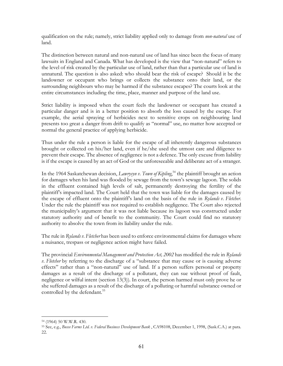qualification on the rule; namely, strict liability applied only to damage from *non-natural* use of land.

The distinction between natural and non-natural use of land has since been the focus of many lawsuits in England and Canada. What has developed is the view that "non-natural" refers to the level of risk created by the particular use of land, rather than that a particular use of land is unnatural. The question is also asked: who should bear the risk of escape? Should it be the landowner or occupant who brings or collects the substance onto their land, or the surrounding neighbours who may be harmed if the substance escapes? The courts look at the entire circumstances including the time, place, manner and purpose of the land use.

Strict liability is imposed when the court feels the landowner or occupant has created a particular danger and is in a better position to absorb the loss caused by the escape. For example, the aerial spraying of herbicides next to sensitive crops on neighbouring land presents too great a danger from drift to qualify as "normal" use, no matter how accepted or normal the general practice of applying herbicide.

Thus under the rule a person is liable for the escape of all inherently dangerous substances brought or collected on his/her land, even if he/she used the utmost care and diligence to prevent their escape. The absence of negligence is not a defence. The only excuse from liability is if the escape is caused by an act of God or the unforeseeable and deliberate act of a stranger.

In the 1964 Saskatchewan decision, *Lawrysyn v. Town of Kipling*, 54 the plaintiff brought an action for damages when his land was flooded by sewage from the town's sewage lagoon. The solids in the effluent contained high levels of salt, permanently destroying the fertility of the plaintiff's impacted land. The Court held that the town was liable for the damages caused by the escape of effluent onto the plaintiff's land on the basis of the rule in *Rylands v. Fletcher*. Under the rule the plaintiff was not required to establish negligence. The Court also rejected the municipality's argument that it was not liable because its lagoon was constructed under statutory authority and of benefit to the community. The Court could find no statutory authority to absolve the town from its liability under the rule.

The rule in *Rylands v. Fletcher* has been used to enforce environmental claims for damages where a nuisance, trespass or negligence action might have failed.

The provincial *Environmental Management and Protection Act, 2002* has modified the rule in *Rylands v. Fletcher* by referring to the discharge of a "substance that may cause or is causing adverse effects" rather than a "non-natural" use of land. If a person suffers personal or property damages as a result of the discharge of a pollutant, they can sue without proof of fault, negligence or wilful intent (section 13(3)). In court, the person harmed must only prove he or she suffered damages as a result of the discharge of a polluting or harmful substance owned or controlled by the defendant.<sup>55</sup>

 $\overline{a}$ 54 (1964) 50 W.W.R. 430.

<sup>55</sup> See, e.g., *Busse Farms Ltd. v. Federal Business Development Bank* , CA98108, December 1, 1998, (Sask.C.A.) at para. 22.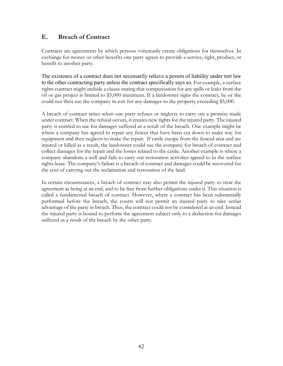#### **E. Breach of Contract**

Contracts are agreements by which persons voluntarily create obligations for themselves. In exchange for money or other benefits one party agrees to provide a service, right, product, or benefit to another party.

The existence of a contract does not necessarily relieve a person of liability under tort law to the other contracting party unless the contract specifically says so. For example, a surface rights contract might include a clause stating that compensation for any spills or leaks from the oil or gas project is limited to \$5,000 maximum. If a landowner signs the contract, he or she could not then sue the company in tort for any damages to the property exceeding \$5,000.

A breach of contract arises when one party refuses or neglects to carry out a promise made under contract. When the refusal occurs, it creates new rights for the injured party. The injured party is entitled to sue for damages suffered as a result of the breach. One example might be where a company has agreed to repair any fences that have been cut down to make way for equipment and then neglects to make the repair. If cattle escape from the fenced area and are injured or killed as a result, the landowner could sue the company for breach of contract and collect damages for the repair and the losses related to the cattle. Another example is where a company abandons a well and fails to carry out restoration activities agreed to in the surface rights lease. The company's failure is a breach of contract and damages could be recovered for the cost of carrying out the reclamation and restoration of the land.

In certain circumstances, a breach of contract may also permit the injured party to treat the agreement as being at an end, and to be free from further obligations under it. This situation is called a fundamental breach of contract. However, where a contract has been substantially performed before the breach, the courts will not permit an injured party to take unfair advantage of the party in breach. Thus, the contract could not be considered at an end. Instead the injured party is bound to perform the agreement subject only to a deduction for damages suffered as a result of the breach by the other party.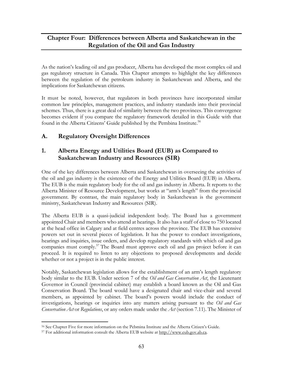## **Chapter Four: Differences between Alberta and Saskatchewan in the Regulation of the Oil and Gas Industry**

As the nation's leading oil and gas producer, Alberta has developed the most complex oil and gas regulatory structure in Canada. This Chapter attempts to highlight the key differences between the regulation of the petroleum industry in Saskatchewan and Alberta, and the implications for Saskatchewan citizens.

It must be noted, however, that regulators in both provinces have incorporated similar common law principles, management practices, and industry standards into their provincial schemes. Thus, there is a great deal of similarity between the two provinces. This convergence becomes evident if you compare the regulatory framework detailed in this Guide with that found in the Alberta Citizens' Guide published by the Pembina Institute.<sup>56</sup>

## **A. Regulatory Oversight Differences**

## **1. Alberta Energy and Utilities Board (EUB) as Compared to Saskatchewan Industry and Resources (SIR)**

One of the key differences between Alberta and Saskatchewan in overseeing the activities of the oil and gas industry is the existence of the Energy and Utilities Board (EUB) in Alberta. The EUB is the main regulatory body for the oil and gas industry in Alberta. It reports to the Alberta Minister of Resource Development, but works at "arm's length" from the provincial government. By contrast, the main regulatory body in Saskatchewan is the government ministry, Saskatchewan Industry and Resources (SIR).

The Alberta EUB is a quasi-judicial independent body. The Board has a government appointed Chair and members who attend at hearings. It also has a staff of close to 750 located at the head office in Calgary and at field centres across the province. The EUB has extensive powers set out in several pieces of legislation. It has the power to conduct investigations, hearings and inquiries, issue orders, and develop regulatory standards with which oil and gas companies must comply.<sup>57</sup> The Board must approve each oil and gas project before it can proceed. It is required to listen to any objections to proposed developments and decide whether or not a project is in the public interest.

Notably, Saskatchewan legislation allows for the establishment of an arm's length regulatory body similar to the EUB. Under section 7 of the *Oil and Gas Conservation Act*, the Lieutenant Governor in Council (provincial cabinet) may establish a board known as the Oil and Gas Conservation Board. The board would have a designated chair and vice-chair and several members, as appointed by cabinet. The board's powers would include the conduct of investigations, hearings or inquiries into any matters arising pursuant to the *Oil and Gas Conservation Act* or *Regulations*, or any orders made under the *Act* (section 7.11). The Minister of

 $\overline{a}$ 56 See Chapter Five for more information on the Pebmina Institute and the Alberta Citizen's Guide.

<sup>57</sup> For additional information consult the Alberta EUB website at http://www.eub.gov.ab.ca.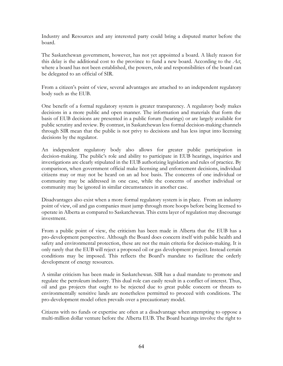Industry and Resources and any interested party could bring a disputed matter before the board.

The Saskatchewan government, however, has not yet appointed a board. A likely reason for this delay is the additional cost to the province to fund a new board. According to the *Act*, where a board has not been established, the powers, role and responsibilities of the board can be delegated to an official of SIR.

From a citizen's point of view, several advantages are attached to an independent regulatory body such as the EUB.

One benefit of a formal regulatory system is greater transparency. A regulatory body makes decisions in a more public and open manner. The information and materials that form the basis of EUB decisions are presented in a public forum (hearings) or are largely available for public scrutiny and review. By contrast, in Saskatchewan less formal decision-making channels through SIR mean that the public is not privy to decisions and has less input into licensing decisions by the regulator.

An independent regulatory body also allows for greater public participation in decision-making. The public's role and ability to participate in EUB hearings, inquiries and investigations are clearly stipulated in the EUB authorizing legislation and rules of practice. By comparison, when government official make licensing and enforcement decisions, individual citizens may or may not be heard on an ad hoc basis. The concerns of one individual or community may be addressed in one case, while the concerns of another individual or community may be ignored in similar circumstances in another case.

Disadvantages also exist when a more formal regulatory system is in place. From an industry point of view, oil and gas companies must jump through more hoops before being licensed to operate in Alberta as compared to Saskatchewan. This extra layer of regulation may discourage investment.

From a public point of view, the criticism has been made in Alberta that the EUB has a pro-development perspective. Although the Board does concern itself with public health and safety and environmental protection, these are not the main criteria for decision-making. It is only rarely that the EUB will reject a proposed oil or gas development project. Instead certain conditions may be imposed. This reflects the Board's mandate to facilitate the orderly development of energy resources.

A similar criticism has been made in Saskatchewan. SIR has a dual mandate to promote and regulate the petroleum industry. This dual role can easily result in a conflict of interest. Thus, oil and gas projects that ought to be rejected due to great public concern or threats to environmentally sensitive lands are nonetheless permitted to proceed with conditions. The pro-development model often prevails over a precautionary model.

Citizens with no funds or expertise are often at a disadvantage when attempting to oppose a multi-million dollar venture before the Alberta EUB. The Board hearings involve the right to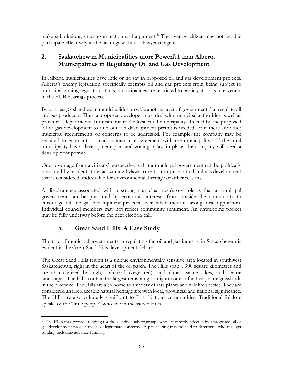make submissions, cross-examination and argument.<sup>58</sup> The average citizen may not be able participate effectively in the hearings without a lawyer or agent.

### **2. Saskatchewan Municipalities more Powerful than Alberta Municipalities in Regulating Oil and Gas Development**

In Alberta municipalities have little or no say in proposed oil and gas development projects. Alberta's energy legislation specifically exempts oil and gas projects from being subject to municipal zoning regulation. Thus, municipalities are restricted to participation as interveners in the EUB hearings process.

By contrast, Saskatchewan municipalities provide another layer of government that regulate oil and gas producers. Thus, a proposed developer must deal with municipal authorities as well as provincial departments. It must contact the local rural municipality affected by the proposed oil or gas development to find out if a development permit is needed, or if there are other municipal requirements or concerns to be addressed. For example, the company may be required to enter into a road maintenance agreement with the municipality. If the rural municipality has a development plan and zoning bylaw in place, the company will need a development permit

One advantage from a citizens' perspective is that a municipal government can be politically pressured by residents to enact zoning bylaws to restrict or prohibit oil and gas development that is considered undesirable for environmental, heritage or other reasons.

A disadvantage associated with a strong municipal regulatory role is that a municipal government can be pressured by economic interests from outside the community to encourage oil and gas development projects, even when there is strong local opposition. Individual council members may not reflect community sentiment. An unwelcome project may be fully underway before the next election call.

# **a. Great Sand Hills: A Case Study**

The role of municipal governments in regulating the oil and gas industry in Saskatchewan is evident in the Great Sand Hills development debate.

The Great Sand Hills region is a unique environmentally sensitive area located in southwest Saskatchewan, right in the heart of the oil patch. The Hills span 1,900 square kilometres and are characterized by high, stabilized (vegetated) sand dunes, saline lakes, and prairie landscapes. The Hills contain the largest remaining contiguous area of native prairie grasslands in the province. The Hills are also home to a variety of rare plants and wildlife species. They are considered an irreplaceable natural heritage site with local, provincial and national significance. The Hills are also culturally significant to First Nations communities. Traditional folklore speaks of the "little people" who live in the sacred Hills.

 $\overline{a}$ <sup>58</sup> The EUB may provide funding for those individuals or groups who are directly affected by a proposed oil or gas development project and have legitimate concerns. A pre-hearing may be held to determine who may get funding including advance funding.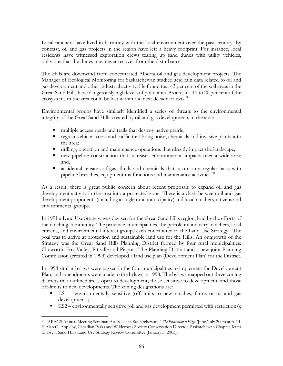Local ranchers have lived in harmony with the local environment over the past century. By contrast, oil and gas projects in the region have left a heavy footprint. For instance, local residents have witnessed exploration crews tearing up sand dunes with utility vehicles, oblivious that the dunes may never recover from the disturbance.

The Hills are downwind from concentrated Alberta oil and gas development projects. The Manager of Ecological Monitoring for Saskatchewan studied acid rain data related to oil and gas development and other industrial activity. He found that 43 per cent of the soil areas in the Great Sand Hills have dangerously high levels of pollutants. As a result, 15 to 20 per cent of the ecosystems in the area could be lost within the next decade or two.<sup>59</sup>

Environmental groups have similarly identified a series of threats to the environmental integrity of the Great Sand Hills created by oil and gas developments in the area:

- multiple access roads and trails that destroy native prairie;
- regular vehicle access and traffic that bring noise, chemicals and invasive plants into the area;
- drilling, operation and maintenance operations that directly impact the landscape;
- new pipeline construction that increases environmental impacts over a wide area; and,
- accidental releases of gas, fluids and chemicals that occur on a regular basis with pipeline breaches, equipment malfunctions and maintenance activities.<sup>60</sup>

As a result, there is great public concern about recent proposals to expand oil and gas development activity in the area into a protected zone. There is a clash between oil and gas development proponents (including a single rural municipality) and local ranchers, citizens and environmental groups.

In 1991 a Land Use Strategy was devised for the Great Sand Hills region, lead by the efforts of the ranching community. The province, municipalities, the petroleum industry, ranchers, local citizens, and environmental interest groups each contributed to the Land Use Strategy. The goal was to arrive at protection and sustainable land use for the Hills. An outgrowth of the Strategy was the Great Sand Hills Planning District formed by four rural municipalities: Clinworth, Fox Valley, Pittville and Piapot. The Planning District and a new joint Planning Commission (created in 1993) developed a land use plan (Development Plan) for the District.

In 1994 similar bylaws were passed in the four municipalities to implement the Development Plan, and amendments were made to the bylaws in 1998. The bylaws mapped out three zoning districts that outlined areas open to development, those sensitive to development, and those off-limits to new developments. The zoning designations are:

- ES1 environmentally sensitive (off-limits to new ranches, farms or oil and gas development);
- ES2 environmentally sensitive (oil and gas development permitted with restrictions);

<sup>1</sup> 59 "APEGS Annual Meeting Seminar: Air Issues in Saskatchewan," *The Professional Edge* (June/July 2003) at p. 14. 60 Alan G. Appleby, Canadian Parks and Wilderness Society Conservation Director, Saskatchewan Chapter, letter to Great Sand Hills Land Use Strategy Review Committee (January 3, 2003).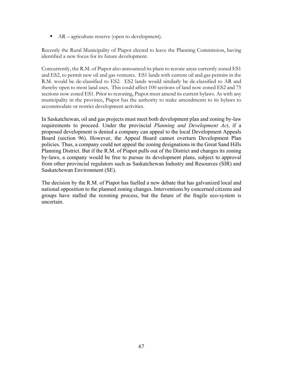$AR - a$ griculture reserve (open to development).

Recently the Rural Municipality of Piapot elected to leave the Planning Commission, having identified a new focus for its future development.

Concurrently, the R.M. of Piapot also announced its plans to rezone areas currently zoned ES1 and ES2, to permit new oil and gas ventures. ES1 lands with current oil and gas permits in the R.M. would be de-classified to ES2. ES2 lands would similarly be de-classified to AR and thereby open to most land uses. This could affect 100 sections of land now zoned ES2 and 75 sections now zoned ES1. Prior to rezoning, Piapot must amend its current bylaws. As with any municipality in the province, Piapot has the authority to make amendments to its bylaws to accommodate or restrict development activities.

In Saskatchewan, oil and gas projects must meet both development plan and zoning by-law requirements to proceed. Under the provincial *Planning and Development Act*, if a proposed development is denied a company can appeal to the local Development Appeals Board (section 96). However, the Appeal Board cannot overturn Development Plan policies. Thus, a company could not appeal the zoning designations in the Great Sand Hills Planning District. But if the R.M. of Piapot pulls out of the District and changes its zoning by-laws, a company would be free to pursue its development plans, subject to approval from other provincial regulators such as Saskatchewan Industry and Resources (SIR) and Saskatchewan Environment (SE).

The decision by the R.M. of Piapot has fuelled a new debate that has galvanized local and national opposition to the planned zoning changes. Interventions by concerned citizens and groups have stalled the rezoning process, but the future of the fragile eco-system is uncertain.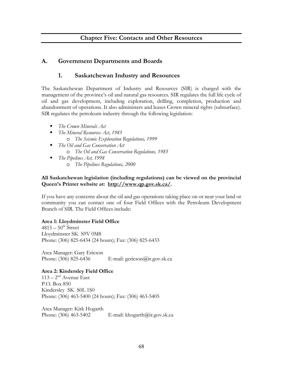## **Chapter Five: Contacts and Other Resources**

## **A. Government Departments and Boards**

### **1. Saskatchewan Industry and Resources**

The Saskatchewan Department of Industry and Resources (SIR) is charged with the management of the province's oil and natural gas resources. SIR regulates the full life cycle of oil and gas development, including exploration, drilling, completion, production and abandonment of operations. It also administers and leases Crown mineral rights (subsurface). SIR regulates the petroleum industry through the following legislation:

- *The Crown Minerals Act*
- *The Mineral Resources Act, 1985*  o *The Seismic Exploration Regulations, 1999*
- *The Oil and Gas Conservation Act*  o *The Oil and Gas Conservation Regulations, 1985*
- *The Pipelines Act, 1998*  o *The Pipelines Regulations, 2000*

### **All Saskatchewan legislation (including regulations) can be viewed on the provincial Queen's Printer website at: http://www.qp.gov.sk.ca/.**

If you have any concerns about the oil and gas operations taking place on or near your land or community you can contact one of four Field Offices with the Petroleum Development Branch of SIR. The Field Offices include:

#### **Area 1: Lloydminster Field Office**

 $4815-50$ <sup>th</sup> Street Lloydminster SK S9V 0M8 Phone: (306) 825-6434 (24 hours); Fax: (306) 825-6433

Area Manager: Gary Ericson Phone: (306) 825-6436 E-mail: gericson@ir.gov.sk.ca

#### **Area 2: Kindersley Field Office**

 $113 - 2<sup>nd</sup>$  Avenue East P.O. Box 850 Kindersley SK S0L 1S0 Phone: (306) 463-5400 (24 hours); Fax: (306) 463-5405

Area Manager: Kirk Hogarth Phone: (306) 463-5402 E-mail: khogarth@ir.gov.sk.ca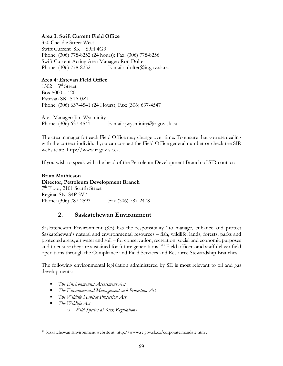#### **Area 3: Swift Current Field Office**

350 Cheadle Street West Swift Current SK S9H 4G3 Phone: (306) 778-8252 (24 hours); Fax: (306) 778-8256 Swift Current Acting Area Manager: Ron Dolter Phone: (306) 778-8252 E-mail: rdolter@ir.gov.sk.ca

#### **Area 4: Estevan Field Office**

 $1302 - 3^{rd}$  Street  $Box 5000 - 120$ Estevan SK S4A 0Z1 Phone: (306) 637-4541 (24 Hours); Fax: (306) 637-4547

Area Manager: Jim Wysminity Phone:  $(306)$  637-4541 E-mail: jwysminity $@$ ir.gov.sk.ca

The area manager for each Field Office may change over time. To ensure that you are dealing with the correct individual you can contact the Field Office general number or check the SIR website at: http://www.ir.gov.sk.ca.

If you wish to speak with the head of the Petroleum Development Branch of SIR contact:

**Brian Mathieson Director, Petroleum Development Branch** 7th Floor, 2101 Scarth Street Regina, SK S4P 3V7 Phone: (306) 787-2593 Fax (306) 787-2478

### **2. Saskatchewan Environment**

Saskatchewan Environment (SE) has the responsibility "to manage, enhance and protect Saskatchewan's natural and environmental resources – fish, wildlife, lands, forests, parks and protected areas, air water and soil – for conservation, recreation, social and economic purposes and to ensure they are sustained for future generations."<sup>61</sup> Field officers and staff deliver field operations through the Compliance and Field Services and Resource Stewardship Branches.

The following environmental legislation administered by SE is most relevant to oil and gas developments:

- *The Environmental Assessment Act*
- *The Environmental Management and Protection Act*
- *The Wildlife Habitat Protection Act*
- *The Wildlife Act*

1

o *Wild Species at Risk Regulations* 

<sup>61</sup> Saskatchewan Environment website at: http://www.se.gov.sk.ca/corporate.mandate.htm .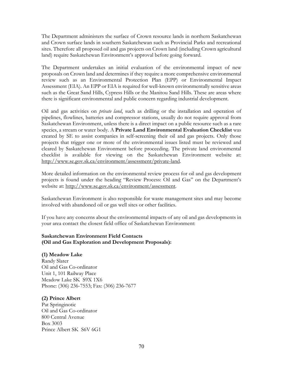The Department administers the surface of Crown resource lands in northern Saskatchewan and Crown surface lands in southern Saskatchewan such as Provincial Parks and recreational sites. Therefore all proposed oil and gas projects on Crown land (including Crown agricultural land) require Saskatchewan Environment's approval before going forward.

The Department undertakes an initial evaluation of the environmental impact of new proposals on Crown land and determines if they require a more comprehensive environmental review such as an Environmental Protection Plan (EPP) or Environmental Impact Assessment (EIA). An EPP or EIA is required for well-known environmentally sensitive areas such as the Great Sand Hills, Cypress Hills or the Manitou Sand Hills. These are areas where there is significant environmental and public concern regarding industrial development.

Oil and gas activities on *private land*, such as drilling or the installation and operation of pipelines, flowlines, batteries and compressor stations, usually do not require approval from Saskatchewan Environment, unless there is a direct impact on a public resource such as a rare species, a stream or water body. A **Private Land Environmental Evaluation Checklist** was created by SE to assist companies in self-screening their oil and gas projects. Only those projects that trigger one or more of the environmental issues listed must be reviewed and cleared by Saskatchewan Environment before proceeding. The private land environmental checklist is available for viewing on the Saskatchewan Environment website at: http://www.se.gov.sk.ca/environment/assessment/private-land.

More detailed information on the environmental review process for oil and gas development projects is found under the heading "Review Process: Oil and Gas" on the Department's website at: http://www.se.gov.sk.ca/environment/assessment.

Saskatchewan Environment is also responsible for waste management sites and may become involved with abandoned oil or gas well sites or other facilities.

If you have any concerns about the environmental impacts of any oil and gas developments in your area contact the closest field office of Saskatchewan Environment:

### **Saskatchewan Environment Field Contacts (Oil and Gas Exploration and Development Proposals):**

#### **(1) Meadow Lake**

Randy Slater Oil and Gas Co-ordinator Unit 1, 101 Railway Place Meadow Lake SK S9X 1X6 Phone: (306) 236-7553; Fax: (306) 236-7677

### **(2) Prince Albert**

Pat Springinotic Oil and Gas Co-ordinator 800 Central Avenue Box 3003 Prince Albert SK S6V 6G1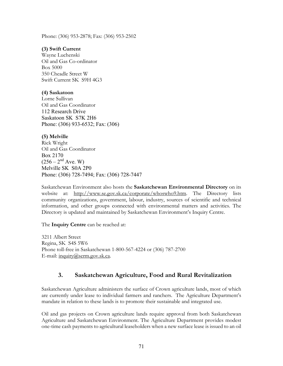Phone: (306) 953-2878; Fax: (306) 953-2502

#### **(3) Swift Current**

Wayne Luchenski Oil and Gas Co-ordinator Box 5000 350 Cheadle Street W Swift Current SK S9H 4G3

#### **(4) Saskatoon**

Lorne Sullivan Oil and Gas Coordinator 112 Research Drive Saskatoon SK S7K 2H6 Phone: (306) 933-6532; Fax: (306)

#### **(5) Melville**

Rick Wright Oil and Gas Coordinator Box 2170  $(256 - 2<sup>nd</sup> Ave. W)$ Melville SK S0A 2P0 Phone: (306) 728-7494; Fax: (306) 728-7447

Saskatchewan Environment also hosts the **Saskatchewan Environmental Directory** on its website at: http://www.se.gov.sk.ca/corporate/whoswho9.htm. The Directory lists community organizations, government, labour, industry, sources of scientific and technical information, and other groups connected with environmental matters and activities. The Directory is updated and maintained by Saskatchewan Environment's Inquiry Centre.

The **Inquiry Centre** can be reached at:

3211 Albert Street Regina, SK S4S 5W6 Phone toll-free in Saskatchewan 1-800-567-4224 or (306) 787-2700 E-mail: inquiry@serm.gov.sk.ca.

## **3. Saskatchewan Agriculture, Food and Rural Revitalization**

Saskatchewan Agriculture administers the surface of Crown agriculture lands, most of which are currently under lease to individual farmers and ranchers. The Agriculture Department's mandate in relation to these lands is to promote their sustainable and integrated use.

Oil and gas projects on Crown agriculture lands require approval from both Saskatchewan Agriculture and Saskatchewan Environment. The Agriculture Department provides modest one-time cash payments to agricultural leaseholders when a new surface lease is issued to an oil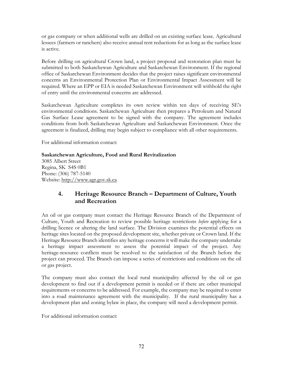or gas company or when additional wells are drilled on an existing surface lease. Agricultural lessees (farmers or ranchers) also receive annual rent reductions for as long as the surface lease is active.

Before drilling on agricultural Crown land, a project proposal and restoration plan must be submitted to both Saskatchewan Agriculture and Saskatchewan Environment. If the regional office of Saskatchewan Environment decides that the project raises significant environmental concerns an Environmental Protection Plan or Environmental Impact Assessment will be required. Where an EPP or EIA is needed Saskatchewan Environment will withhold the right of entry until the environmental concerns are addressed.

Saskatchewan Agriculture completes its own review within ten days of receiving SE's environmental conditions. Saskatchewan Agriculture then prepares a Petroleum and Natural Gas Surface Lease agreement to be signed with the company. The agreement includes conditions from both Saskatchewan Agriculture and Saskatchewan Environment. Once the agreement is finalized, drilling may begin subject to compliance with all other requirements.

For additional information contact:

### **Saskatchewan Agriculture, Food and Rural Revitalization**

3085 Albert Street Regina, SK S4S 0B1 Phone: (306) 787-5140 Website: http://www.agr.gov.sk.ca

# **4. Heritage Resource Branch – Department of Culture, Youth and Recreation**

An oil or gas company must contact the Heritage Resource Branch of the Department of Culture, Youth and Recreation to review possible heritage restrictions *before* applying for a drilling licence or altering the land surface. The Division examines the potential effects on heritage sites located on the proposed development site, whether private or Crown land. If the Heritage Resource Branch identifies any heritage concerns it will make the company undertake a heritage impact assessment to assess the potential impact of the project. Any heritage-resource conflicts must be resolved to the satisfaction of the Branch before the project can proceed. The Branch can impose a series of restrictions and conditions on the oil or gas project.

The company must also contact the local rural municipality affected by the oil or gas development to find out if a development permit is needed or if there are other municipal requirements or concerns to be addressed. For example, the company may be required to enter into a road maintenance agreement with the municipality. If the rural municipality has a development plan and zoning bylaw in place, the company will need a development permit.

For additional information contact: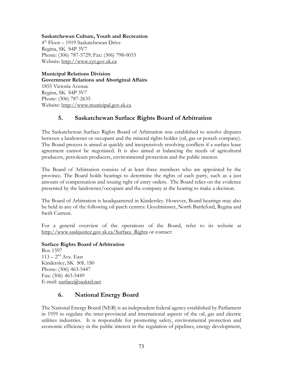**Saskatchewan Culture, Youth and Recreation** 

4th Floor – 1919 Saskatchewan Drive Regina, SK S4P 3V7 Phone: (306) 787-5729; Fax: (306) 798-0033 Website: http://www.cyr.gov.sk.ca

**Municipal Relations Division Government Relations and Aboriginal Affairs**  1855 Victoria Avenue Regina, SK S4P 3V7 Phone: (306) 787-2635 Website: http://www.municipal.gov.sk.ca

## **5. Saskatchewan Surface Rights Board of Arbitration**

The Saskatchewan Surface Rights Board of Arbitration was established to resolve disputes between a landowner or occupant and the mineral rights holder (oil, gas or potash company). The Board process is aimed at quickly and inexpensively resolving conflicts if a surface lease agreement cannot be negotiated. It is also aimed at balancing the needs of agricultural producers, petroleum producers, environmental protection and the public interest.

The Board of Arbitration consists of at least three members who are appointed by the province. The Board holds hearings to determine the rights of each party, such as a just amount of compensation and issuing right of entry orders. The Board relies on the evidence presented by the landowner/occupant and the company at the hearing to make a decision.

The Board of Arbitration is headquartered in Kindersley. However, Board hearings may also be held in any of the following oil patch centres: Lloydminster, North Battleford, Regina and Swift Current.

For a general overview of the operations of the Board, refer to its website at http://www.saskjustice.gov.sk.ca/Surface\_Rights or contact:

#### **Surface Rights Board of Arbitration**

Box 1597  $113 - 2<sup>nd</sup>$  Ave. East Kindersley, SK S0L 1S0 Phone: (306) 463-5447 Fax: (306) 463-5449 E-mail: surface@sasktel.net

## **6. National Energy Board**

The National Energy Board (NEB) is an independent federal agency established by Parliament in 1959 to regulate the inter-provincial and international aspects of the oil, gas and electric utilities industries. It is responsible for promoting safety, environmental protection and economic efficiency in the public interest in the regulation of pipelines, energy development,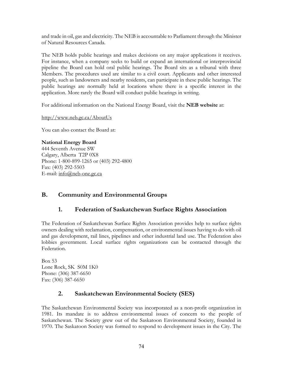and trade in oil, gas and electricity. The NEB is accountable to Parliament through the Minister of Natural Resources Canada.

The NEB holds public hearings and makes decisions on any major applications it receives. For instance, when a company seeks to build or expand an international or interprovincial pipeline the Board can hold oral public hearings. The Board sits as a tribunal with three Members. The procedures used are similar to a civil court. Applicants and other interested people, such as landowners and nearby residents, can participate in these public hearings. The public hearings are normally held at locations where there is a specific interest in the application. More rarely the Board will conduct public hearings in writing.

For additional information on the National Energy Board, visit the **NEB website** at:

http://www.neb.gc.ca/AboutUs

You can also contact the Board at:

### **National Energy Board**

444 Seventh Avenue SW Calgary, Alberta T2P 0X8 Phone: 1-800-899-1265 or (403) 292-4800 Fax: (403) 292-5503 E-mail: info@neb-one.gc.ca

# **B. Community and Environmental Groups**

# **1. Federation of Saskatchewan Surface Rights Association**

The Federation of Saskatchewan Surface Rights Association provides help to surface rights owners dealing with reclamation, compensation, or environmental issues having to do with oil and gas development, rail lines, pipelines and other industrial land use. The Federation also lobbies government. Local surface rights organizations can be contacted through the Federation.

Box 53 Lone Rock, SK S0M 1K0 Phone: (306) 387-6650 Fax: (306) 387-6650

# **2. Saskatchewan Environmental Society (SES)**

The Saskatchewan Environmental Society was incorporated as a non-profit organization in 1981. Its mandate is to address environmental issues of concern to the people of Saskatchewan. The Society grew out of the Saskatoon Environmental Society, founded in 1970. The Saskatoon Society was formed to respond to development issues in the City. The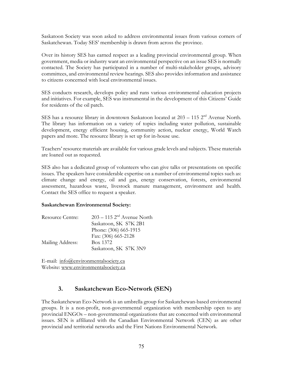Saskatoon Society was soon asked to address environmental issues from various corners of Saskatchewan. Today SES' membership is drawn from across the province.

Over its history SES has earned respect as a leading provincial environmental group. When government, media or industry want an environmental perspective on an issue SES is normally contacted. The Society has participated in a number of multi-stakeholder groups, advisory committees, and environmental review hearings. SES also provides information and assistance to citizens concerned with local environmental issues.

SES conducts research, develops policy and runs various environmental education projects and initiatives. For example, SES was instrumental in the development of this Citizens' Guide for residents of the oil patch.

SES has a resource library in downtown Saskatoon located at  $203 - 115$   $2<sup>nd</sup>$  Avenue North. The library has information on a variety of topics including water pollution, sustainable development, energy efficient housing, community action, nuclear energy, World Watch papers and more. The resource library is set up for in-house use.

Teachers' resource materials are available for various grade levels and subjects. These materials are loaned out as requested.

SES also has a dedicated group of volunteers who can give talks or presentations on specific issues. The speakers have considerable expertise on a number of environmental topics such as: climate change and energy, oil and gas, energy conservation, forests, environmental assessment, hazardous waste, livestock manure management, environment and health. Contact the SES office to request a speaker.

#### **Saskatchewan Environmental Society:**

| <b>Resource Centre:</b> | $203 - 115$ $2nd$ Avenue North |
|-------------------------|--------------------------------|
|                         | Saskatoon, SK S7K 2B1          |
|                         | Phone: (306) 665-1915          |
|                         | Fax: (306) 665-2128            |
| Mailing Address:        | Box 1372                       |
|                         | Saskatoon, SK S7K 3N9          |

E-mail: info@environmentalsociety.ca Website: www.environmentalsociety.ca

# **3. Saskatchewan Eco-Network (SEN)**

The Saskatchewan Eco-Network is an umbrella group for Saskatchewan-based environmental groups. It is a non-profit, non-governmental organization with membership open to any provincial ENGOs – non-governmental organizations that are concerned with environmental issues. SEN is affiliated with the Canadian Environmental Network (CEN) as are other provincial and territorial networks and the First Nations Environmental Network.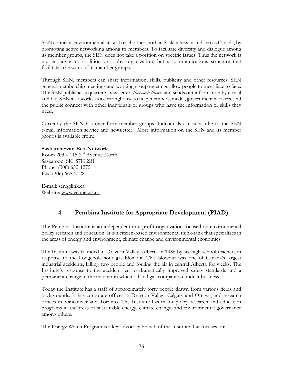SEN connects environmentalists with each other, both in Saskatchewan and across Canada, by promoting active networking among its members. To facilitate diversity and dialogue among its member groups, the SEN does not take a position on specific issues. Thus the network is not an advocacy coalition or lobby organization, but a communications structure that facilitates the work of its member groups.

Through SEN, members can share information, skills, publicity and other resources. SEN general membership meetings and working group meetings allow people to meet face to face. The SEN publishes a quarterly newsletter, *Network News*, and sends out information by e-mail and fax. SEN also works as a clearinghouse to help members, media, government workers, and the public connect with other individuals or groups who have the information or skills they need.

Currently the SEN has over forty member groups. Individuals can subscribe to the SEN e-mail information service and newsletter. More information on the SEN and its member groups is available from:

#### **Saskatchewan Eco-Network**

Room  $203 - 115$   $2<sup>nd</sup>$  Avenue North Saskatoon, SK S7K 2B1 Phone: (306) 652-1275 Fax: (306) 665-2128

E-mail: sen@link.ca Website: www.econet.sk.ca

# **4. Pembina Institute for Appropriate Development (PIAD)**

The Pembina Institute is an independent non-profit organization focused on environmental policy research and education. It is a citizen-based environmental think-tank that specializes in the areas of energy and environment, climate change and environmental economics.

The Institute was founded in Drayton Valley, Alberta in 1986 by six high school teachers in response to the Lodgepole sour gas blowout. This blowout was one of Canada's largest industrial accidents, killing two people and fouling the air in central Alberta for weeks. The Institute's response to the accident led to dramatically improved safety standards and a permanent change in the manner in which oil and gas companies conduct business.

Today the Institute has a staff of approximately forty people drawn from various fields and backgrounds. It has corporate offices in Drayton Valley, Calgary and Ottawa, and research offices in Vancouver and Toronto. The Institute has major policy research and education programs in the areas of sustainable energy, climate change, and environmental governance among others.

The Energy Watch Program is a key advocacy branch of the Institute that focuses on: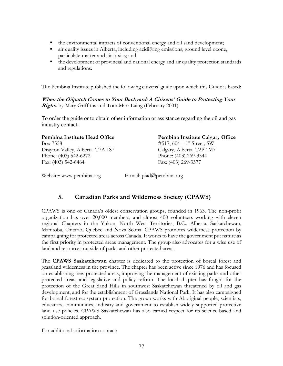- the environmental impacts of conventional energy and oil sand development;
- air quality issues in Alberta, including acidifying emissions, ground level ozone, particulate matter and air toxics; and
- $\blacksquare$  the development of provincial and national energy and air quality protection standards and regulations.

The Pembina Institute published the following citizens' guide upon which this Guide is based:

**When the Oilpatch Comes to Your Backyard: A Citizens' Guide to Protecting Your Rights** by Mary Griffiths and Tom Marr Laing (February 2001).

To order the guide or to obtain other information or assistance regarding the oil and gas industry contact:

Box 7558  $\text{#517, 604} - 1\text{# Street, SW}$ Drayton Valley, Alberta T7A 1S7 Calgary, Alberta T2P 1M7 Phone: (403) 542-6272 Phone: (403) 269-3344 Fax: (403) 542-6464 Fax: (403) 269-3377

Pembina Institute Head Office **Pembina Institute Calgary Office** 

Website: www.pembina.org E-mail: piad@pembina.org

## **5. Canadian Parks and Wilderness Society (CPAWS)**

CPAWS is one of Canada's oldest conservation groups, founded in 1963. The non-profit organization has over 20,000 members, and almost 400 volunteers working with eleven regional Chapters in the Yukon, North West Territories, B.C., Alberta, Saskatchewan, Manitoba, Ontario, Quebec and Nova Scotia. CPAWS promotes wilderness protection by campaigning for protected areas across Canada. It works to have the government put nature as the first priority in protected areas management. The group also advocates for a wise use of land and resources outside of parks and other protected areas.

The **CPAWS Saskatchewan** chapter is dedicated to the protection of boreal forest and grassland wilderness in the province. The chapter has been active since 1976 and has focused on establishing new protected areas, improving the management of existing parks and other protected areas, and legislative and policy reform. The local chapter has fought for the protection of the Great Sand Hills in southwest Saskatchewan threatened by oil and gas development, and for the establishment of Grasslands National Park. It has also campaigned for boreal forest ecosystem protection. The group works with Aboriginal people, scientists, educators, communities, industry and government to establish widely supported protective land use policies. CPAWS Saskatchewan has also earned respect for its science-based and solution-oriented approach.

For additional information contact: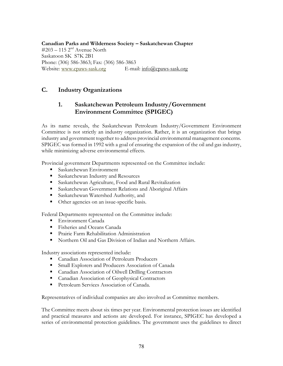**Canadian Parks and Wilderness Society – Saskatchewan Chapter**   $\#203 - 115$   $2<sup>nd</sup>$  Avenue North Saskatoon SK S7K 2B1 Phone: (306) 586-3863; Fax: (306) 586-3863 Website: www.cpaws-sask.org E-mail: info@cpaws-sask.org

## **C. Industry Organizations**

# **1. Saskatchewan Petroleum Industry/Government Environment Committee (SPIGEC)**

As its name reveals, the Saskatchewan Petroleum Industry/Government Environment Committee is not strictly an industry organization. Rather, it is an organization that brings industry and government together to address provincial environmental management concerns. SPIGEC was formed in 1992 with a goal of ensuring the expansion of the oil and gas industry, while minimizing adverse environmental effects.

Provincial government Departments represented on the Committee include:

- Saskatchewan Environment
- **Saskatchewan Industry and Resources**
- **Saskatchewan Agriculture, Food and Rural Revitalization**
- **Saskatchewan Government Relations and Aboriginal Affairs**
- Saskatchewan Watershed Authority, and
- Other agencies on an issue-specific basis.

Federal Departments represented on the Committee include:

- Environment Canada
- **Fisheries and Oceans Canada**
- **Prairie Farm Rehabilitation Administration**
- Northern Oil and Gas Division of Indian and Northern Affairs.

Industry associations represented include:

- Canadian Association of Petroleum Producers
- **Small Explorers and Producers Association of Canada**
- **Canadian Association of Oilwell Drilling Contractors**
- **Canadian Association of Geophysical Contractors**
- **Petroleum Services Association of Canada.**

Representatives of individual companies are also involved as Committee members.

The Committee meets about six times per year. Environmental protection issues are identified and practical measures and actions are developed. For instance, SPIGEC has developed a series of environmental protection guidelines. The government uses the guidelines to direct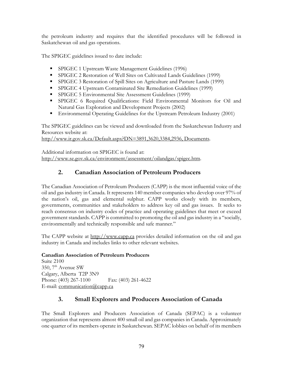the petroleum industry and requires that the identified procedures will be followed in Saskatchewan oil and gas operations.

The SPIGEC guidelines issued to date include:

- **SPIGEC 1 Upstream Waste Management Guidelines (1996)**
- SPIGEC 2 Restoration of Well Sites on Cultivated Lands Guidelines (1999)
- **SPIGEC 3 Restoration of Spill Sites on Agriculture and Pasture Lands (1999)**
- SPIGEC 4 Upstream Contaminated Site Remediation Guidelines (1999)
- **SPIGEC 5 Environmental Site Assessment Guidelines (1999)**
- SPIGEC 6 Required Qualifications: Field Environmental Monitors for Oil and Natural Gas Exploration and Development Projects (2002)
- Environmental Operating Guidelines for the Upstream Petroleum Industry (2001)

The SPIGEC guidelines can be viewed and downloaded from the Saskatchewan Industry and Resources website at:

http//www.ir.gov.sk.ca/Default.aspx?DN=3891,3620,3384,2936, Documents.

Additional information on SPIGEC is found at: http://www.se.gov.sk.ca/environment/assessment/oilandgas/spigec.htm.

# **2. Canadian Association of Petroleum Producers**

The Canadian Association of Petroleum Producers (CAPP) is the most influential voice of the oil and gas industry in Canada. It represents 140 member companies who develop over 97% of the nation's oil, gas and elemental sulphur. CAPP works closely with its members, governments, communities and stakeholders to address key oil and gas issues. It seeks to reach consensus on industry codes of practice and operating guidelines that meet or exceed government standards. CAPP is committed to promoting the oil and gas industry in a "socially, environmentally and technically responsible and safe manner."

The CAPP website at http://www.capp.ca provides detailed information on the oil and gas industry in Canada and includes links to other relevant websites.

### **Canadian Association of Petroleum Producers**

Suite 2100 350,  $7<sup>th</sup>$  Avenue SW Calgary, Alberta T2P 3N9 Phone: (403) 267-1100 Fax: (403) 261-4622 E-mail: communication@capp.ca

# **3. Small Explorers and Producers Association of Canada**

The Small Explorers and Producers Association of Canada (SEPAC) is a volunteer organization that represents almost 400 small oil and gas companies in Canada. Approximately one quarter of its members operate in Saskatchewan. SEPAC lobbies on behalf of its members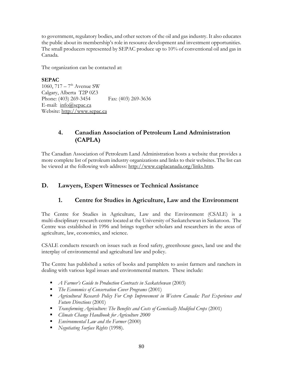to government, regulatory bodies, and other sectors of the oil and gas industry. It also educates the public about its membership's role in resource development and investment opportunities. The small producers represented by SEPAC produce up to 10% of conventional oil and gas in Canada.

The organization can be contacted at:

**SEPAC**  1060,  $717 - 7<sup>th</sup>$  Avenue SW Calgary, Alberta T2P 0Z3 Phone: (403) 269-3454 Fax: (403) 269-3636 E-mail: info@sepac.ca Website: http://www.sepac.ca

# **4. Canadian Association of Petroleum Land Administration (CAPLA)**

The Canadian Association of Petroleum Land Administration hosts a website that provides a more complete list of petroleum industry organizations and links to their websites. The list can be viewed at the following web address: http://www.caplacanada.org/links.htm.

## **D. Lawyers, Expert Witnesses or Technical Assistance**

## **1. Centre for Studies in Agriculture, Law and the Environment**

The Centre for Studies in Agriculture, Law and the Environment (CSALE) is a multi-disciplinary research centre located at the University of Saskatchewan in Saskatoon. The Centre was established in 1996 and brings together scholars and researchers in the areas of agriculture, law, economics, and science.

CSALE conducts research on issues such as food safety, greenhouse gases, land use and the interplay of environmental and agricultural law and policy.

The Centre has published a series of books and pamphlets to assist farmers and ranchers in dealing with various legal issues and environmental matters. These include:

- *A Farmer's Guide to Production Contracts in Saskatchewan* (2003)
- *The Economics of Conservation Cover Programs* (2001)
- *Agricultural Research Policy For Crop Improvement in Western Canada: Past Experience and Future Directions* (2001)
- *Transforming Agriculture: The Benefits and Costs of Genetically Modified Crops* (2001)
- *Climate Change Handbook for Agriculture 2000*
- *Environmental Law and the Farmer* (2000)
- *Negotiating Surface Rights* (1998).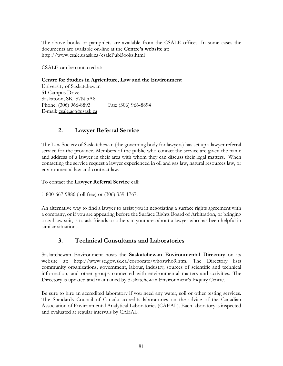The above books or pamphlets are available from the CSALE offices. In some cases the documents are available on-line at the **Centre's website** at: http://www.csale.usask.ca/csalePubBooks.html

CSALE can be contacted at:

#### **Centre for Studies in Agriculture, Law and the Environment**

University of Saskatchewan 51 Campus Drive Saskatoon, SK S7N 5A8 Phone: (306) 966-8893 Fax: (306) 966-8894 E-mail:  $csale.aq@ussak.ca$ 

## **2. Lawyer Referral Service**

The Law Society of Saskatchewan (the governing body for lawyers) has set up a lawyer referral service for the province. Members of the public who contact the service are given the name and address of a lawyer in their area with whom they can discuss their legal matters. When contacting the service request a lawyer experienced in oil and gas law, natural resources law, or environmental law and contract law.

To contact the **Lawyer Referral Service** call:

1-800-667-9886 (toll free) or (306) 359-1767.

An alternative way to find a lawyer to assist you in negotiating a surface rights agreement with a company, or if you are appearing before the Surface Rights Board of Arbitration, or bringing a civil law suit, is to ask friends or others in your area about a lawyer who has been helpful in similar situations.

## **3. Technical Consultants and Laboratories**

Saskatchewan Environment hosts the **Saskatchewan Environmental Directory** on its website at: http://www.se.gov.sk.ca/corporate/whoswho9.htm. The Directory lists community organizations, government, labour, industry, sources of scientific and technical information, and other groups connected with environmental matters and activities. The Directory is updated and maintained by Saskatchewan Environment's Inquiry Centre.

Be sure to hire an accredited laboratory if you need any water, soil or other testing services. The Standards Council of Canada accredits laboratories on the advice of the Canadian Association of Environmental Analytical Laboratories (CAEAL). Each laboratory is inspected and evaluated at regular intervals by CAEAL.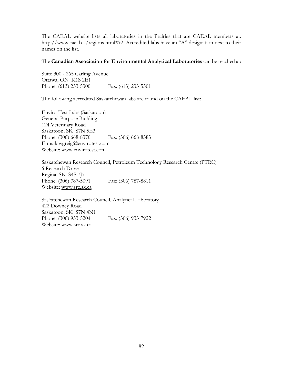The CAEAL website lists all laboratories in the Prairies that are CAEAL members at: http://www.caeal.ca/regions.html#t2. Accredited labs have an "A" designation next to their names on the list.

#### The **Canadian Association for Environmental Analytical Laboratories** can be reached at:

Suite 300 - 265 Carling Avenue Ottawa, ON K1S 2E1 Phone: (613) 233-5300 Fax: (613) 233-5501

The following accredited Saskatchewan labs are found on the CAEAL list:

Enviro-Test Labs (Saskatoon) General Purpose Building 124 Veterinary Road Saskatoon, SK S7N 5E3 Phone: (306) 668-8370 Fax: (306) 668-8383 E-mail: wgreig@envirotest.com Website: www.envirotest.com

Saskatchewan Research Council, Petroleum Technology Research Centre (PTRC) 6 Research Drive Regina, SK S4S 7J7 Phone: (306) 787-5091 Fax: (306) 787-8811 Website: www.src.sk.ca

Saskatchewan Research Council, Analytical Laboratory 422 Downey Road Saskatoon, SK S7N 4N1 Phone: (306) 933-5204 Fax: (306) 933-7922 Website: www.src.sk.ca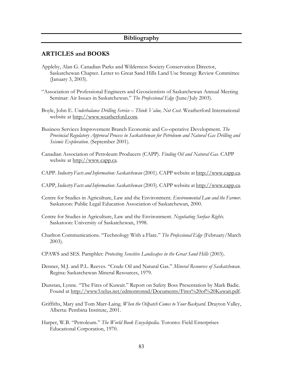### **Bibliography**

### **ARTICLES and BOOKS**

- Appleby, Alan G. Canadian Parks and Wilderness Society Conservation Director, Saskatchewan Chapter. Letter to Great Sand Hills Land Use Strategy Review Committee (January 3, 2003).
- "Association of Professional Engineers and Geoscientists of Saskatchewan Annual Meeting Seminar: Air Issues in Saskatchewan." *The Professional Edge* (June/July 2003).
- Boyle, John E. *Underbalance Drilling Service Think Value, Not Cost*. Weatherford International website at http://www.weatherford.com.
- Business Services Improvement Branch Economic and Co-operative Development. *The Provincial Regulatory Approval Process in Saskatchewan for Petroleum and Natural Gas Drilling and Seismic Exploration*. (September 2001).
- Canadian Association of Petroleum Producers (CAPP). *Finding Oil and Natural Gas.* CAPP website at http://www.capp.ca.
- CAPP. *Industry Facts and Information: Saskatchewan* (2001). CAPP website at http://www.capp.ca.
- CAPP, *Industry Facts and Information: Saskatchewan* (2003). CAPP website at http://www.capp.ca.
- Centre for Studies in Agriculture, Law and the Environment. *Environmental Law and the Farmer*. Saskatoon: Public Legal Education Association of Saskatchewan, 2000.
- Centre for Studies in Agriculture, Law and the Environment. *Negotiating Surface Rights*. Saskatoon: University of Saskatchewan, 1998.
- Charlton Communications. "Technology With a Flare." *The Professional Edge* (February/March 2003).
- CPAWS and SES. Pamphlet: *Protecting Sensitive Landscapes in the Great Sand Hills* (2003).
- Denner, M.J. and P.L. Reeves. "Crude Oil and Natural Gas." *Mineral Resources of Saskatchewan*. Regina: Saskatchewan Mineral Resources, 1979.
- Dunstan, Lynne. "The Fires of Kuwait." Report on Safety Boss Presentation by Mark Badic. Found at http://www3.telus.net/edmontonnd/Documents/Fires%20of%20Kuwait.pdf.
- Griffiths, Mary and Tom Marr-Laing. *When the Oilpatch Comes to Your Backyard*. Drayton Valley, Alberta: Pembina Institute, 2001.
- Harper, W.B. "Petroleum." *The World Book Encyclopedia*. Toronto: Field Enterprises Educational Corporation, 1970.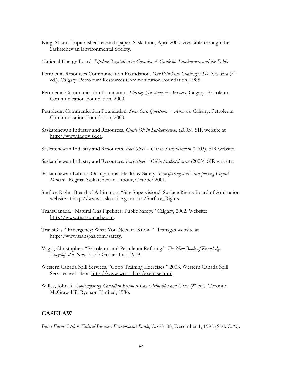King, Stuart. Unpublished research paper. Saskatoon, April 2000. Available through the Saskatchewan Environmental Society.

National Energy Board, *Pipeline Regulation in Canada: A Guide for Landowners and the Public*

- Petroleum Resources Communication Foundation. *Our Petroleum Challenge: The New Era* (3rd ed.). Calgary: Petroleum Resources Communication Foundation, 1985.
- Petroleum Communication Foundation. *Flaring: Questions + Answers*. Calgary: Petroleum Communication Foundation, 2000*.*
- Petroleum Communication Foundation. *Sour Gas: Questions + Answers.* Calgary: Petroleum Communication Foundation, 2000*.*
- Saskatchewan Industry and Resources. *Crude Oil in Saskatchewan* (2003). SIR website at http://www.ir.gov.sk.ca.
- Saskatchewan Industry and Resources. *Fact Sheet Gas in Saskatchewan* (2003). SIR website.
- Saskatchewan Industry and Resources. *Fact Sheet Oil in Saskatchewan* (2003). SIR website.
- Saskatchewan Labour, Occupational Health & Safety. *Transferring and Transporting Liquid Manure.* Regina: Saskatchewan Labour, October 2001.
- Surface Rights Board of Arbitration. "Site Supervision." Surface Rights Board of Arbitration website at http://www.saskjustice.gov.sk.ca/Surface\_Rights.
- TransCanada. "Natural Gas Pipelines: Public Safety." Calgary, 2002. Website: http://www.transcanada.com.
- TransGas. "Emergency: What You Need to Know." Transgas website at http://www.transgas.com/safety.
- Vagts, Christopher. "Petroleum and Petroleum Refining." *The New Book of Knowledge Encyclopedia*. New York: Grolier Inc., 1979.
- Western Canada Spill Services. "Coop Training Exercises." 2003. Western Canada Spill Services website at http://www.wcss.ab.ca/exercise.html.
- Willes, John A. *Contemporary Canadian Business Law: Principles and Cases* (2<sup>nd</sup>ed.). Toronto: McGraw-Hill Ryerson Limited, 1986.

## **CASELAW**

*Busse Farms Ltd. v. Federal Business Development Bank*, CA98108, December 1, 1998 (Sask.C.A.).